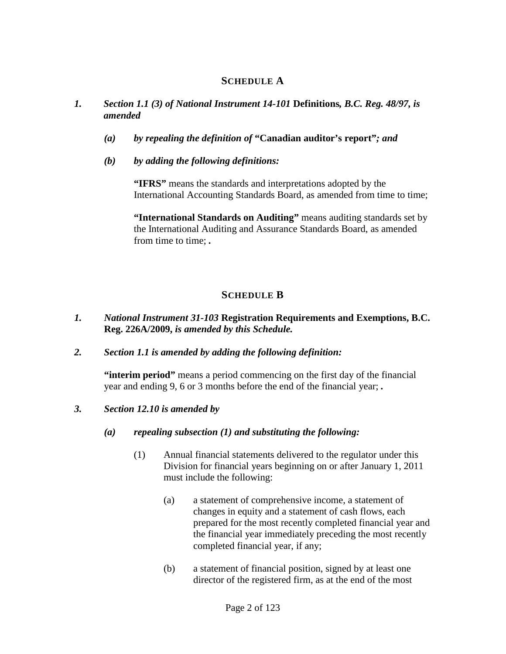## **SCHEDULE A**

#### *1. Section 1.1 (3) of National Instrument 14-101* **Definitions***, B.C. Reg. 48/97, is amended*

- *(a) by repealing the definition of* **"Canadian auditor's report"***; and*
- *(b) by adding the following definitions:*

**"IFRS"** means the standards and interpretations adopted by the International Accounting Standards Board, as amended from time to time;

**"International Standards on Auditing"** means auditing standards set by the International Auditing and Assurance Standards Board, as amended from time to time; *.*

## **SCHEDULE B**

#### *1. National Instrument 31-103* **Registration Requirements and Exemptions, B.C. Reg. 226A/2009,** *is amended by this Schedule.*

*2. Section 1.1 is amended by adding the following definition:*

**"interim period"** means a period commencing on the first day of the financial year and ending 9, 6 or 3 months before the end of the financial year; *.*

- *3. Section 12.10 is amended by*
	- *(a) repealing subsection (1) and substituting the following:*
		- (1) Annual financial statements delivered to the regulator under this Division for financial years beginning on or after January 1, 2011 must include the following:
			- (a) a statement of comprehensive income, a statement of changes in equity and a statement of cash flows, each prepared for the most recently completed financial year and the financial year immediately preceding the most recently completed financial year, if any;
			- (b) a statement of financial position, signed by at least one director of the registered firm, as at the end of the most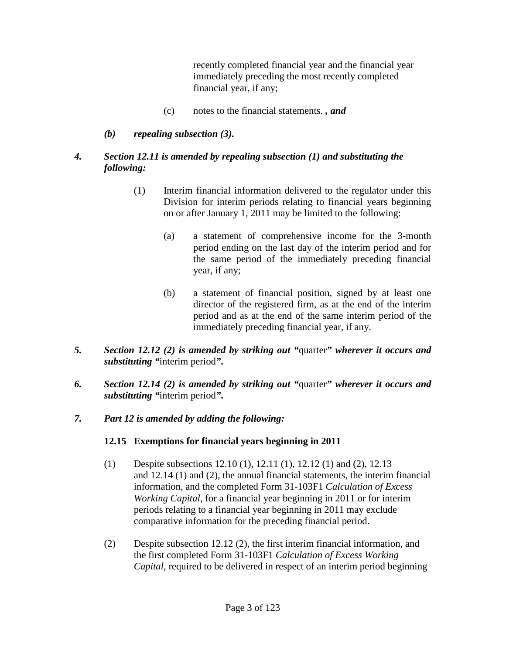recently completed financial year and the financial year immediately preceding the most recently completed financial year, if any;

- (c) notes to the financial statements. *, and*
- *(b) repealing subsection (3).*

## *4. Section 12.11 is amended by repealing subsection (1) and substituting the following:*

- (1) Interim financial information delivered to the regulator under this Division for interim periods relating to financial years beginning on or after January 1, 2011 may be limited to the following:
	- (a) a statement of comprehensive income for the 3-month period ending on the last day of the interim period and for the same period of the immediately preceding financial year, if any;
	- (b) a statement of financial position, signed by at least one director of the registered firm, as at the end of the interim period and as at the end of the same interim period of the immediately preceding financial year, if any.
- *5. Section 12.12 (2) is amended by striking out "*quarter*" wherever it occurs and substituting "*interim period*"***.**
- *6. Section 12.14 (2) is amended by striking out "*quarter*" wherever it occurs and substituting "*interim period*"***.**
- *7. Part 12 is amended by adding the following:*

#### **12.15 Exemptions for financial years beginning in 2011**

- (1) Despite subsections 12.10 (1), 12.11 (1), 12.12 (1) and (2), 12.13 and 12.14 (1) and (2), the annual financial statements, the interim financial information, and the completed Form 31-103F1 *Calculation of Excess Working Capital*, for a financial year beginning in 2011 or for interim periods relating to a financial year beginning in 2011 may exclude comparative information for the preceding financial period.
- (2) Despite subsection 12.12 (2), the first interim financial information, and the first completed Form 31-103F1 *Calculation of Excess Working Capital*, required to be delivered in respect of an interim period beginning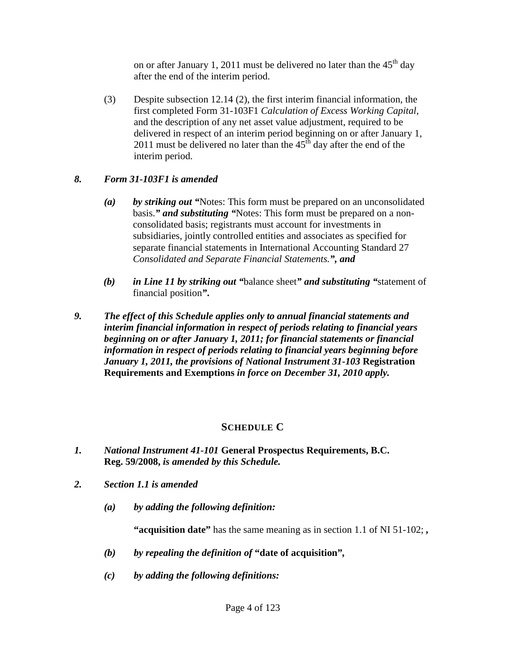on or after January 1, 2011 must be delivered no later than the  $45<sup>th</sup>$  day after the end of the interim period.

(3) Despite subsection 12.14 (2), the first interim financial information, the first completed Form 31-103F1 *Calculation of Excess Working Capital*, and the description of any net asset value adjustment, required to be delivered in respect of an interim period beginning on or after January 1, 2011 must be delivered no later than the  $45<sup>th</sup>$  day after the end of the interim period.

## *8. Form 31-103F1 is amended*

- *(a) by striking out "*Notes: This form must be prepared on an unconsolidated basis.*" and substituting "*Notes: This form must be prepared on a nonconsolidated basis; registrants must account for investments in subsidiaries, jointly controlled entities and associates as specified for separate financial statements in International Accounting Standard 27 *Consolidated and Separate Financial Statements.", and*
- *(b) in Line 11 by striking out "*balance sheet*" and substituting "*statement of financial position*"***.**
- *9. The effect of this Schedule applies only to annual financial statements and interim financial information in respect of periods relating to financial years beginning on or after January 1, 2011; for financial statements or financial information in respect of periods relating to financial years beginning before January 1, 2011, the provisions of National Instrument 31-103* **Registration Requirements and Exemptions** *in force on December 31, 2010 apply.*

## **SCHEDULE C**

- *1. National Instrument 41-101* **General Prospectus Requirements, B.C. Reg. 59/2008,** *is amended by this Schedule.*
- *2. Section 1.1 is amended*
	- *(a) by adding the following definition:*

**"acquisition date"** has the same meaning as in section 1.1 of NI 51-102; *,*

- *(b) by repealing the definition of* **"date of acquisition"***,*
- *(c) by adding the following definitions:*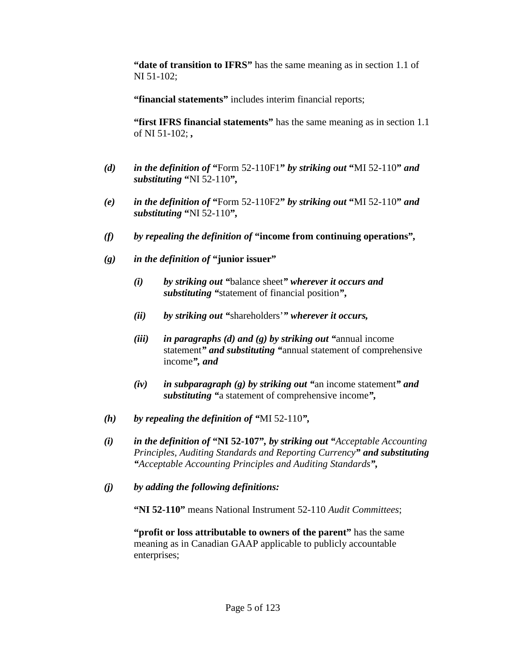**"date of transition to IFRS"** has the same meaning as in section 1.1 of NI 51-102;

**"financial statements"** includes interim financial reports;

**"first IFRS financial statements"** has the same meaning as in section 1.1 of NI 51-102; *,*

- *(d) in the definition of* **"**Form 52-110F1**"** *by striking out* **"**MI 52-110**"** *and substituting* **"**NI 52-110**"***,*
- *(e) in the definition of* **"**Form 52-110F2**"** *by striking out* **"**MI 52-110**"** *and substituting* **"**NI 52-110**"***,*
- *(f) by repealing the definition of* **"income from continuing operations"***,*
- *(g) in the definition of* **"junior issuer"**
	- *(i) by striking out "*balance sheet*" wherever it occurs and substituting "*statement of financial position*"***,**
	- *(ii) by striking out "*shareholders'*" wherever it occurs,*
	- *(iii) in paragraphs (d) and (g) by striking out "*annual income statement*" and substituting "*annual statement of comprehensive income*", and*
	- *(iv) in subparagraph (g) by striking out "*an income statement*" and substituting "*a statement of comprehensive income*",*
- *(h) by repealing the definition of "*MI 52-110*",*
- *(i) in the definition of* **"NI 52-107"***, by striking out "Acceptable Accounting Principles, Auditing Standards and Reporting Currency" and substituting "Acceptable Accounting Principles and Auditing Standards",*
- *(j) by adding the following definitions:*

**"NI 52-110"** means National Instrument 52-110 *Audit Committees*;

**"profit or loss attributable to owners of the parent"** has the same meaning as in Canadian GAAP applicable to publicly accountable enterprises;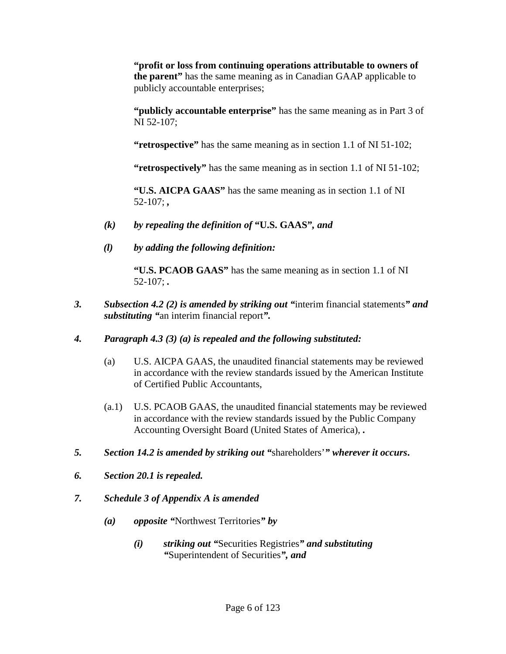**"profit or loss from continuing operations attributable to owners of the parent"** has the same meaning as in Canadian GAAP applicable to publicly accountable enterprises;

**"publicly accountable enterprise"** has the same meaning as in Part 3 of NI 52-107;

**"retrospective"** has the same meaning as in section 1.1 of NI 51-102;

**"retrospectively"** has the same meaning as in section 1.1 of NI 51-102;

**"U.S. AICPA GAAS"** has the same meaning as in section 1.1 of NI 52-107; *,*

- *(k) by repealing the definition of* **"U.S. GAAS"***, and*
- *(l) by adding the following definition:*

**"U.S. PCAOB GAAS"** has the same meaning as in section 1.1 of NI 52-107; *.*

- *3. Subsection 4.2 (2) is amended by striking out "*interim financial statements*" and substituting "*an interim financial report*".*
- *4. Paragraph 4.3 (3) (a) is repealed and the following substituted:*
	- (a) U.S. AICPA GAAS, the unaudited financial statements may be reviewed in accordance with the review standards issued by the American Institute of Certified Public Accountants,
	- (a.1) U.S. PCAOB GAAS, the unaudited financial statements may be reviewed in accordance with the review standards issued by the Public Company Accounting Oversight Board (United States of America), *.*
- *5. Section 14.2 is amended by striking out "*shareholders'*" wherever it occurs***.**
- *6. Section 20.1 is repealed.*
- *7. Schedule 3 of Appendix A is amended*
	- *(a) opposite "*Northwest Territories*" by*
		- *(i) striking out "*Securities Registries*" and substituting "*Superintendent of Securities*", and*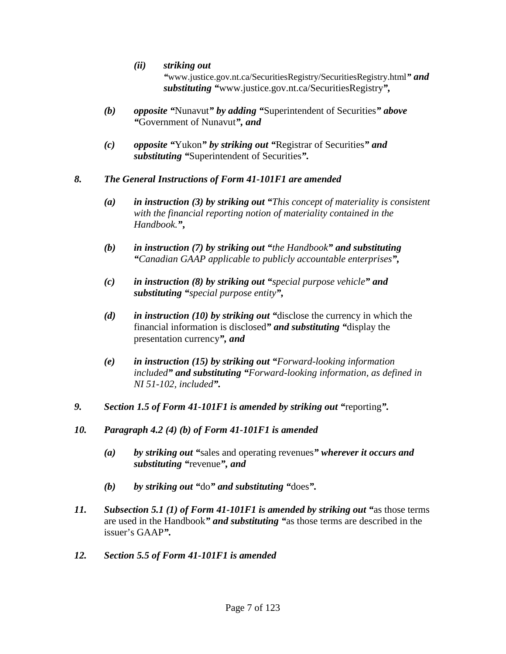- *(ii) striking out "*www.justice.gov.nt.ca/SecuritiesRegistry/SecuritiesRegistry.html*" and substituting "*www.justice.gov.nt.ca/SecuritiesRegistry*",*
- *(b) opposite "*Nunavut*" by adding "*Superintendent of Securities*" above "*Government of Nunavut*", and*
- *(c) opposite "*Yukon*" by striking out "*Registrar of Securities*" and substituting "*Superintendent of Securities*".*

## *8. The General Instructions of Form 41-101F1 are amended*

- *(a) in instruction (3) by striking out "This concept of materiality is consistent with the financial reporting notion of materiality contained in the Handbook."***,**
- *(b) in instruction (7) by striking out "the Handbook" and substituting "Canadian GAAP applicable to publicly accountable enterprises",*
- *(c) in instruction (8) by striking out "special purpose vehicle" and substituting "special purpose entity",*
- *(d) in instruction (10) by striking out "*disclose the currency in which the financial information is disclosed*" and substituting "*display the presentation currency*", and*
- *(e) in instruction (15) by striking out "Forward-looking information included" and substituting "Forward-looking information, as defined in NI 51-102, included".*
- *9. Section 1.5 of Form 41-101F1 is amended by striking out "*reporting*".*
- *10. Paragraph 4.2 (4) (b) of Form 41-101F1 is amended*
	- *(a) by striking out "*sales and operating revenues*" wherever it occurs and substituting "*revenue*", and*
	- *(b) by striking out "*do*" and substituting "*does*".*
- *11. Subsection 5.1 (1) of Form 41-101F1 is amended by striking out "*as those terms are used in the Handbook*" and substituting "*as those terms are described in the issuer's GAAP*".*
- *12. Section 5.5 of Form 41-101F1 is amended*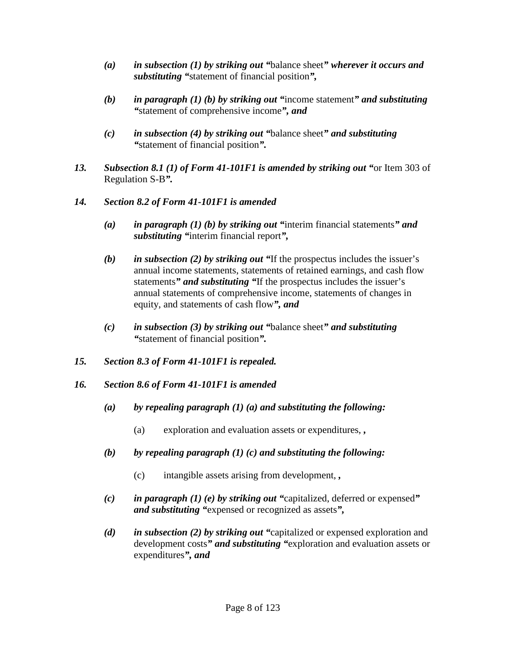- *(a) in subsection (1) by striking out "*balance sheet*" wherever it occurs and substituting "*statement of financial position*",*
- *(b) in paragraph (1) (b) by striking out "*income statement*" and substituting "*statement of comprehensive income*", and*
- *(c) in subsection (4) by striking out "*balance sheet*" and substituting "*statement of financial position*".*
- *13. Subsection 8.1 (1) of Form 41-101F1 is amended by striking out "*or Item 303 of Regulation S-B*".*

## *14. Section 8.2 of Form 41-101F1 is amended*

- *(a) in paragraph (1) (b) by striking out "*interim financial statements*" and substituting "*interim financial report*",*
- *(b) in subsection (2) by striking out "*If the prospectus includes the issuer's annual income statements, statements of retained earnings, and cash flow statements*" and substituting "*If the prospectus includes the issuer's annual statements of comprehensive income, statements of changes in equity, and statements of cash flow*", and*
- *(c) in subsection (3) by striking out "*balance sheet*" and substituting "*statement of financial position*".*
- *15. Section 8.3 of Form 41-101F1 is repealed.*

#### *16. Section 8.6 of Form 41-101F1 is amended*

- *(a) by repealing paragraph (1) (a) and substituting the following:*
	- (a) exploration and evaluation assets or expenditures, *,*
- *(b) by repealing paragraph (1) (c) and substituting the following:*
	- (c) intangible assets arising from development, *,*
- *(c) in paragraph (1) (e) by striking out "*capitalized, deferred or expensed*" and substituting "*expensed or recognized as assets*",*
- *(d) in subsection (2) by striking out "*capitalized or expensed exploration and development costs*" and substituting "*exploration and evaluation assets or expenditures*", and*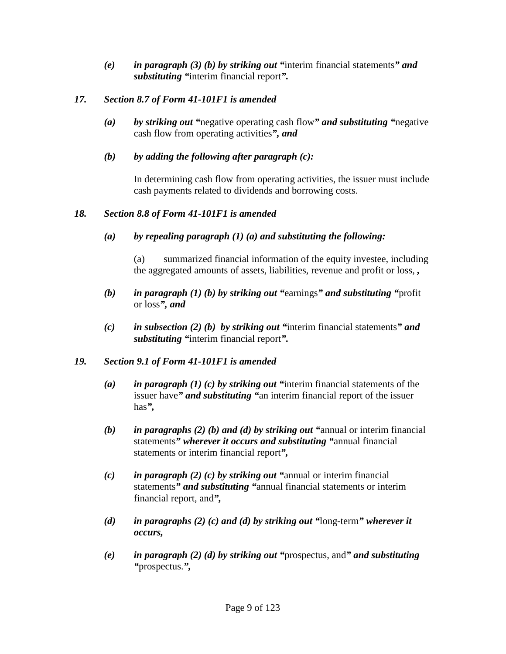*(e) in paragraph (3) (b) by striking out "*interim financial statements*" and substituting "*interim financial report*".*

## *17. Section 8.7 of Form 41-101F1 is amended*

- *(a) by striking out "*negative operating cash flow*" and substituting "*negative cash flow from operating activities*", and*
- *(b) by adding the following after paragraph (c):*

In determining cash flow from operating activities, the issuer must include cash payments related to dividends and borrowing costs.

## *18. Section 8.8 of Form 41-101F1 is amended*

*(a) by repealing paragraph (1) (a) and substituting the following:*

(a) summarized financial information of the equity investee, including the aggregated amounts of assets, liabilities, revenue and profit or loss, *,*

- *(b) in paragraph (1) (b) by striking out "*earnings*" and substituting "*profit or loss*", and*
- *(c) in subsection (2) (b) by striking out "*interim financial statements*" and substituting "*interim financial report*".*

# *19. Section 9.1 of Form 41-101F1 is amended*

- *(a) in paragraph (1) (c) by striking out "*interim financial statements of the issuer have*" and substituting "*an interim financial report of the issuer has*",*
- *(b) in paragraphs (2) (b) and (d) by striking out "*annual or interim financial statements*" wherever it occurs and substituting "*annual financial statements or interim financial report*",*
- *(c) in paragraph (2) (c) by striking out "*annual or interim financial statements*" and substituting "*annual financial statements or interim financial report, and*",*
- *(d) in paragraphs (2) (c) and (d) by striking out "*long-term*" wherever it occurs,*
- *(e) in paragraph (2) (d) by striking out "*prospectus, and*" and substituting "*prospectus.*",*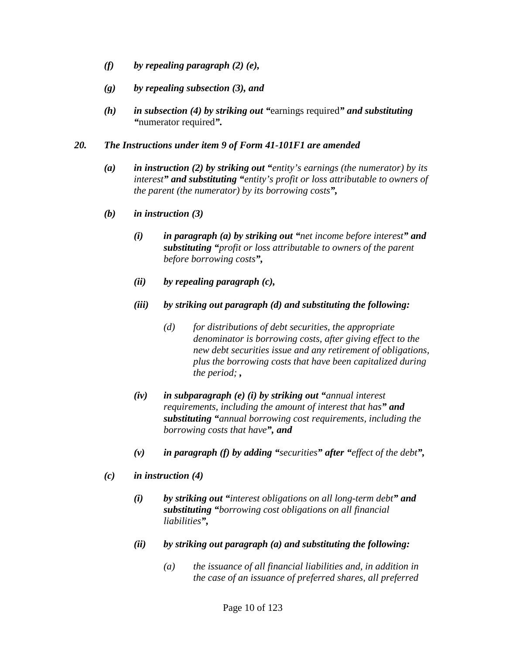- *(f) by repealing paragraph (2) (e),*
- *(g) by repealing subsection (3), and*
- *(h) in subsection (4) by striking out "*earnings required*" and substituting "*numerator required*".*

### *20. The Instructions under item 9 of Form 41-101F1 are amended*

- *(a) in instruction (2) by striking out "entity's earnings (the numerator) by its interest" and substituting "entity's profit or loss attributable to owners of the parent (the numerator) by its borrowing costs",*
- *(b) in instruction (3)*
	- *(i) in paragraph (a) by striking out "net income before interest" and substituting "profit or loss attributable to owners of the parent before borrowing costs",*
	- *(ii) by repealing paragraph (c),*
	- *(iii) by striking out paragraph (d) and substituting the following:*
		- *(d) for distributions of debt securities, the appropriate denominator is borrowing costs, after giving effect to the new debt securities issue and any retirement of obligations, plus the borrowing costs that have been capitalized during the period; ,*
	- *(iv) in subparagraph (e) (i) by striking out "annual interest requirements, including the amount of interest that has" and substituting "annual borrowing cost requirements, including the borrowing costs that have", and*
	- *(v) in paragraph (f) by adding "securities" after "effect of the debt",*
- *(c) in instruction (4)*
	- *(i) by striking out "interest obligations on all long-term debt" and substituting "borrowing cost obligations on all financial liabilities",*
	- *(ii) by striking out paragraph (a) and substituting the following:*
		- *(a) the issuance of all financial liabilities and, in addition in the case of an issuance of preferred shares, all preferred*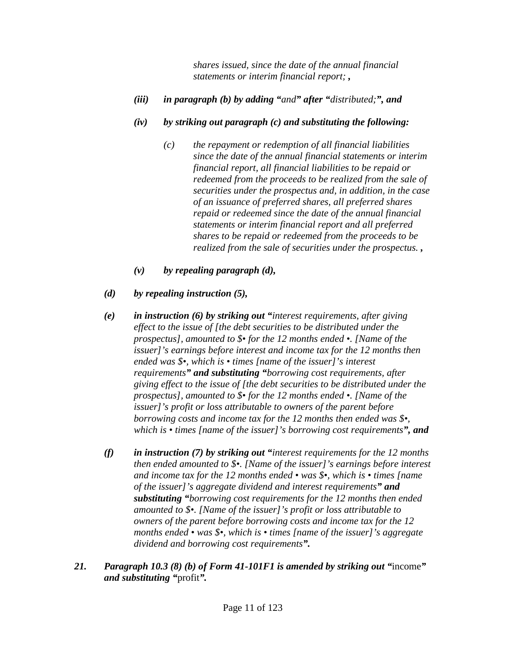*shares issued, since the date of the annual financial statements or interim financial report; ,*

- *(iii) in paragraph (b) by adding "and" after "distributed;", and*
- *(iv) by striking out paragraph (c) and substituting the following:*
	- *(c) the repayment or redemption of all financial liabilities since the date of the annual financial statements or interim financial report, all financial liabilities to be repaid or redeemed from the proceeds to be realized from the sale of securities under the prospectus and, in addition, in the case of an issuance of preferred shares, all preferred shares repaid or redeemed since the date of the annual financial statements or interim financial report and all preferred shares to be repaid or redeemed from the proceeds to be realized from the sale of securities under the prospectus. ,*
- *(v) by repealing paragraph (d),*
- *(d) by repealing instruction (5),*
- *(e) in instruction (6) by striking out "interest requirements, after giving effect to the issue of [the debt securities to be distributed under the prospectus], amounted to \$• for the 12 months ended •. [Name of the issuer]'s earnings before interest and income tax for the 12 months then ended was \$•, which is • times [name of the issuer]'s interest requirements" and substituting "borrowing cost requirements, after giving effect to the issue of [the debt securities to be distributed under the prospectus], amounted to \$• for the 12 months ended •. [Name of the issuer]'s profit or loss attributable to owners of the parent before borrowing costs and income tax for the 12 months then ended was \$•, which is • times [name of the issuer]'s borrowing cost requirements", and*
- *(f) in instruction (7) by striking out "interest requirements for the 12 months then ended amounted to \$•. [Name of the issuer]'s earnings before interest and income tax for the 12 months ended • was \$•, which is • times [name of the issuer]'s aggregate dividend and interest requirements" and substituting "borrowing cost requirements for the 12 months then ended amounted to \$•. [Name of the issuer]'s profit or loss attributable to owners of the parent before borrowing costs and income tax for the 12 months ended • was \$•, which is • times [name of the issuer]'s aggregate dividend and borrowing cost requirements".*
- *21. Paragraph 10.3 (8) (b) of Form 41-101F1 is amended by striking out "*income*" and substituting "*profit*".*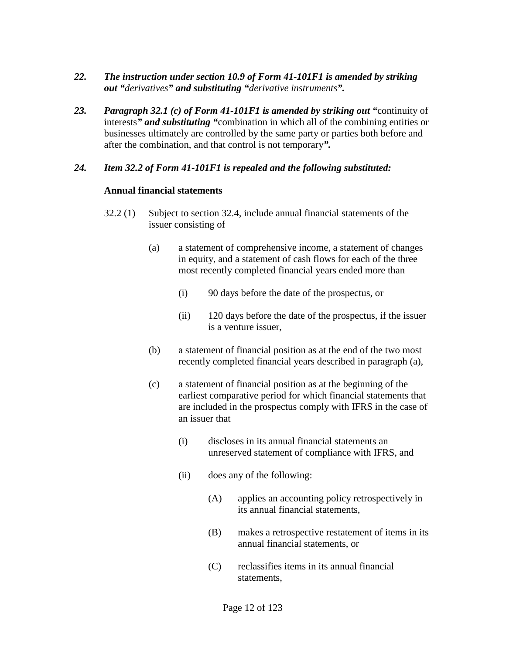- *22. The instruction under section 10.9 of Form 41-101F1 is amended by striking out "derivatives" and substituting "derivative instruments".*
- *23. Paragraph 32.1 (c) of Form 41-101F1 is amended by striking out "*continuity of interests*" and substituting "*combination in which all of the combining entities or businesses ultimately are controlled by the same party or parties both before and after the combination, and that control is not temporary*".*
- *24. Item 32.2 of Form 41-101F1 is repealed and the following substituted:*

#### **Annual financial statements**

- 32.2 (1) Subject to section 32.4, include annual financial statements of the issuer consisting of
	- (a) a statement of comprehensive income, a statement of changes in equity, and a statement of cash flows for each of the three most recently completed financial years ended more than
		- (i) 90 days before the date of the prospectus, or
		- (ii) 120 days before the date of the prospectus, if the issuer is a venture issuer,
	- (b) a statement of financial position as at the end of the two most recently completed financial years described in paragraph (a),
	- (c) a statement of financial position as at the beginning of the earliest comparative period for which financial statements that are included in the prospectus comply with IFRS in the case of an issuer that
		- (i) discloses in its annual financial statements an unreserved statement of compliance with IFRS, and
		- (ii) does any of the following:
			- (A) applies an accounting policy retrospectively in its annual financial statements,
			- (B) makes a retrospective restatement of items in its annual financial statements, or
			- (C) reclassifies items in its annual financial statements,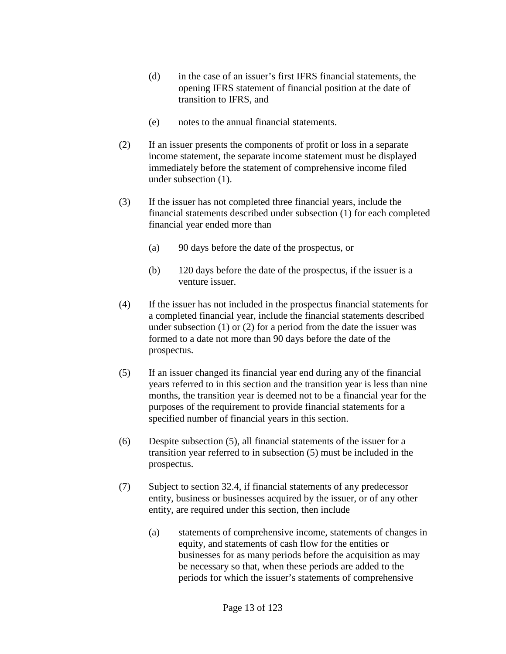- (d) in the case of an issuer's first IFRS financial statements, the opening IFRS statement of financial position at the date of transition to IFRS, and
- (e) notes to the annual financial statements.
- (2) If an issuer presents the components of profit or loss in a separate income statement, the separate income statement must be displayed immediately before the statement of comprehensive income filed under subsection (1).
- (3) If the issuer has not completed three financial years, include the financial statements described under subsection (1) for each completed financial year ended more than
	- (a) 90 days before the date of the prospectus, or
	- (b) 120 days before the date of the prospectus, if the issuer is a venture issuer.
- (4) If the issuer has not included in the prospectus financial statements for a completed financial year, include the financial statements described under subsection  $(1)$  or  $(2)$  for a period from the date the issuer was formed to a date not more than 90 days before the date of the prospectus.
- (5) If an issuer changed its financial year end during any of the financial years referred to in this section and the transition year is less than nine months, the transition year is deemed not to be a financial year for the purposes of the requirement to provide financial statements for a specified number of financial years in this section.
- (6) Despite subsection (5), all financial statements of the issuer for a transition year referred to in subsection (5) must be included in the prospectus.
- (7) Subject to section 32.4, if financial statements of any predecessor entity, business or businesses acquired by the issuer, or of any other entity, are required under this section, then include
	- (a) statements of comprehensive income, statements of changes in equity, and statements of cash flow for the entities or businesses for as many periods before the acquisition as may be necessary so that, when these periods are added to the periods for which the issuer's statements of comprehensive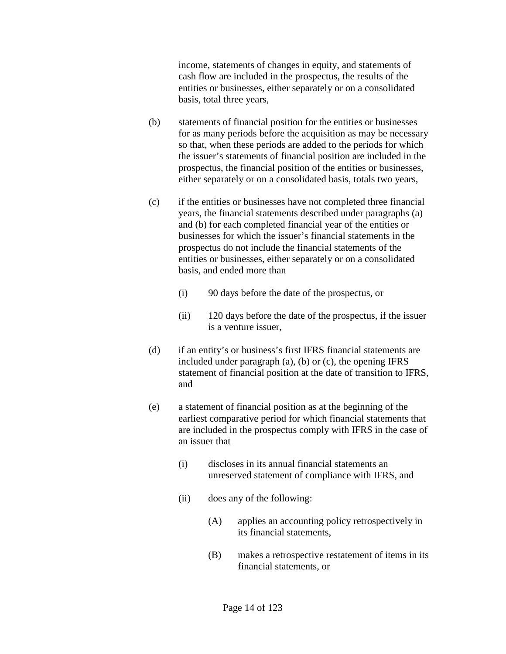income, statements of changes in equity, and statements of cash flow are included in the prospectus, the results of the entities or businesses, either separately or on a consolidated basis, total three years,

- (b) statements of financial position for the entities or businesses for as many periods before the acquisition as may be necessary so that, when these periods are added to the periods for which the issuer's statements of financial position are included in the prospectus, the financial position of the entities or businesses, either separately or on a consolidated basis, totals two years,
- (c) if the entities or businesses have not completed three financial years, the financial statements described under paragraphs (a) and (b) for each completed financial year of the entities or businesses for which the issuer's financial statements in the prospectus do not include the financial statements of the entities or businesses, either separately or on a consolidated basis, and ended more than
	- (i) 90 days before the date of the prospectus, or
	- (ii) 120 days before the date of the prospectus, if the issuer is a venture issuer,
- (d) if an entity's or business's first IFRS financial statements are included under paragraph (a), (b) or (c), the opening IFRS statement of financial position at the date of transition to IFRS, and
- (e) a statement of financial position as at the beginning of the earliest comparative period for which financial statements that are included in the prospectus comply with IFRS in the case of an issuer that
	- (i) discloses in its annual financial statements an unreserved statement of compliance with IFRS, and
	- (ii) does any of the following:
		- (A) applies an accounting policy retrospectively in its financial statements,
		- (B) makes a retrospective restatement of items in its financial statements, or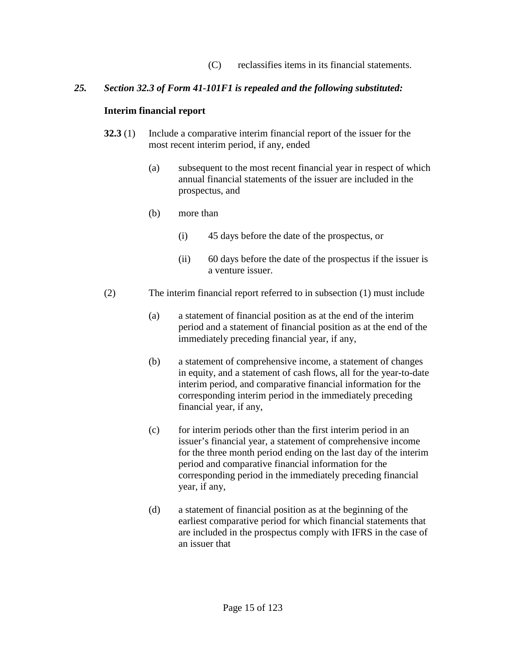(C) reclassifies items in its financial statements.

#### *25. Section 32.3 of Form 41-101F1 is repealed and the following substituted:*

#### **Interim financial report**

- **32.3** (1) Include a comparative interim financial report of the issuer for the most recent interim period, if any, ended
	- (a) subsequent to the most recent financial year in respect of which annual financial statements of the issuer are included in the prospectus, and
	- (b) more than
		- (i) 45 days before the date of the prospectus, or
		- (ii) 60 days before the date of the prospectus if the issuer is a venture issuer.
- (2) The interim financial report referred to in subsection (1) must include
	- (a) a statement of financial position as at the end of the interim period and a statement of financial position as at the end of the immediately preceding financial year, if any,
	- (b) a statement of comprehensive income, a statement of changes in equity, and a statement of cash flows, all for the year-to-date interim period, and comparative financial information for the corresponding interim period in the immediately preceding financial year, if any,
	- (c) for interim periods other than the first interim period in an issuer's financial year, a statement of comprehensive income for the three month period ending on the last day of the interim period and comparative financial information for the corresponding period in the immediately preceding financial year, if any,
	- (d) a statement of financial position as at the beginning of the earliest comparative period for which financial statements that are included in the prospectus comply with IFRS in the case of an issuer that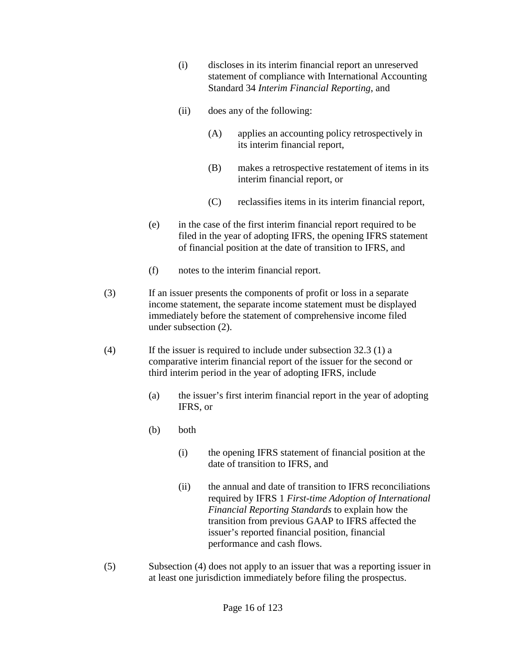- (i) discloses in its interim financial report an unreserved statement of compliance with International Accounting Standard 34 *Interim Financial Reporting*, and
- (ii) does any of the following:
	- (A) applies an accounting policy retrospectively in its interim financial report,
	- (B) makes a retrospective restatement of items in its interim financial report, or
	- (C) reclassifies items in its interim financial report,
- (e) in the case of the first interim financial report required to be filed in the year of adopting IFRS, the opening IFRS statement of financial position at the date of transition to IFRS, and
- (f) notes to the interim financial report.
- (3) If an issuer presents the components of profit or loss in a separate income statement, the separate income statement must be displayed immediately before the statement of comprehensive income filed under subsection (2).
- (4) If the issuer is required to include under subsection 32.3 (1) a comparative interim financial report of the issuer for the second or third interim period in the year of adopting IFRS, include
	- (a) the issuer's first interim financial report in the year of adopting IFRS, or
	- (b) both
		- (i) the opening IFRS statement of financial position at the date of transition to IFRS, and
		- (ii) the annual and date of transition to IFRS reconciliations required by IFRS 1 *First-time Adoption of International Financial Reporting Standards* to explain how the transition from previous GAAP to IFRS affected the issuer's reported financial position, financial performance and cash flows.
- (5) Subsection (4) does not apply to an issuer that was a reporting issuer in at least one jurisdiction immediately before filing the prospectus.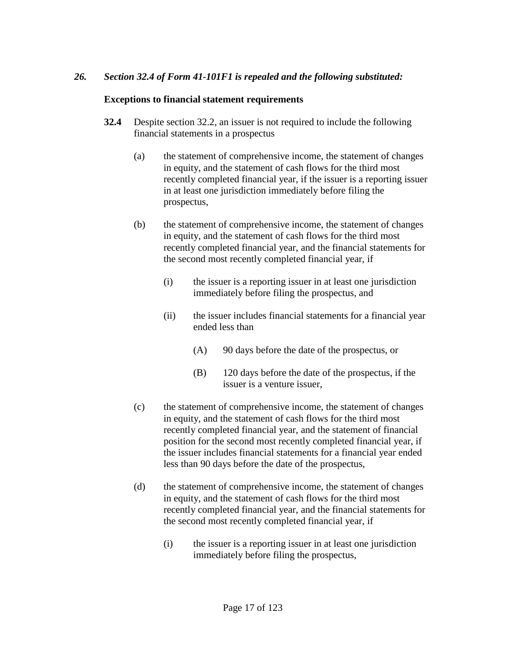## *26. Section 32.4 of Form 41-101F1 is repealed and the following substituted:*

#### **Exceptions to financial statement requirements**

- **32.4** Despite section 32.2, an issuer is not required to include the following financial statements in a prospectus
	- (a) the statement of comprehensive income, the statement of changes in equity, and the statement of cash flows for the third most recently completed financial year, if the issuer is a reporting issuer in at least one jurisdiction immediately before filing the prospectus,
	- (b) the statement of comprehensive income, the statement of changes in equity, and the statement of cash flows for the third most recently completed financial year, and the financial statements for the second most recently completed financial year, if
		- (i) the issuer is a reporting issuer in at least one jurisdiction immediately before filing the prospectus, and
		- (ii) the issuer includes financial statements for a financial year ended less than
			- (A) 90 days before the date of the prospectus, or
			- (B) 120 days before the date of the prospectus, if the issuer is a venture issuer,
	- (c) the statement of comprehensive income, the statement of changes in equity, and the statement of cash flows for the third most recently completed financial year, and the statement of financial position for the second most recently completed financial year, if the issuer includes financial statements for a financial year ended less than 90 days before the date of the prospectus,
	- (d) the statement of comprehensive income, the statement of changes in equity, and the statement of cash flows for the third most recently completed financial year, and the financial statements for the second most recently completed financial year, if
		- (i) the issuer is a reporting issuer in at least one jurisdiction immediately before filing the prospectus,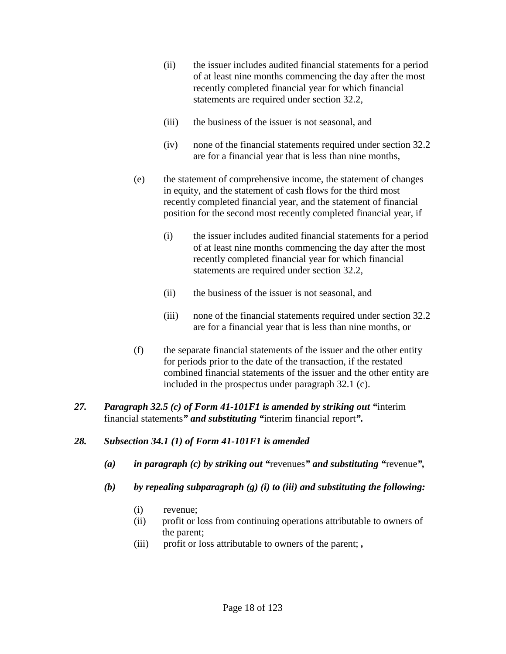- (ii) the issuer includes audited financial statements for a period of at least nine months commencing the day after the most recently completed financial year for which financial statements are required under section 32.2,
- (iii) the business of the issuer is not seasonal, and
- (iv) none of the financial statements required under section 32.2 are for a financial year that is less than nine months,
- (e) the statement of comprehensive income, the statement of changes in equity, and the statement of cash flows for the third most recently completed financial year, and the statement of financial position for the second most recently completed financial year, if
	- (i) the issuer includes audited financial statements for a period of at least nine months commencing the day after the most recently completed financial year for which financial statements are required under section 32.2,
	- (ii) the business of the issuer is not seasonal, and
	- (iii) none of the financial statements required under section 32.2 are for a financial year that is less than nine months, or
- (f) the separate financial statements of the issuer and the other entity for periods prior to the date of the transaction, if the restated combined financial statements of the issuer and the other entity are included in the prospectus under paragraph 32.1 (c).
- *27. Paragraph 32.5 (c) of Form 41-101F1 is amended by striking out "*interim financial statements*" and substituting "*interim financial report*".*

## *28. Subsection 34.1 (1) of Form 41-101F1 is amended*

- *(a) in paragraph (c) by striking out "*revenues*" and substituting "*revenue*",*
- *(b) by repealing subparagraph (g) (i) to (iii) and substituting the following:*
	- (i) revenue;
	- (ii) profit or loss from continuing operations attributable to owners of the parent;
	- (iii) profit or loss attributable to owners of the parent; *,*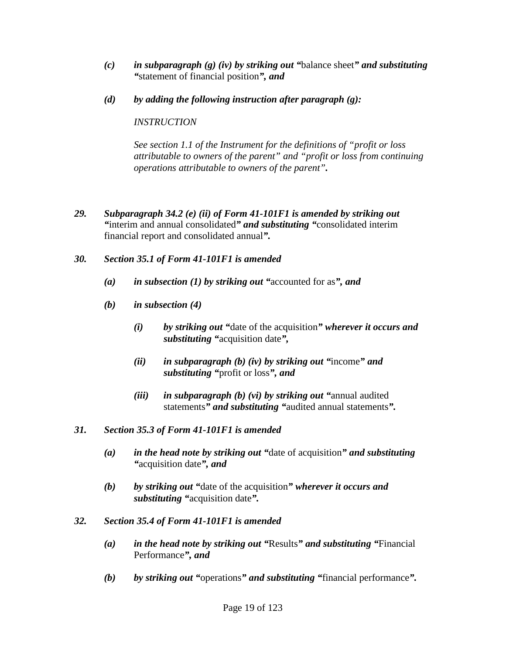- *(c) in subparagraph (g) (iv) by striking out "*balance sheet*" and substituting "*statement of financial position*", and*
- *(d) by adding the following instruction after paragraph (g):*

## *INSTRUCTION*

*See section 1.1 of the Instrument for the definitions of "profit or loss attributable to owners of the parent" and "profit or loss from continuing operations attributable to owners of the parent".*

*29. Subparagraph 34.2 (e) (ii) of Form 41-101F1 is amended by striking out "*interim and annual consolidated*" and substituting "*consolidated interim financial report and consolidated annual*".*

## *30. Section 35.1 of Form 41-101F1 is amended*

- *(a) in subsection (1) by striking out "*accounted for as*", and*
- *(b) in subsection (4)*
	- *(i) by striking out "*date of the acquisition*" wherever it occurs and substituting "*acquisition date*",*
	- *(ii) in subparagraph (b) (iv) by striking out "*income*" and substituting "*profit or loss*", and*
	- *(iii) in subparagraph (b) (vi) by striking out "*annual audited statements*" and substituting "*audited annual statements*".*

#### *31. Section 35.3 of Form 41-101F1 is amended*

- *(a) in the head note by striking out "*date of acquisition*" and substituting "*acquisition date*", and*
- *(b) by striking out "*date of the acquisition*" wherever it occurs and substituting "*acquisition date*".*

#### *32. Section 35.4 of Form 41-101F1 is amended*

- *(a) in the head note by striking out "*Results*" and substituting "*Financial Performance*", and*
- *(b) by striking out "*operations*" and substituting "*financial performance*".*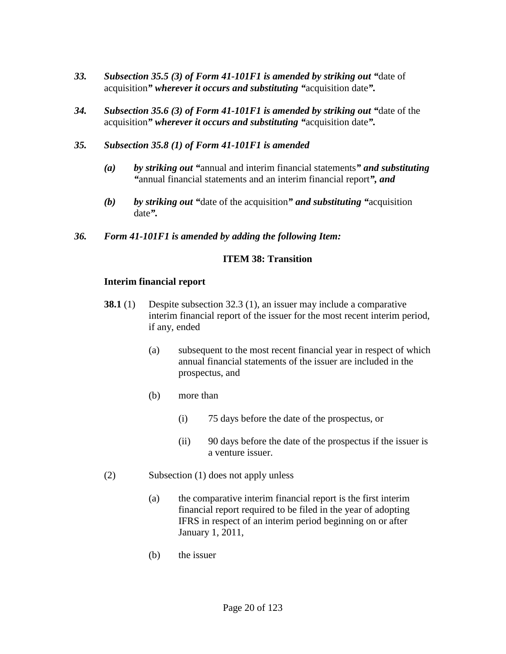- *33. Subsection 35.5 (3) of Form 41-101F1 is amended by striking out "*date of acquisition*" wherever it occurs and substituting "*acquisition date*".*
- *34. Subsection 35.6 (3) of Form 41-101F1 is amended by striking out "*date of the acquisition*" wherever it occurs and substituting "*acquisition date*".*
- *35. Subsection 35.8 (1) of Form 41-101F1 is amended*
	- *(a) by striking out "*annual and interim financial statements*" and substituting "*annual financial statements and an interim financial report*", and*
	- *(b) by striking out "*date of the acquisition*" and substituting "*acquisition date*".*

#### *36. Form 41-101F1 is amended by adding the following Item:*

## **ITEM 38: Transition**

## **Interim financial report**

- **38.1** (1) Despite subsection 32.3 (1), an issuer may include a comparative interim financial report of the issuer for the most recent interim period, if any, ended
	- (a) subsequent to the most recent financial year in respect of which annual financial statements of the issuer are included in the prospectus, and
	- (b) more than
		- (i) 75 days before the date of the prospectus, or
		- (ii) 90 days before the date of the prospectus if the issuer is a venture issuer.
- (2) Subsection (1) does not apply unless
	- (a) the comparative interim financial report is the first interim financial report required to be filed in the year of adopting IFRS in respect of an interim period beginning on or after January 1, 2011,
	- (b) the issuer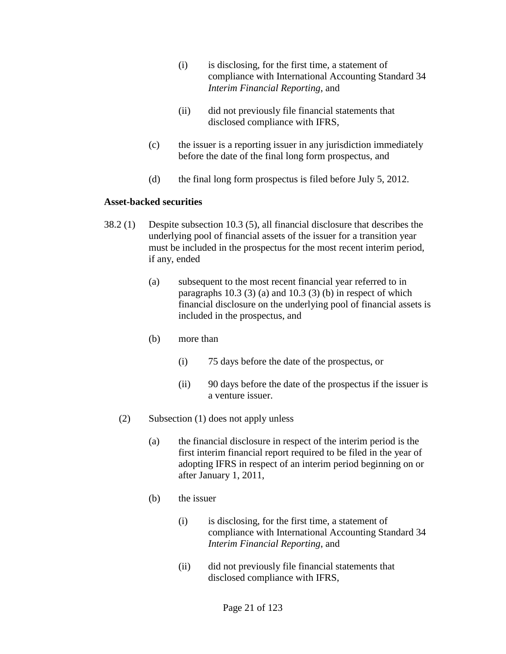- (i) is disclosing, for the first time, a statement of compliance with International Accounting Standard 34 *Interim Financial Reporting*, and
- (ii) did not previously file financial statements that disclosed compliance with IFRS,
- (c) the issuer is a reporting issuer in any jurisdiction immediately before the date of the final long form prospectus, and
- (d) the final long form prospectus is filed before July 5, 2012.

## **Asset-backed securities**

- 38.2 (1) Despite subsection 10.3 (5), all financial disclosure that describes the underlying pool of financial assets of the issuer for a transition year must be included in the prospectus for the most recent interim period, if any, ended
	- (a) subsequent to the most recent financial year referred to in paragraphs  $10.3$  (3) (a) and  $10.3$  (3) (b) in respect of which financial disclosure on the underlying pool of financial assets is included in the prospectus, and
	- (b) more than
		- (i) 75 days before the date of the prospectus, or
		- (ii) 90 days before the date of the prospectus if the issuer is a venture issuer.
	- (2) Subsection (1) does not apply unless
		- (a) the financial disclosure in respect of the interim period is the first interim financial report required to be filed in the year of adopting IFRS in respect of an interim period beginning on or after January 1, 2011,
		- (b) the issuer
			- (i) is disclosing, for the first time, a statement of compliance with International Accounting Standard 34 *Interim Financial Reporting*, and
			- (ii) did not previously file financial statements that disclosed compliance with IFRS,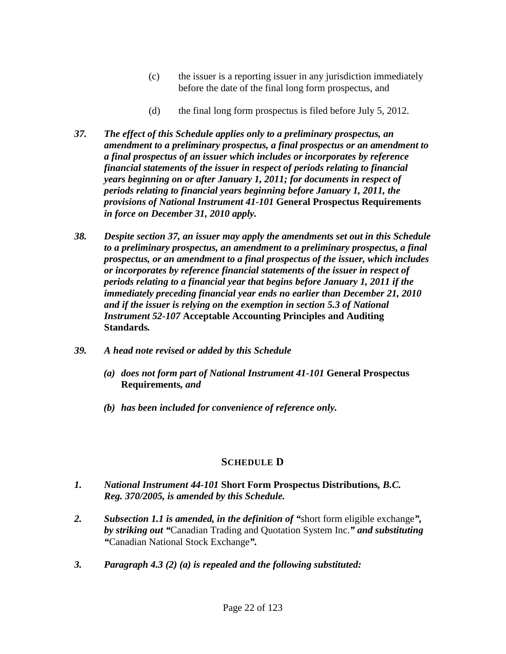- (c) the issuer is a reporting issuer in any jurisdiction immediately before the date of the final long form prospectus, and
- (d) the final long form prospectus is filed before July 5, 2012.
- *37. The effect of this Schedule applies only to a preliminary prospectus, an amendment to a preliminary prospectus, a final prospectus or an amendment to a final prospectus of an issuer which includes or incorporates by reference financial statements of the issuer in respect of periods relating to financial years beginning on or after January 1, 2011; for documents in respect of periods relating to financial years beginning before January 1, 2011, the provisions of National Instrument 41-101* **General Prospectus Requirements** *in force on December 31, 2010 apply.*
- *38. Despite section 37, an issuer may apply the amendments set out in this Schedule to a preliminary prospectus, an amendment to a preliminary prospectus, a final prospectus, or an amendment to a final prospectus of the issuer, which includes or incorporates by reference financial statements of the issuer in respect of periods relating to a financial year that begins before January 1, 2011 if the immediately preceding financial year ends no earlier than December 21, 2010 and if the issuer is relying on the exemption in section 5.3 of National Instrument 52-107* **Acceptable Accounting Principles and Auditing Standards***.*
- *39. A head note revised or added by this Schedule*
	- *(a) does not form part of National Instrument 41-101* **General Prospectus Requirements***, and*
	- *(b) has been included for convenience of reference only.*

# **SCHEDULE D**

- *1. National Instrument 44-101* **Short Form Prospectus Distributions***, B.C. Reg. 370/2005, is amended by this Schedule.*
- *2. Subsection 1.1 is amended, in the definition of "*short form eligible exchange*", by striking out "*Canadian Trading and Quotation System Inc.*" and substituting "*Canadian National Stock Exchange*".*
- *3. Paragraph 4.3 (2) (a) is repealed and the following substituted:*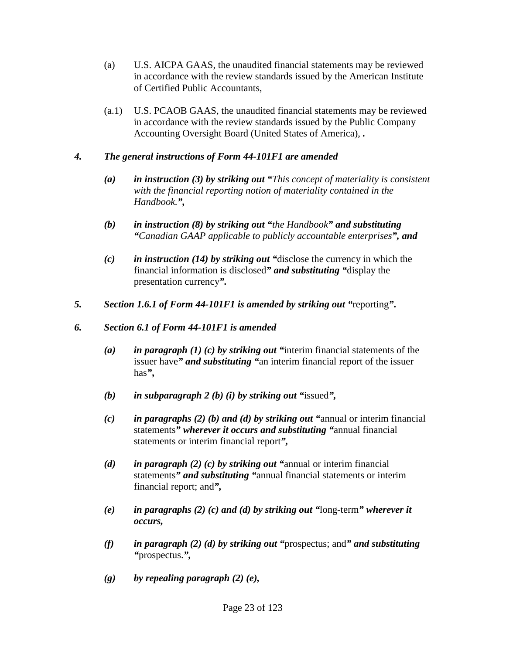- (a) U.S. AICPA GAAS, the unaudited financial statements may be reviewed in accordance with the review standards issued by the American Institute of Certified Public Accountants,
- (a.1) U.S. PCAOB GAAS, the unaudited financial statements may be reviewed in accordance with the review standards issued by the Public Company Accounting Oversight Board (United States of America), *.*

## *4. The general instructions of Form 44-101F1 are amended*

- *(a) in instruction (3) by striking out "This concept of materiality is consistent with the financial reporting notion of materiality contained in the Handbook.",*
- *(b) in instruction (8) by striking out "the Handbook" and substituting "Canadian GAAP applicable to publicly accountable enterprises", and*
- *(c) in instruction (14) by striking out "*disclose the currency in which the financial information is disclosed*" and substituting "*display the presentation currency*".*
- *5. Section 1.6.1 of Form 44-101F1 is amended by striking out "*reporting*"***.**

## *6. Section 6.1 of Form 44-101F1 is amended*

- *(a) in paragraph (1) (c) by striking out "*interim financial statements of the issuer have*" and substituting "*an interim financial report of the issuer has*"***,**
- *(b) in subparagraph 2 (b) (i) by striking out "*issued*",*
- *(c) in paragraphs (2) (b) and (d) by striking out "*annual or interim financial statements*" wherever it occurs and substituting "*annual financial statements or interim financial report*",*
- *(d) in paragraph (2) (c) by striking out "*annual or interim financial statements*" and substituting "*annual financial statements or interim financial report; and*",*
- *(e) in paragraphs (2) (c) and (d) by striking out "*long-term*" wherever it occurs,*
- *(f) in paragraph (2) (d) by striking out "*prospectus; and*" and substituting "*prospectus.*",*
- *(g) by repealing paragraph (2) (e),*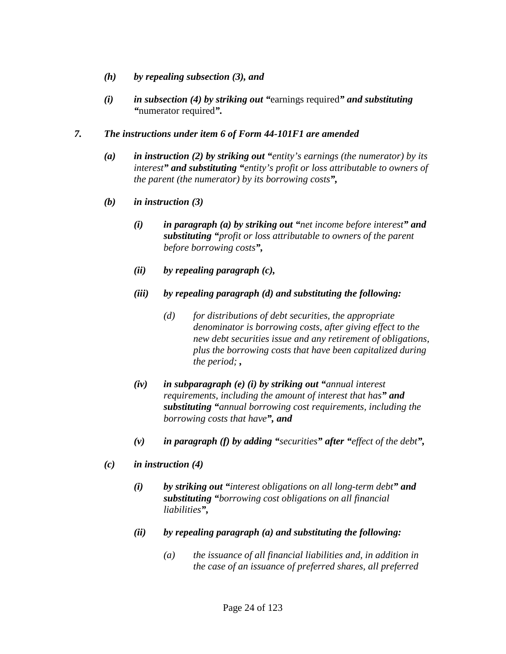- *(h) by repealing subsection (3), and*
- *(i) in subsection (4) by striking out "*earnings required*" and substituting "*numerator required*".*

#### *7. The instructions under item 6 of Form 44-101F1 are amended*

- *(a) in instruction (2) by striking out "entity's earnings (the numerator) by its interest" and substituting "entity's profit or loss attributable to owners of the parent (the numerator) by its borrowing costs",*
- *(b) in instruction (3)*
	- *(i) in paragraph (a) by striking out "net income before interest" and substituting "profit or loss attributable to owners of the parent before borrowing costs",*
	- *(ii) by repealing paragraph (c),*
	- *(iii) by repealing paragraph (d) and substituting the following:*
		- *(d) for distributions of debt securities, the appropriate denominator is borrowing costs, after giving effect to the new debt securities issue and any retirement of obligations, plus the borrowing costs that have been capitalized during the period; ,*
	- *(iv) in subparagraph (e) (i) by striking out "annual interest requirements, including the amount of interest that has" and substituting "annual borrowing cost requirements, including the borrowing costs that have", and*
	- *(v) in paragraph (f) by adding "securities" after "effect of the debt",*
- *(c) in instruction (4)*
	- *(i) by striking out "interest obligations on all long-term debt" and substituting "borrowing cost obligations on all financial liabilities",*
	- *(ii) by repealing paragraph (a) and substituting the following:*
		- *(a) the issuance of all financial liabilities and, in addition in the case of an issuance of preferred shares, all preferred*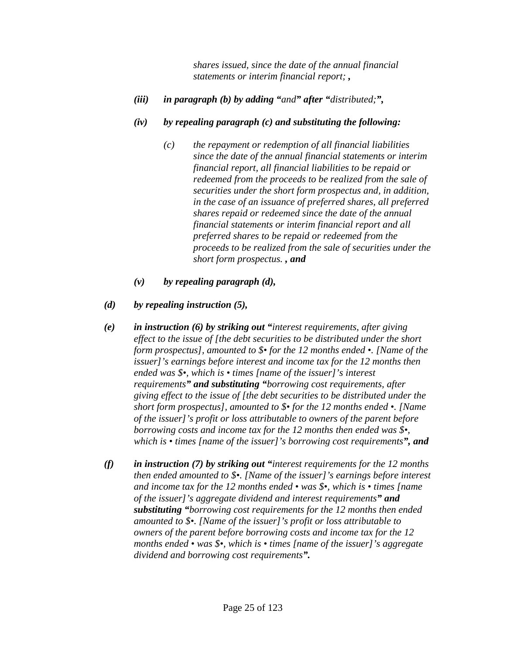*shares issued, since the date of the annual financial statements or interim financial report; ,*

- *(iii) in paragraph (b) by adding "and" after "distributed;",*
- *(iv) by repealing paragraph (c) and substituting the following:*
	- *(c) the repayment or redemption of all financial liabilities since the date of the annual financial statements or interim financial report, all financial liabilities to be repaid or redeemed from the proceeds to be realized from the sale of securities under the short form prospectus and, in addition, in the case of an issuance of preferred shares, all preferred shares repaid or redeemed since the date of the annual financial statements or interim financial report and all preferred shares to be repaid or redeemed from the proceeds to be realized from the sale of securities under the short form prospectus. , and*
- *(v) by repealing paragraph (d),*
- *(d) by repealing instruction (5),*
- *(e) in instruction (6) by striking out "interest requirements, after giving effect to the issue of [the debt securities to be distributed under the short form prospectus], amounted to \$• for the 12 months ended •. [Name of the issuer]'s earnings before interest and income tax for the 12 months then ended was \$•, which is • times [name of the issuer]'s interest requirements" and substituting "borrowing cost requirements, after giving effect to the issue of [the debt securities to be distributed under the short form prospectus], amounted to \$• for the 12 months ended •. [Name of the issuer]'s profit or loss attributable to owners of the parent before borrowing costs and income tax for the 12 months then ended was \$•, which is • times [name of the issuer]'s borrowing cost requirements", and*
- *(f) in instruction (7) by striking out "interest requirements for the 12 months then ended amounted to \$•. [Name of the issuer]'s earnings before interest and income tax for the 12 months ended • was \$•, which is • times [name of the issuer]'s aggregate dividend and interest requirements" and substituting "borrowing cost requirements for the 12 months then ended amounted to \$•. [Name of the issuer]'s profit or loss attributable to owners of the parent before borrowing costs and income tax for the 12 months ended • was \$•, which is • times [name of the issuer]'s aggregate dividend and borrowing cost requirements".*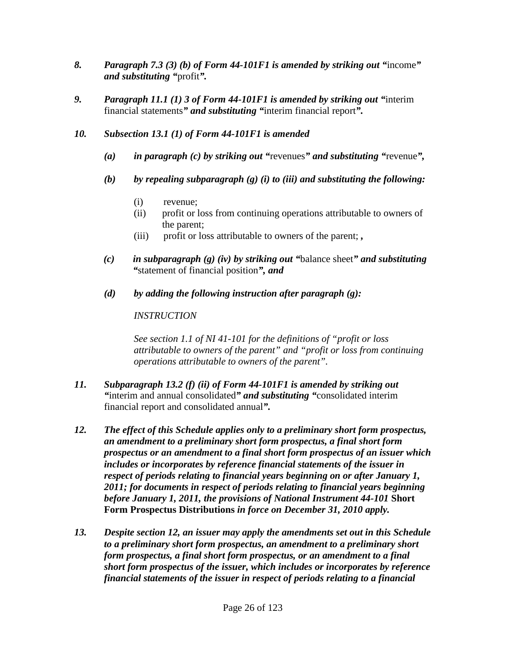- *8. Paragraph 7.3 (3) (b) of Form 44-101F1 is amended by striking out "*income*" and substituting "*profit*".*
- *9. Paragraph 11.1 (1) 3 of Form 44-101F1 is amended by striking out "*interim financial statements*" and substituting "*interim financial report*".*

## *10. Subsection 13.1 (1) of Form 44-101F1 is amended*

- *(a) in paragraph (c) by striking out "*revenues*" and substituting "*revenue*",*
- *(b) by repealing subparagraph (g) (i) to (iii) and substituting the following:*
	- (i) revenue;
	- (ii) profit or loss from continuing operations attributable to owners of the parent;
	- (iii) profit or loss attributable to owners of the parent; *,*
- *(c) in subparagraph (g) (iv) by striking out "*balance sheet*" and substituting "*statement of financial position*", and*
- *(d) by adding the following instruction after paragraph (g):*

*INSTRUCTION*

*See section 1.1 of NI 41-101 for the definitions of "profit or loss attributable to owners of the parent" and "profit or loss from continuing operations attributable to owners of the parent".*

- *11. Subparagraph 13.2 (f) (ii) of Form 44-101F1 is amended by striking out "*interim and annual consolidated*" and substituting "*consolidated interim financial report and consolidated annual*".*
- *12. The effect of this Schedule applies only to a preliminary short form prospectus, an amendment to a preliminary short form prospectus, a final short form prospectus or an amendment to a final short form prospectus of an issuer which includes or incorporates by reference financial statements of the issuer in respect of periods relating to financial years beginning on or after January 1, 2011; for documents in respect of periods relating to financial years beginning before January 1, 2011, the provisions of National Instrument 44-101* **Short Form Prospectus Distributions** *in force on December 31, 2010 apply.*
- *13. Despite section 12, an issuer may apply the amendments set out in this Schedule to a preliminary short form prospectus, an amendment to a preliminary short form prospectus, a final short form prospectus, or an amendment to a final short form prospectus of the issuer, which includes or incorporates by reference financial statements of the issuer in respect of periods relating to a financial*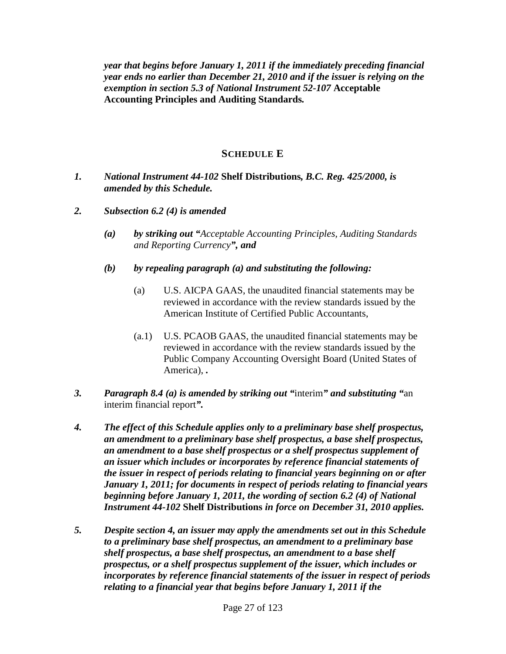*year that begins before January 1, 2011 if the immediately preceding financial year ends no earlier than December 21, 2010 and if the issuer is relying on the exemption in section 5.3 of National Instrument 52-107* **Acceptable Accounting Principles and Auditing Standards***.*

## **SCHEDULE E**

#### *1. National Instrument 44-102* **Shelf Distributions***, B.C. Reg. 425/2000, is amended by this Schedule.*

- *2. Subsection 6.2 (4) is amended*
	- *(a) by striking out "Acceptable Accounting Principles, Auditing Standards and Reporting Currency", and*
	- *(b) by repealing paragraph (a) and substituting the following:*
		- (a) U.S. AICPA GAAS, the unaudited financial statements may be reviewed in accordance with the review standards issued by the American Institute of Certified Public Accountants,
		- (a.1) U.S. PCAOB GAAS, the unaudited financial statements may be reviewed in accordance with the review standards issued by the Public Company Accounting Oversight Board (United States of America), *.*
- *3. Paragraph 8.4 (a) is amended by striking out "*interim*" and substituting "*an interim financial report*".*
- *4. The effect of this Schedule applies only to a preliminary base shelf prospectus, an amendment to a preliminary base shelf prospectus, a base shelf prospectus, an amendment to a base shelf prospectus or a shelf prospectus supplement of an issuer which includes or incorporates by reference financial statements of the issuer in respect of periods relating to financial years beginning on or after January 1, 2011; for documents in respect of periods relating to financial years beginning before January 1, 2011, the wording of section 6.2 (4) of National Instrument 44-102* **Shelf Distributions** *in force on December 31, 2010 applies.*
- *5. Despite section 4, an issuer may apply the amendments set out in this Schedule to a preliminary base shelf prospectus, an amendment to a preliminary base shelf prospectus, a base shelf prospectus, an amendment to a base shelf prospectus, or a shelf prospectus supplement of the issuer, which includes or incorporates by reference financial statements of the issuer in respect of periods relating to a financial year that begins before January 1, 2011 if the*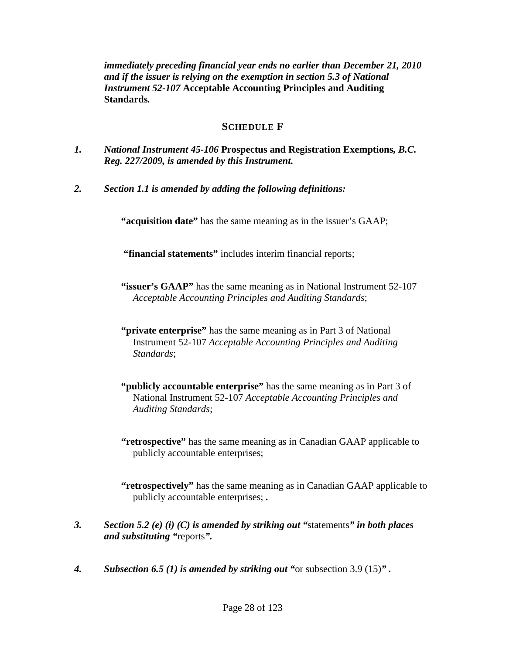*immediately preceding financial year ends no earlier than December 21, 2010 and if the issuer is relying on the exemption in section 5.3 of National Instrument 52-107* **Acceptable Accounting Principles and Auditing Standards***.*

## **SCHEDULE F**

- *1. National Instrument 45-106* **Prospectus and Registration Exemptions***, B.C. Reg. 227/2009, is amended by this Instrument.*
- *2. Section 1.1 is amended by adding the following definitions:*

**"acquisition date"** has the same meaning as in the issuer's GAAP;

**"financial statements"** includes interim financial reports;

**"issuer's GAAP"** has the same meaning as in National Instrument 52-107 *Acceptable Accounting Principles and Auditing Standards*;

- **"private enterprise"** has the same meaning as in Part 3 of National Instrument 52-107 *Acceptable Accounting Principles and Auditing Standards*;
- **"publicly accountable enterprise"** has the same meaning as in Part 3 of National Instrument 52-107 *Acceptable Accounting Principles and Auditing Standards*;

**"retrospective"** has the same meaning as in Canadian GAAP applicable to publicly accountable enterprises;

**"retrospectively"** has the same meaning as in Canadian GAAP applicable to publicly accountable enterprises; *.*

- *3. Section 5.2 (e) (i) (C) is amended by striking out "*statements*" in both places and substituting "*reports*".*
- *4. Subsection 6.5 (1) is amended by striking out "*or subsection 3.9 (15)*" .*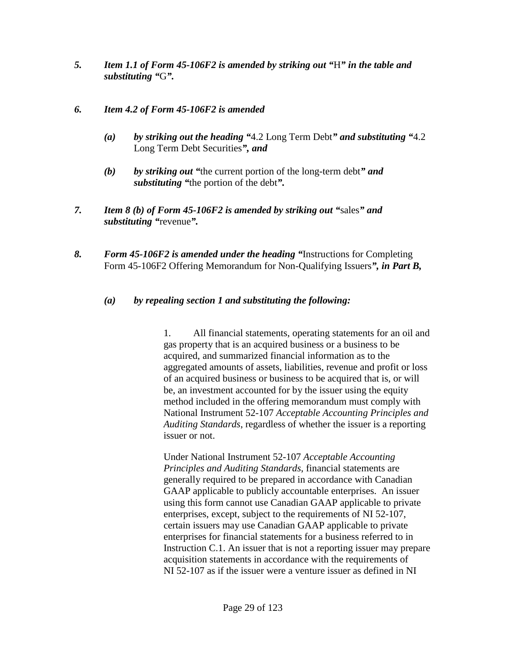*5. Item 1.1 of Form 45-106F2 is amended by striking out "*H*" in the table and substituting "*G*".*

## *6. Item 4.2 of Form 45-106F2 is amended*

- *(a) by striking out the heading "*4.2 Long Term Debt*" and substituting "*4.2 Long Term Debt Securities*", and*
- *(b) by striking out "*the current portion of the long-term debt*" and substituting "*the portion of the debt*".*
- *7. Item 8 (b) of Form 45-106F2 is amended by striking out "*sales*" and substituting "*revenue*".*
- *8. Form 45-106F2 is amended under the heading "*Instructions for Completing Form 45-106F2 Offering Memorandum for Non-Qualifying Issuers*", in Part B,*

## *(a) by repealing section 1 and substituting the following:*

1. All financial statements, operating statements for an oil and gas property that is an acquired business or a business to be acquired, and summarized financial information as to the aggregated amounts of assets, liabilities, revenue and profit or loss of an acquired business or business to be acquired that is, or will be, an investment accounted for by the issuer using the equity method included in the offering memorandum must comply with National Instrument 52-107 *Acceptable Accounting Principles and Auditing Standards*, regardless of whether the issuer is a reporting issuer or not.

Under National Instrument 52-107 *Acceptable Accounting Principles and Auditing Standards*, financial statements are generally required to be prepared in accordance with Canadian GAAP applicable to publicly accountable enterprises. An issuer using this form cannot use Canadian GAAP applicable to private enterprises, except, subject to the requirements of NI 52-107, certain issuers may use Canadian GAAP applicable to private enterprises for financial statements for a business referred to in Instruction C.1. An issuer that is not a reporting issuer may prepare acquisition statements in accordance with the requirements of NI 52-107 as if the issuer were a venture issuer as defined in NI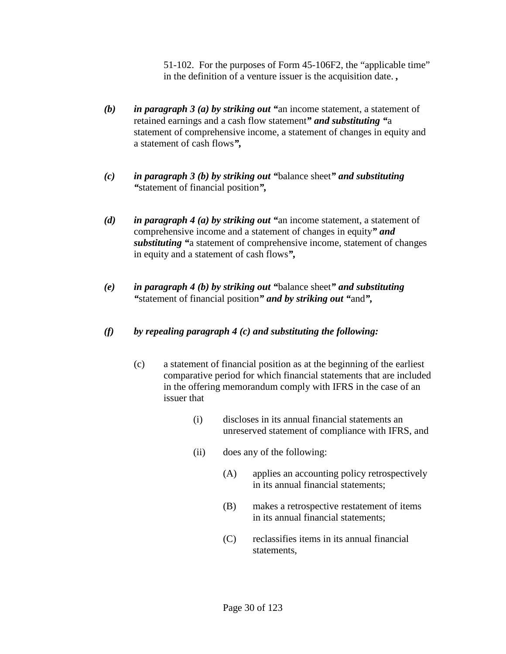51-102. For the purposes of Form 45-106F2, the "applicable time" in the definition of a venture issuer is the acquisition date. *,*

- *(b) in paragraph 3 (a) by striking out "*an income statement, a statement of retained earnings and a cash flow statement*" and substituting "*a statement of comprehensive income, a statement of changes in equity and a statement of cash flows*",*
- *(c) in paragraph 3 (b) by striking out "*balance sheet*" and substituting "*statement of financial position*",*
- *(d) in paragraph 4 (a) by striking out "*an income statement, a statement of comprehensive income and a statement of changes in equity*" and substituting "*a statement of comprehensive income, statement of changes in equity and a statement of cash flows*",*
- *(e) in paragraph 4 (b) by striking out "*balance sheet*" and substituting "*statement of financial position*" and by striking out "*and*",*

## *(f) by repealing paragraph 4 (c) and substituting the following:*

- (c) a statement of financial position as at the beginning of the earliest comparative period for which financial statements that are included in the offering memorandum comply with IFRS in the case of an issuer that
	- (i) discloses in its annual financial statements an unreserved statement of compliance with IFRS, and
	- (ii) does any of the following:
		- (A) applies an accounting policy retrospectively in its annual financial statements;
		- (B) makes a retrospective restatement of items in its annual financial statements;
		- (C) reclassifies items in its annual financial statements,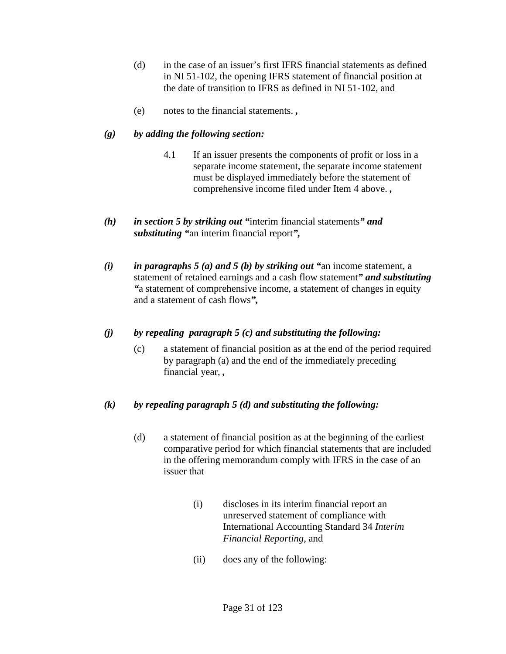- (d) in the case of an issuer's first IFRS financial statements as defined in NI 51-102, the opening IFRS statement of financial position at the date of transition to IFRS as defined in NI 51-102, and
- (e) notes to the financial statements. *,*

## *(g) by adding the following section:*

- 4.1 If an issuer presents the components of profit or loss in a separate income statement, the separate income statement must be displayed immediately before the statement of comprehensive income filed under Item 4 above. *,*
- *(h) in section 5 by striking out "*interim financial statements*" and substituting "*an interim financial report*",*
- *(i) in paragraphs 5 (a) and 5 (b) by striking out "*an income statement, a statement of retained earnings and a cash flow statement*" and substituting "*a statement of comprehensive income, a statement of changes in equity and a statement of cash flows*",*

### *(j) by repealing paragraph 5 (c) and substituting the following:*

(c) a statement of financial position as at the end of the period required by paragraph (a) and the end of the immediately preceding financial year, *,*

## *(k) by repealing paragraph 5 (d) and substituting the following:*

- (d) a statement of financial position as at the beginning of the earliest comparative period for which financial statements that are included in the offering memorandum comply with IFRS in the case of an issuer that
	- (i) discloses in its interim financial report an unreserved statement of compliance with International Accounting Standard 34 *Interim Financial Reporting*, and
	- (ii) does any of the following: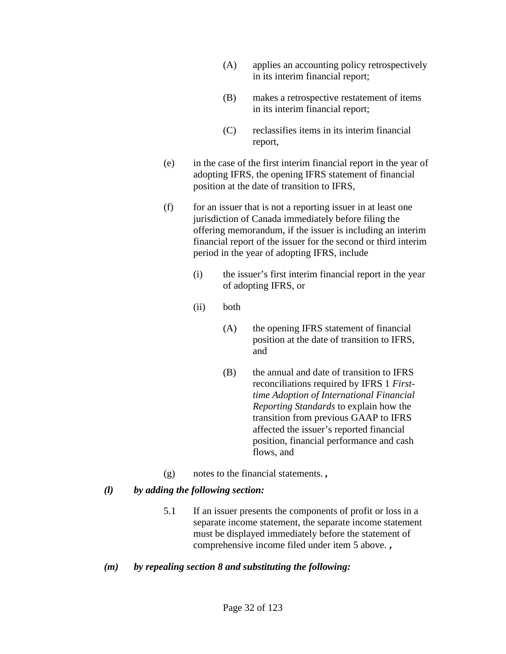- (A) applies an accounting policy retrospectively in its interim financial report;
- (B) makes a retrospective restatement of items in its interim financial report;
- (C) reclassifies items in its interim financial report,
- (e) in the case of the first interim financial report in the year of adopting IFRS, the opening IFRS statement of financial position at the date of transition to IFRS,
- $(f)$  for an issuer that is not a reporting issuer in at least one jurisdiction of Canada immediately before filing the offering memorandum, if the issuer is including an interim financial report of the issuer for the second or third interim period in the year of adopting IFRS, include
	- (i) the issuer's first interim financial report in the year of adopting IFRS, or
	- (ii) both
		- (A) the opening IFRS statement of financial position at the date of transition to IFRS, and
		- (B) the annual and date of transition to IFRS reconciliations required by IFRS 1 *Firsttime Adoption of International Financial Reporting Standards* to explain how the transition from previous GAAP to IFRS affected the issuer's reported financial position, financial performance and cash flows, and
- (g) notes to the financial statements. *,*

## *(l) by adding the following section:*

5.1 If an issuer presents the components of profit or loss in a separate income statement, the separate income statement must be displayed immediately before the statement of comprehensive income filed under item 5 above. **,**

## *(m) by repealing section 8 and substituting the following:*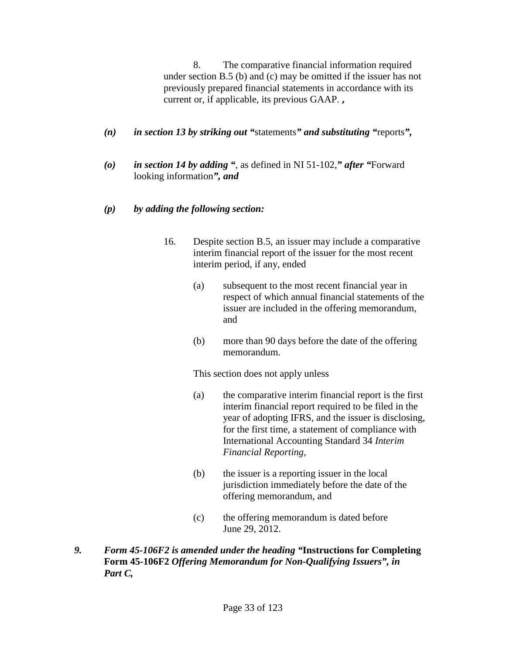8. The comparative financial information required under section B.5 (b) and (c) may be omitted if the issuer has not previously prepared financial statements in accordance with its current or, if applicable, its previous GAAP. **,**

- *(n) in section 13 by striking out "*statements*" and substituting "*reports*",*
- *(o) in section 14 by adding "*, as defined in NI 51-102,*" after "*Forward looking information*", and*

## *(p) by adding the following section:*

- 16. Despite section B.5, an issuer may include a comparative interim financial report of the issuer for the most recent interim period, if any, ended
	- (a) subsequent to the most recent financial year in respect of which annual financial statements of the issuer are included in the offering memorandum, and
	- (b) more than 90 days before the date of the offering memorandum.

This section does not apply unless

- (a) the comparative interim financial report is the first interim financial report required to be filed in the year of adopting IFRS, and the issuer is disclosing, for the first time, a statement of compliance with International Accounting Standard 34 *Interim Financial Reporting*,
- (b) the issuer is a reporting issuer in the local jurisdiction immediately before the date of the offering memorandum, and
- (c) the offering memorandum is dated before June 29, 2012.
- *9. Form 45-106F2 is amended under the heading "***Instructions for Completing Form 45-106F2** *Offering Memorandum for Non-Qualifying Issuers", in Part C,*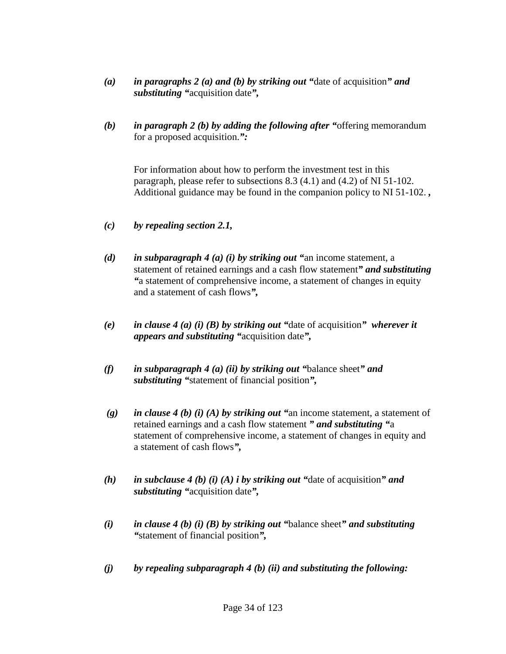- *(a) in paragraphs 2 (a) and (b) by striking out "*date of acquisition*" and substituting "*acquisition date*",*
- *(b) in paragraph 2 (b) by adding the following after "*offering memorandum for a proposed acquisition.*":*

For information about how to perform the investment test in this paragraph, please refer to subsections 8.3 (4.1) and (4.2) of NI 51-102. Additional guidance may be found in the companion policy to NI 51-102. *,*

- *(c) by repealing section 2.1,*
- *(d) in subparagraph 4 (a) (i) by striking out "*an income statement, a statement of retained earnings and a cash flow statement*" and substituting "*a statement of comprehensive income, a statement of changes in equity and a statement of cash flows*",*
- *(e) in clause 4 (a) (i) (B) by striking out "*date of acquisition*" wherever it appears and substituting "*acquisition date*",*
- *(f) in subparagraph 4 (a) (ii) by striking out "*balance sheet*" and substituting "*statement of financial position*",*
- *(g) in clause 4 (b) (i) (A) by striking out "*an income statement, a statement of retained earnings and a cash flow statement *" and substituting "*a statement of comprehensive income, a statement of changes in equity and a statement of cash flows*",*
- *(h) in subclause 4 (b) (i) (A) i by striking out "*date of acquisition*" and substituting "*acquisition date*",*
- *(i) in clause 4 (b) (i) (B) by striking out "*balance sheet*" and substituting "*statement of financial position*",*
- *(j) by repealing subparagraph 4 (b) (ii) and substituting the following:*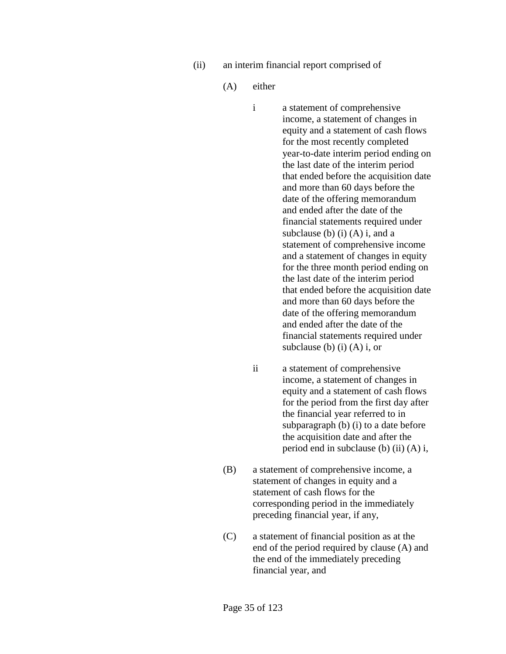- (ii) an interim financial report comprised of
	- (A) either
		- i a statement of comprehensive income, a statement of changes in equity and a statement of cash flows for the most recently completed year-to-date interim period ending on the last date of the interim period that ended before the acquisition date and more than 60 days before the date of the offering memorandum and ended after the date of the financial statements required under subclause (b)  $(i)$   $(A)$  i, and a statement of comprehensive income and a statement of changes in equity for the three month period ending on the last date of the interim period that ended before the acquisition date and more than 60 days before the date of the offering memorandum and ended after the date of the financial statements required under subclause (b)  $(i)$   $(A)$  i, or
		- ii a statement of comprehensive income, a statement of changes in equity and a statement of cash flows for the period from the first day after the financial year referred to in subparagraph (b) (i) to a date before the acquisition date and after the period end in subclause (b) (ii) (A) i,
	- (B) a statement of comprehensive income, a statement of changes in equity and a statement of cash flows for the corresponding period in the immediately preceding financial year, if any,
	- (C) a statement of financial position as at the end of the period required by clause (A) and the end of the immediately preceding financial year, and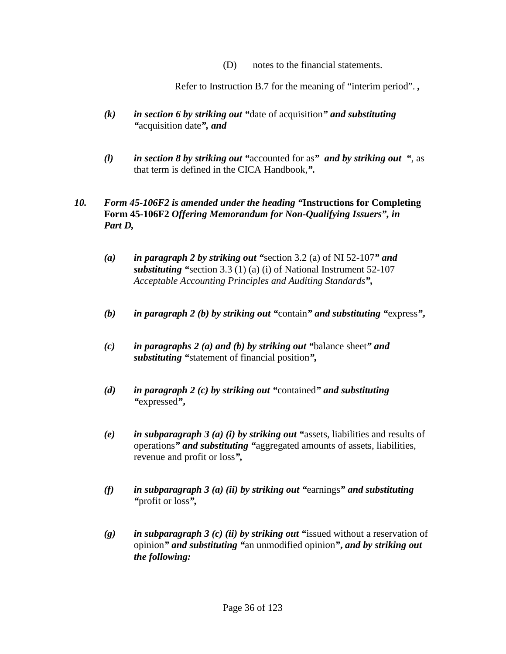(D) notes to the financial statements.

Refer to Instruction B.7 for the meaning of "interim period". *,*

- *(k) in section 6 by striking out "*date of acquisition*" and substituting "*acquisition date*", and*
- *(l) in section 8 by striking out "*accounted for as*" and by striking out "*, as that term is defined in the CICA Handbook,*".*

### *10. Form 45-106F2 is amended under the heading "***Instructions for Completing Form 45-106F2** *Offering Memorandum for Non-Qualifying Issuers", in Part D,*

- *(a) in paragraph 2 by striking out "*section 3.2 (a) of NI 52-107*" and substituting "*section 3.3 (1) (a) (i) of National Instrument 52-107 *Acceptable Accounting Principles and Auditing Standards",*
- *(b) in paragraph 2 (b) by striking out "*contain*" and substituting "*express*"***,**
- *(c) in paragraphs 2 (a) and (b) by striking out "*balance sheet*" and substituting "*statement of financial position*",*
- *(d) in paragraph 2 (c) by striking out "*contained*" and substituting "*expressed*"***,**
- *(e) in subparagraph 3 (a) (i) by striking out "*assets, liabilities and results of operations*" and substituting "*aggregated amounts of assets, liabilities, revenue and profit or loss*",*
- *(f) in subparagraph 3 (a) (ii) by striking out "*earnings*" and substituting "*profit or loss*",*
- *(g) in subparagraph 3 (c) (ii) by striking out "*issued without a reservation of opinion*" and substituting "*an unmodified opinion*"***,** *and by striking out the following:*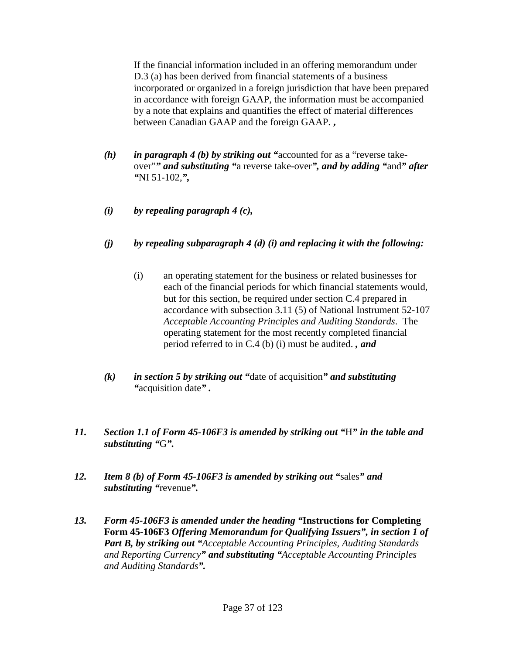If the financial information included in an offering memorandum under D.3 (a) has been derived from financial statements of a business incorporated or organized in a foreign jurisdiction that have been prepared in accordance with foreign GAAP, the information must be accompanied by a note that explains and quantifies the effect of material differences between Canadian GAAP and the foreign GAAP. **,**

- *(h) in paragraph 4 (b) by striking out "*accounted for as a "reverse takeover"*" and substituting "*a reverse take-over*", and by adding "*and*" after "*NI 51-102,*",*
- *(i) by repealing paragraph 4 (c),*
- *(j) by repealing subparagraph 4 (d) (i) and replacing it with the following:*
	- (i) an operating statement for the business or related businesses for each of the financial periods for which financial statements would, but for this section, be required under section C.4 prepared in accordance with subsection 3.11 (5) of National Instrument 52-107 *Acceptable Accounting Principles and Auditing Standards*. The operating statement for the most recently completed financial period referred to in C.4 (b) (i) must be audited. *, and*
- *(k) in section 5 by striking out "*date of acquisition*" and substituting "*acquisition date*" .*
- *11. Section 1.1 of Form 45-106F3 is amended by striking out "*H*" in the table and substituting "*G*".*
- *12. Item 8 (b) of Form 45-106F3 is amended by striking out "*sales*" and substituting "*revenue*".*
- *13. Form 45-106F3 is amended under the heading "***Instructions for Completing Form 45-106F3** *Offering Memorandum for Qualifying Issuers", in section 1 of Part B, by striking out "Acceptable Accounting Principles, Auditing Standards and Reporting Currency" and substituting "Acceptable Accounting Principles and Auditing Standards".*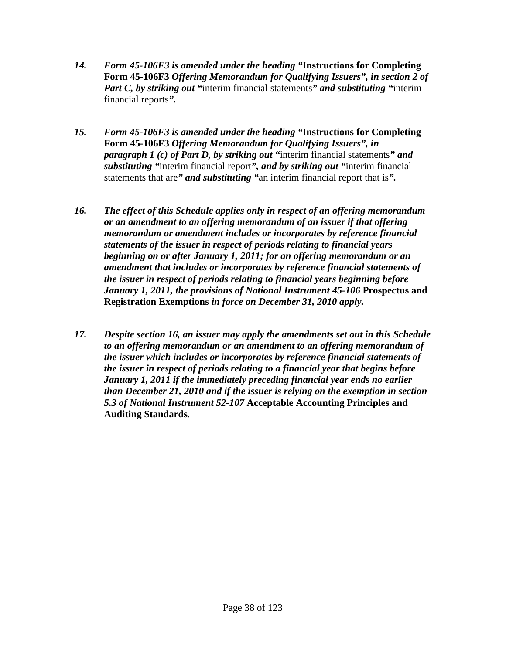- *14. Form 45-106F3 is amended under the heading "***Instructions for Completing Form 45-106F3** *Offering Memorandum for Qualifying Issuers", in section 2 of Part C, by striking out "*interim financial statements*" and substituting "*interim financial reports*".*
- *15. Form 45-106F3 is amended under the heading "***Instructions for Completing Form 45-106F3** *Offering Memorandum for Qualifying Issuers", in paragraph 1 (c) of Part D, by striking out "*interim financial statements*" and substituting "*interim financial report*", and by striking out "*interim financial statements that are*" and substituting "*an interim financial report that is*".*
- *16. The effect of this Schedule applies only in respect of an offering memorandum or an amendment to an offering memorandum of an issuer if that offering memorandum or amendment includes or incorporates by reference financial statements of the issuer in respect of periods relating to financial years beginning on or after January 1, 2011; for an offering memorandum or an amendment that includes or incorporates by reference financial statements of the issuer in respect of periods relating to financial years beginning before January 1, 2011, the provisions of National Instrument 45-106* **Prospectus and Registration Exemptions** *in force on December 31, 2010 apply.*
- *17. Despite section 16, an issuer may apply the amendments set out in this Schedule to an offering memorandum or an amendment to an offering memorandum of the issuer which includes or incorporates by reference financial statements of the issuer in respect of periods relating to a financial year that begins before January 1, 2011 if the immediately preceding financial year ends no earlier than December 21, 2010 and if the issuer is relying on the exemption in section 5.3 of National Instrument 52-107* **Acceptable Accounting Principles and Auditing Standards***.*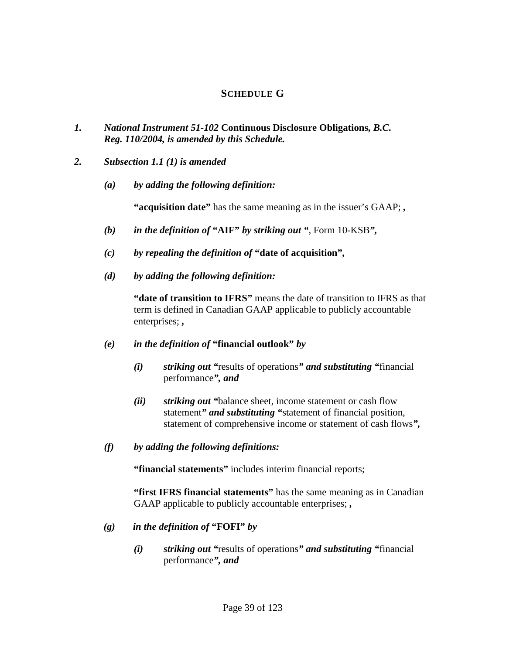## **SCHEDULE G**

- *1. National Instrument 51-102* **Continuous Disclosure Obligations***, B.C. Reg. 110/2004, is amended by this Schedule.*
- *2. Subsection 1.1 (1) is amended*
	- *(a) by adding the following definition:*

**"acquisition date"** has the same meaning as in the issuer's GAAP; *,*

- *(b) in the definition of* **"AIF"** *by striking out "*, Form 10-KSB*",*
- *(c) by repealing the definition of* **"date of acquisition"***,*
- *(d) by adding the following definition:*

**"date of transition to IFRS"** means the date of transition to IFRS as that term is defined in Canadian GAAP applicable to publicly accountable enterprises; *,*

- *(e) in the definition of* **"financial outlook"** *by*
	- *(i) striking out "*results of operations*" and substituting "*financial performance*", and*
	- *(ii) striking out "*balance sheet, income statement or cash flow statement*" and substituting "*statement of financial position, statement of comprehensive income or statement of cash flows*",*
- *(f) by adding the following definitions:*

**"financial statements"** includes interim financial reports;

**"first IFRS financial statements"** has the same meaning as in Canadian GAAP applicable to publicly accountable enterprises; *,*

- *(g) in the definition of* **"FOFI"** *by*
	- *(i) striking out "*results of operations*" and substituting "*financial performance*", and*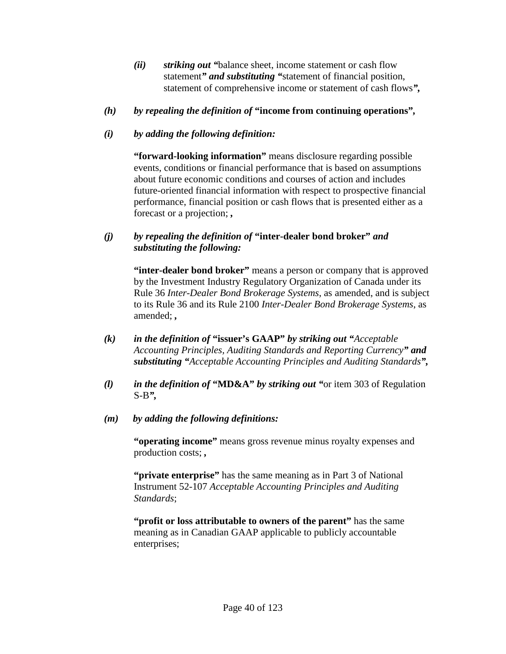- *(ii) striking out "*balance sheet, income statement or cash flow statement*" and substituting "*statement of financial position, statement of comprehensive income or statement of cash flows*",*
- *(h) by repealing the definition of* **"income from continuing operations"***,*
- *(i) by adding the following definition:*

**"forward-looking information"** means disclosure regarding possible events, conditions or financial performance that is based on assumptions about future economic conditions and courses of action and includes future-oriented financial information with respect to prospective financial performance, financial position or cash flows that is presented either as a forecast or a projection; *,*

*(j) by repealing the definition of* **"inter-dealer bond broker"** *and substituting the following:*

> **"inter-dealer bond broker"** means a person or company that is approved by the Investment Industry Regulatory Organization of Canada under its Rule 36 *Inter-Dealer Bond Brokerage Systems*, as amended, and is subject to its Rule 36 and its Rule 2100 *Inter-Dealer Bond Brokerage Systems*, as amended; *,*

- *(k) in the definition of* **"issuer's GAAP"** *by striking out "Acceptable Accounting Principles, Auditing Standards and Reporting Currency" and substituting "Acceptable Accounting Principles and Auditing Standards",*
- *(l) in the definition of* **"MD&A"** *by striking out "*or item 303 of Regulation S-B*",*
- *(m) by adding the following definitions:*

**"operating income"** means gross revenue minus royalty expenses and production costs; *,*

**"private enterprise"** has the same meaning as in Part 3 of National Instrument 52-107 *Acceptable Accounting Principles and Auditing Standards*;

**"profit or loss attributable to owners of the parent"** has the same meaning as in Canadian GAAP applicable to publicly accountable enterprises;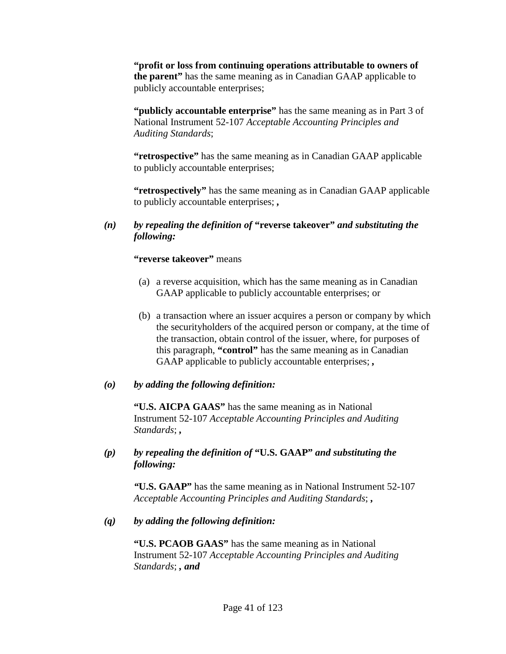**"profit or loss from continuing operations attributable to owners of the parent"** has the same meaning as in Canadian GAAP applicable to publicly accountable enterprises;

**"publicly accountable enterprise"** has the same meaning as in Part 3 of National Instrument 52-107 *Acceptable Accounting Principles and Auditing Standards*;

**"retrospective"** has the same meaning as in Canadian GAAP applicable to publicly accountable enterprises;

**"retrospectively"** has the same meaning as in Canadian GAAP applicable to publicly accountable enterprises; *,*

*(n) by repealing the definition of* **"reverse takeover"** *and substituting the following:*

**"reverse takeover"** means

- (a) a reverse acquisition, which has the same meaning as in Canadian GAAP applicable to publicly accountable enterprises; or
- (b) a transaction where an issuer acquires a person or company by which the securityholders of the acquired person or company, at the time of the transaction, obtain control of the issuer, where, for purposes of this paragraph, **"control"** has the same meaning as in Canadian GAAP applicable to publicly accountable enterprises; *,*

### *(o) by adding the following definition:*

**"U.S. AICPA GAAS"** has the same meaning as in National Instrument 52-107 *Acceptable Accounting Principles and Auditing Standards*; *,*

*(p) by repealing the definition of* **"U.S. GAAP"** *and substituting the following:*

*"***U.S. GAAP"** has the same meaning as in National Instrument 52-107 *Acceptable Accounting Principles and Auditing Standards*; *,*

*(q) by adding the following definition:*

**"U.S. PCAOB GAAS"** has the same meaning as in National Instrument 52-107 *Acceptable Accounting Principles and Auditing Standards*; *, and*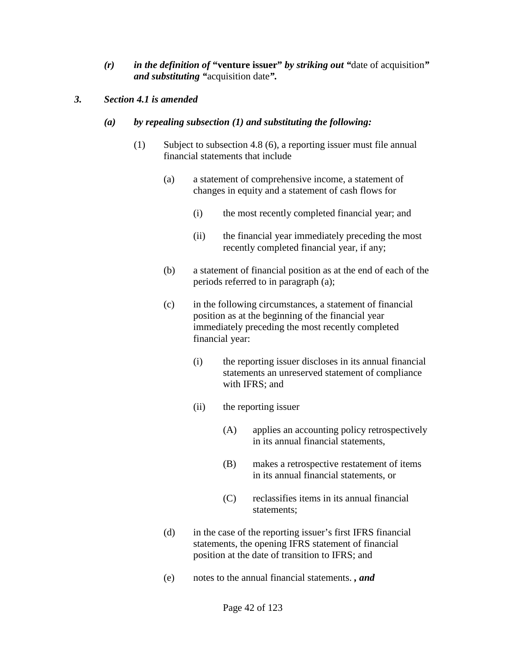- *(r) in the definition of* **"venture issuer"** *by striking out "*date of acquisition*" and substituting "*acquisition date*".*
- *3. Section 4.1 is amended*
	- *(a) by repealing subsection (1) and substituting the following:*
		- (1) Subject to subsection 4.8 (6), a reporting issuer must file annual financial statements that include
			- (a) a statement of comprehensive income, a statement of changes in equity and a statement of cash flows for
				- (i) the most recently completed financial year; and
				- (ii) the financial year immediately preceding the most recently completed financial year, if any;
			- (b) a statement of financial position as at the end of each of the periods referred to in paragraph (a);
			- (c) in the following circumstances, a statement of financial position as at the beginning of the financial year immediately preceding the most recently completed financial year:
				- (i) the reporting issuer discloses in its annual financial statements an unreserved statement of compliance with IFRS; and
				- (ii) the reporting issuer
					- (A) applies an accounting policy retrospectively in its annual financial statements,
					- (B) makes a retrospective restatement of items in its annual financial statements, or
					- (C) reclassifies items in its annual financial statements;
			- (d) in the case of the reporting issuer's first IFRS financial statements, the opening IFRS statement of financial position at the date of transition to IFRS; and
			- (e) notes to the annual financial statements. *, and*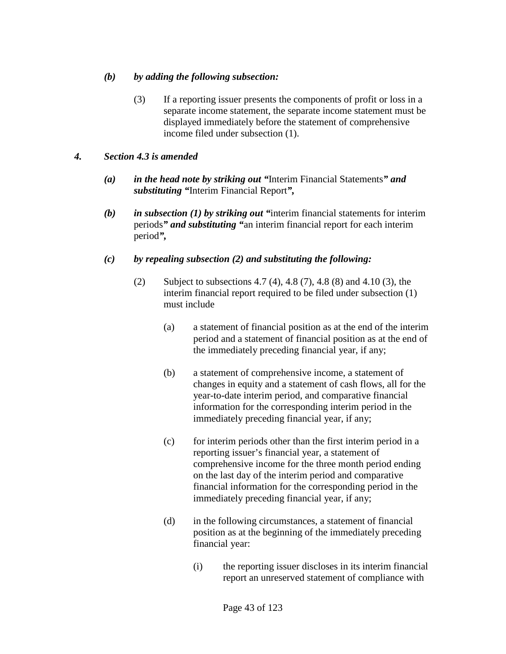## *(b) by adding the following subsection:*

- (3) If a reporting issuer presents the components of profit or loss in a separate income statement, the separate income statement must be displayed immediately before the statement of comprehensive income filed under subsection (1).
- *4. Section 4.3 is amended*
	- *(a) in the head note by striking out "*Interim Financial Statements*" and substituting "*Interim Financial Report*",*
	- *(b) in subsection (1) by striking out "*interim financial statements for interim periods*" and substituting "*an interim financial report for each interim period*",*
	- *(c) by repealing subsection (2) and substituting the following:*
		- (2) Subject to subsections 4.7 (4), 4.8 (7), 4.8 (8) and 4.10 (3), the interim financial report required to be filed under subsection (1) must include
			- (a) a statement of financial position as at the end of the interim period and a statement of financial position as at the end of the immediately preceding financial year, if any;
			- (b) a statement of comprehensive income, a statement of changes in equity and a statement of cash flows, all for the year-to-date interim period, and comparative financial information for the corresponding interim period in the immediately preceding financial year, if any;
			- (c) for interim periods other than the first interim period in a reporting issuer's financial year, a statement of comprehensive income for the three month period ending on the last day of the interim period and comparative financial information for the corresponding period in the immediately preceding financial year, if any;
			- (d) in the following circumstances, a statement of financial position as at the beginning of the immediately preceding financial year:
				- (i) the reporting issuer discloses in its interim financial report an unreserved statement of compliance with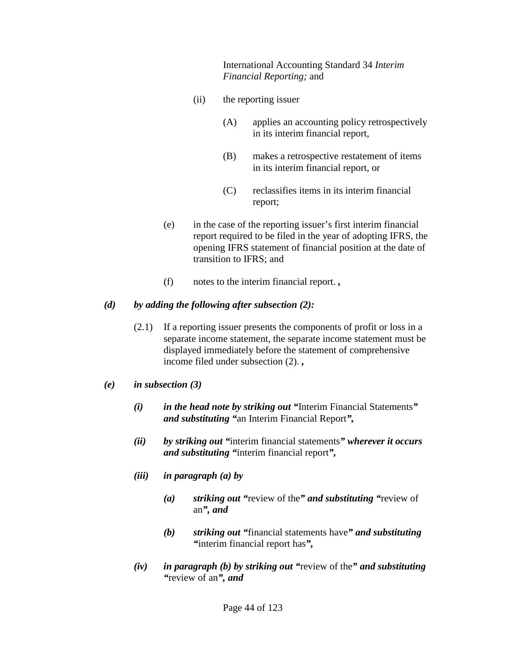International Accounting Standard 34 *Interim Financial Reporting;* and

- (ii) the reporting issuer
	- (A) applies an accounting policy retrospectively in its interim financial report,
	- (B) makes a retrospective restatement of items in its interim financial report, or
	- (C) reclassifies items in its interim financial report;
- (e) in the case of the reporting issuer's first interim financial report required to be filed in the year of adopting IFRS, the opening IFRS statement of financial position at the date of transition to IFRS; and
- (f) notes to the interim financial report. *,*

### *(d) by adding the following after subsection (2):*

- (2.1) If a reporting issuer presents the components of profit or loss in a separate income statement, the separate income statement must be displayed immediately before the statement of comprehensive income filed under subsection (2). *,*
- *(e) in subsection (3)*
	- *(i) in the head note by striking out "*Interim Financial Statements*" and substituting "*an Interim Financial Report*",*
	- *(ii) by striking out "*interim financial statements*" wherever it occurs and substituting "*interim financial report*",*
	- *(iii) in paragraph (a) by*
		- *(a) striking out "*review of the*" and substituting "*review of an*", and*
		- *(b) striking out "*financial statements have*" and substituting "*interim financial report has*",*
	- *(iv) in paragraph (b) by striking out "*review of the*" and substituting "*review of an*", and*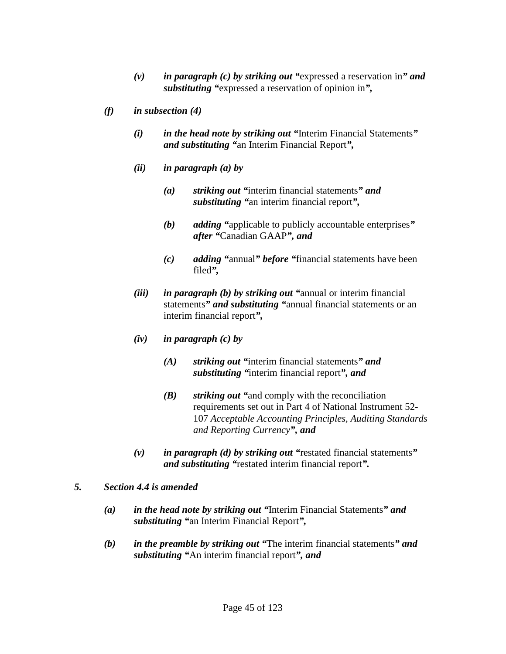- *(v) in paragraph (c) by striking out "*expressed a reservation in*" and substituting "*expressed a reservation of opinion in*",*
- *(f) in subsection (4)*
	- *(i) in the head note by striking out "*Interim Financial Statements*" and substituting "*an Interim Financial Report*",*
	- *(ii) in paragraph (a) by*
		- *(a) striking out "*interim financial statements*" and substituting "*an interim financial report*",*
		- *(b) adding "*applicable to publicly accountable enterprises*" after "*Canadian GAAP*", and*
		- *(c) adding "*annual*" before "*financial statements have been filed*",*
	- *(iii) in paragraph (b) by striking out "*annual or interim financial statements*" and substituting "*annual financial statements or an interim financial report*",*
	- *(iv) in paragraph (c) by*
		- *(A) striking out "*interim financial statements*" and substituting "*interim financial report*", and*
		- *(B) striking out "*and comply with the reconciliation requirements set out in Part 4 of National Instrument 52- 107 *Acceptable Accounting Principles, Auditing Standards and Reporting Currency", and*
	- *(v) in paragraph (d) by striking out "*restated financial statements*" and substituting "*restated interim financial report*".*
- *5. Section 4.4 is amended*
	- *(a) in the head note by striking out "*Interim Financial Statements*" and substituting "*an Interim Financial Report*",*
	- *(b) in the preamble by striking out "*The interim financial statements*" and substituting "*An interim financial report*", and*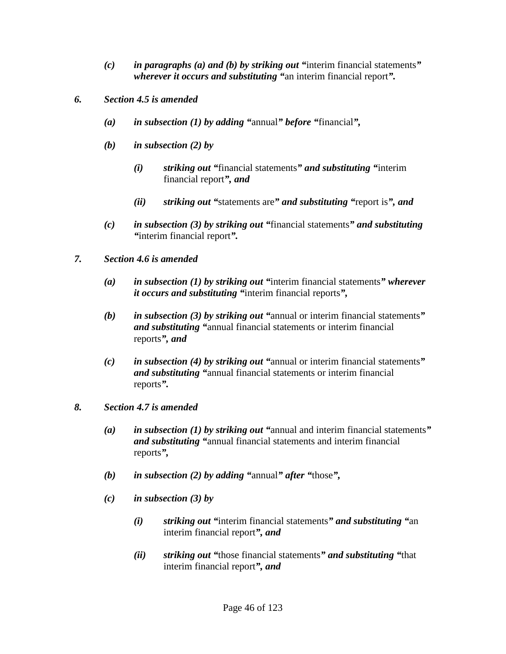- *(c) in paragraphs (a) and (b) by striking out "*interim financial statements*" wherever it occurs and substituting "*an interim financial report*".*
- *6. Section 4.5 is amended*
	- *(a) in subsection (1) by adding "*annual*" before "*financial*",*
	- *(b) in subsection (2) by*
		- *(i) striking out "*financial statements*" and substituting "*interim financial report*", and*
		- *(ii) striking out "*statements are*" and substituting "*report is*", and*
	- *(c) in subsection (3) by striking out "*financial statements*" and substituting "*interim financial report*".*
- *7. Section 4.6 is amended*
	- *(a) in subsection (1) by striking out "*interim financial statements*" wherever it occurs and substituting "*interim financial reports*",*
	- *(b) in subsection (3) by striking out "*annual or interim financial statements*" and substituting "*annual financial statements or interim financial reports*", and*
	- *(c) in subsection (4) by striking out "*annual or interim financial statements*" and substituting "*annual financial statements or interim financial reports*".*

### *8. Section 4.7 is amended*

- *(a) in subsection (1) by striking out "*annual and interim financial statements*" and substituting "*annual financial statements and interim financial reports*",*
- *(b) in subsection (2) by adding "*annual*" after "*those*",*
- *(c) in subsection (3) by*
	- *(i) striking out "*interim financial statements*" and substituting "*an interim financial report*", and*
	- *(ii) striking out "*those financial statements*" and substituting "*that interim financial report*", and*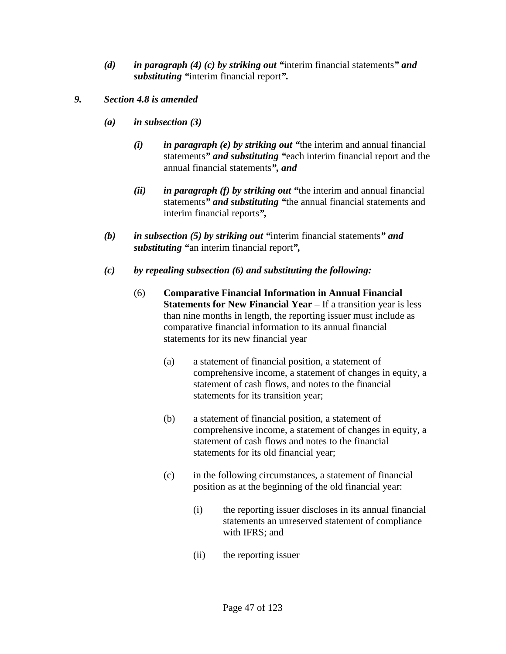- *(d) in paragraph (4) (c) by striking out "*interim financial statements*" and substituting "*interim financial report*".*
- *9. Section 4.8 is amended*
	- *(a) in subsection (3)*
		- *(i) in paragraph (e) by striking out "*the interim and annual financial statements*" and substituting "*each interim financial report and the annual financial statements*", and*
		- *(ii) in paragraph (f) by striking out "*the interim and annual financial statements*" and substituting "*the annual financial statements and interim financial reports*",*
	- *(b) in subsection (5) by striking out "*interim financial statements*" and substituting "*an interim financial report*",*
	- *(c) by repealing subsection (6) and substituting the following:*
		- (6) **Comparative Financial Information in Annual Financial Statements for New Financial Year** – If a transition year is less than nine months in length, the reporting issuer must include as comparative financial information to its annual financial statements for its new financial year
			- (a) a statement of financial position, a statement of comprehensive income, a statement of changes in equity, a statement of cash flows, and notes to the financial statements for its transition year;
			- (b) a statement of financial position, a statement of comprehensive income, a statement of changes in equity, a statement of cash flows and notes to the financial statements for its old financial year;
			- (c) in the following circumstances, a statement of financial position as at the beginning of the old financial year:
				- (i) the reporting issuer discloses in its annual financial statements an unreserved statement of compliance with IFRS; and
				- (ii) the reporting issuer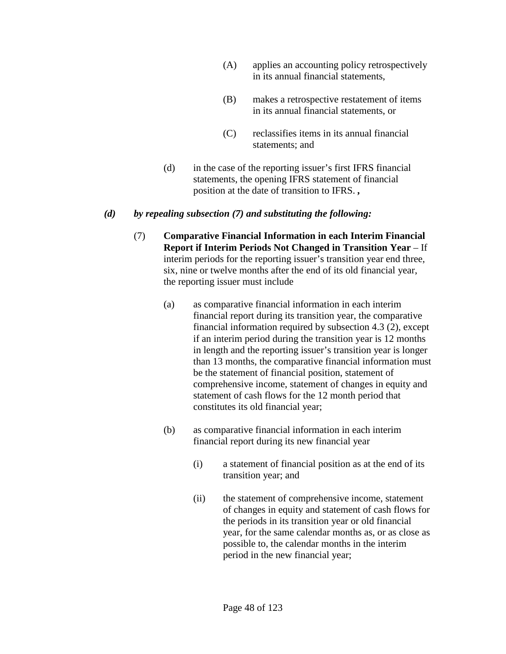- (A) applies an accounting policy retrospectively in its annual financial statements,
- (B) makes a retrospective restatement of items in its annual financial statements, or
- (C) reclassifies items in its annual financial statements; and
- (d) in the case of the reporting issuer's first IFRS financial statements, the opening IFRS statement of financial position at the date of transition to IFRS. *,*

# *(d) by repealing subsection (7) and substituting the following:*

- (7) **Comparative Financial Information in each Interim Financial Report if Interim Periods Not Changed in Transition Year** – If interim periods for the reporting issuer's transition year end three, six, nine or twelve months after the end of its old financial year, the reporting issuer must include
	- (a) as comparative financial information in each interim financial report during its transition year, the comparative financial information required by subsection 4.3 (2), except if an interim period during the transition year is 12 months in length and the reporting issuer's transition year is longer than 13 months, the comparative financial information must be the statement of financial position, statement of comprehensive income, statement of changes in equity and statement of cash flows for the 12 month period that constitutes its old financial year;
	- (b) as comparative financial information in each interim financial report during its new financial year
		- (i) a statement of financial position as at the end of its transition year; and
		- (ii) the statement of comprehensive income, statement of changes in equity and statement of cash flows for the periods in its transition year or old financial year, for the same calendar months as, or as close as possible to, the calendar months in the interim period in the new financial year;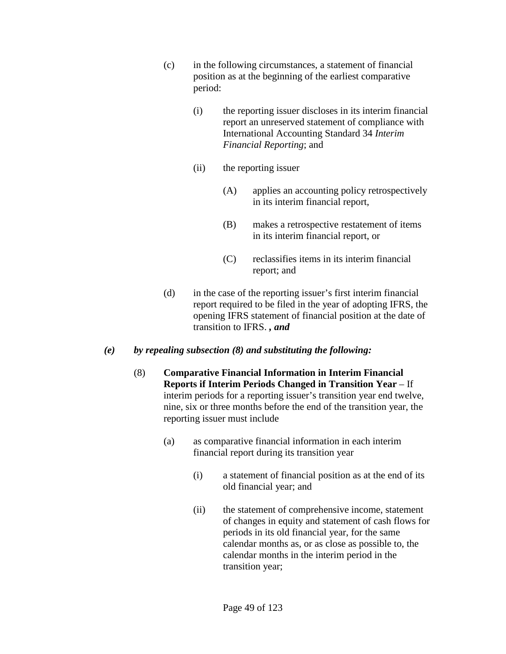- (c) in the following circumstances, a statement of financial position as at the beginning of the earliest comparative period:
	- (i) the reporting issuer discloses in its interim financial report an unreserved statement of compliance with International Accounting Standard 34 *Interim Financial Reporting*; and
	- (ii) the reporting issuer
		- (A) applies an accounting policy retrospectively in its interim financial report,
		- (B) makes a retrospective restatement of items in its interim financial report, or
		- (C) reclassifies items in its interim financial report; and
- (d) in the case of the reporting issuer's first interim financial report required to be filed in the year of adopting IFRS, the opening IFRS statement of financial position at the date of transition to IFRS. *, and*

# *(e) by repealing subsection (8) and substituting the following:*

- (8) **Comparative Financial Information in Interim Financial Reports if Interim Periods Changed in Transition Year** – If interim periods for a reporting issuer's transition year end twelve, nine, six or three months before the end of the transition year, the reporting issuer must include
	- (a) as comparative financial information in each interim financial report during its transition year
		- (i) a statement of financial position as at the end of its old financial year; and
		- (ii) the statement of comprehensive income, statement of changes in equity and statement of cash flows for periods in its old financial year, for the same calendar months as, or as close as possible to, the calendar months in the interim period in the transition year;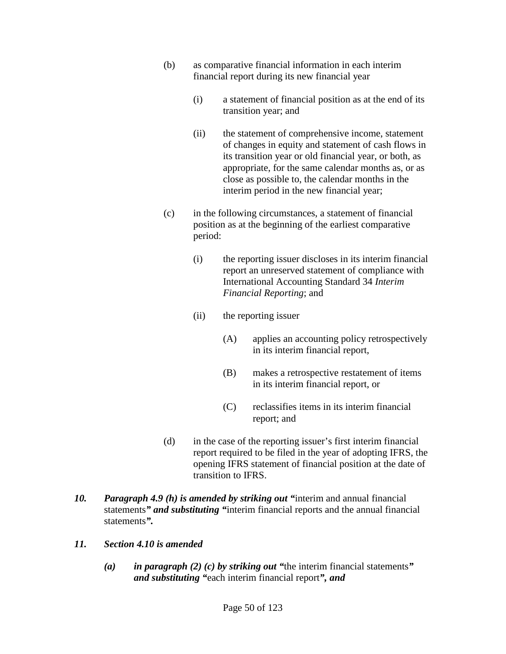- (b) as comparative financial information in each interim financial report during its new financial year
	- (i) a statement of financial position as at the end of its transition year; and
	- (ii) the statement of comprehensive income, statement of changes in equity and statement of cash flows in its transition year or old financial year, or both, as appropriate, for the same calendar months as, or as close as possible to, the calendar months in the interim period in the new financial year;
- (c) in the following circumstances, a statement of financial position as at the beginning of the earliest comparative period:
	- (i) the reporting issuer discloses in its interim financial report an unreserved statement of compliance with International Accounting Standard 34 *Interim Financial Reporting*; and
	- (ii) the reporting issuer
		- (A) applies an accounting policy retrospectively in its interim financial report,
		- (B) makes a retrospective restatement of items in its interim financial report, or
		- (C) reclassifies items in its interim financial report; and
- (d) in the case of the reporting issuer's first interim financial report required to be filed in the year of adopting IFRS, the opening IFRS statement of financial position at the date of transition to IFRS.
- *10. Paragraph 4.9 (h) is amended by striking out "*interim and annual financial statements*" and substituting "*interim financial reports and the annual financial statements*".*
- *11. Section 4.10 is amended*
	- *(a) in paragraph (2) (c) by striking out "*the interim financial statements*" and substituting "*each interim financial report*", and*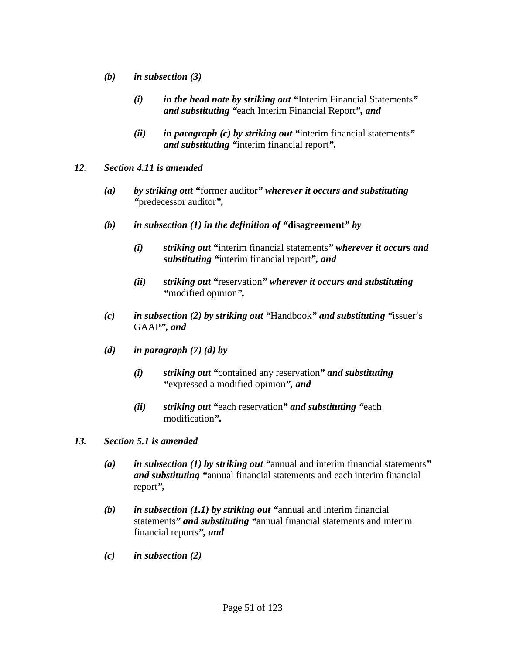- *(b) in subsection (3)*
	- *(i) in the head note by striking out "*Interim Financial Statements*" and substituting "*each Interim Financial Report*", and*
	- *(ii) in paragraph (c) by striking out "*interim financial statements*" and substituting "*interim financial report*".*
- *12. Section 4.11 is amended*
	- *(a) by striking out "*former auditor*" wherever it occurs and substituting "*predecessor auditor*",*
	- *(b) in subsection (1) in the definition of "***disagreement***" by*
		- *(i) striking out "*interim financial statements*" wherever it occurs and substituting "*interim financial report*", and*
		- *(ii) striking out "*reservation*" wherever it occurs and substituting "*modified opinion*",*
	- *(c) in subsection (2) by striking out "*Handbook*" and substituting "*issuer's GAAP*", and*
	- *(d) in paragraph (7) (d) by*
		- *(i) striking out "*contained any reservation*" and substituting "*expressed a modified opinion*", and*
		- *(ii) striking out "*each reservation*" and substituting "*each modification*".*
- *13. Section 5.1 is amended*
	- *(a) in subsection (1) by striking out "*annual and interim financial statements*" and substituting "*annual financial statements and each interim financial report*",*
	- *(b) in subsection (1.1) by striking out "*annual and interim financial statements*" and substituting "*annual financial statements and interim financial reports*", and*
	- *(c) in subsection (2)*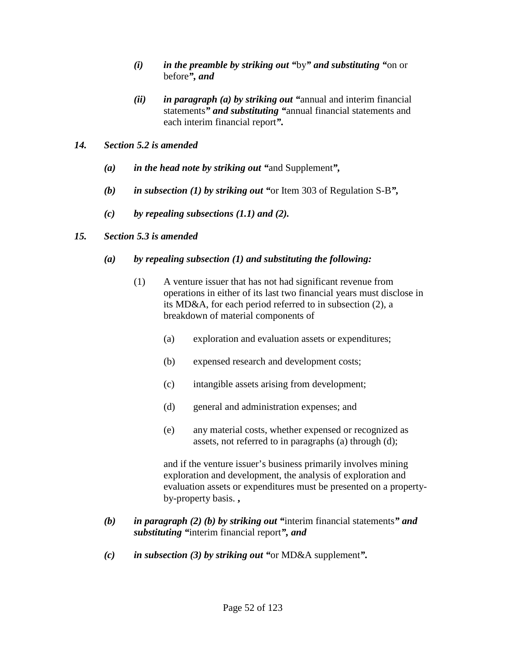- *(i) in the preamble by striking out "*by*" and substituting "*on or before*", and*
- *(ii) in paragraph (a) by striking out "*annual and interim financial statements*" and substituting "*annual financial statements and each interim financial report*".*
- *14. Section 5.2 is amended*
	- *(a) in the head note by striking out "*and Supplement*",*
	- *(b) in subsection (1) by striking out "*or Item 303 of Regulation S-B*",*
	- *(c) by repealing subsections (1.1) and (2).*

# *15. Section 5.3 is amended*

- *(a) by repealing subsection (1) and substituting the following:*
	- (1) A venture issuer that has not had significant revenue from operations in either of its last two financial years must disclose in its MD&A, for each period referred to in subsection (2), a breakdown of material components of
		- (a) exploration and evaluation assets or expenditures;
		- (b) expensed research and development costs;
		- (c) intangible assets arising from development;
		- (d) general and administration expenses; and
		- (e) any material costs, whether expensed or recognized as assets, not referred to in paragraphs (a) through (d);

and if the venture issuer's business primarily involves mining exploration and development, the analysis of exploration and evaluation assets or expenditures must be presented on a propertyby-property basis. **,**

- *(b) in paragraph (2) (b) by striking out "*interim financial statements*" and substituting "*interim financial report*", and*
- *(c) in subsection (3) by striking out "*or MD&A supplement*".*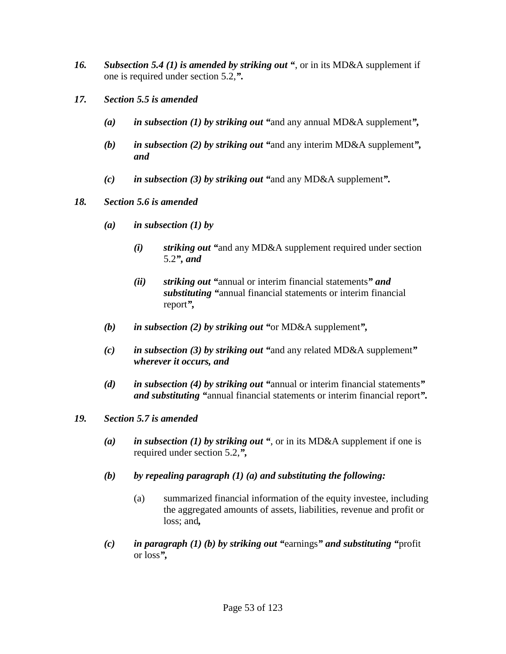- *16. Subsection 5.4 (1) is amended by striking out "*, or in its MD&A supplement if one is required under section 5.2,*".*
- *17. Section 5.5 is amended*
	- *(a) in subsection (1) by striking out "*and any annual MD&A supplement*",*
	- *(b) in subsection (2) by striking out "*and any interim MD&A supplement*", and*
	- *(c) in subsection (3) by striking out "*and any MD&A supplement*".*
- *18. Section 5.6 is amended*
	- *(a) in subsection (1) by*
		- *(i) striking out "*and any MD&A supplement required under section 5.2*", and*
		- *(ii) striking out "*annual or interim financial statements*" and substituting "*annual financial statements or interim financial report*",*
	- *(b) in subsection (2) by striking out "*or MD&A supplement*",*
	- *(c) in subsection (3) by striking out "*and any related MD&A supplement*" wherever it occurs, and*
	- *(d) in subsection (4) by striking out "*annual or interim financial statements*" and substituting "*annual financial statements or interim financial report*".*

### *19. Section 5.7 is amended*

- *(a) in subsection (1) by striking out "*, or in its MD&A supplement if one is required under section 5.2,*",*
- *(b) by repealing paragraph (1) (a) and substituting the following:*
	- (a) summarized financial information of the equity investee, including the aggregated amounts of assets, liabilities, revenue and profit or loss; and*,*
- *(c) in paragraph (1) (b) by striking out "*earnings*" and substituting "*profit or loss*",*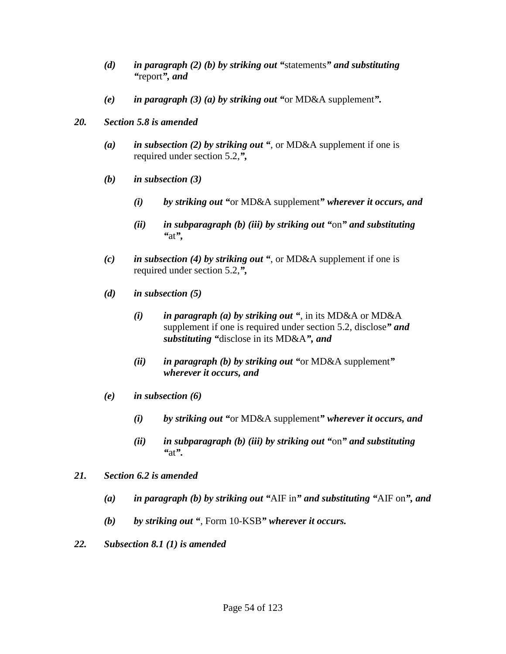- *(d) in paragraph (2) (b) by striking out "*statements*" and substituting "*report*", and*
- *(e) in paragraph (3) (a) by striking out "*or MD&A supplement*".*
- *20. Section 5.8 is amended*
	- *(a) in subsection (2) by striking out "*, or MD&A supplement if one is required under section 5.2,*",*
	- *(b) in subsection (3)*
		- *(i) by striking out "*or MD&A supplement*" wherever it occurs, and*
		- *(ii) in subparagraph (b) (iii) by striking out "*on*" and substituting "*at*",*
	- *(c) in subsection (4) by striking out "*, or MD&A supplement if one is required under section 5.2,*",*
	- *(d) in subsection (5)*
		- *(i) in paragraph (a) by striking out "*, in its MD&A or MD&A supplement if one is required under section 5.2, disclose*" and substituting "*disclose in its MD&A*", and*
		- *(ii) in paragraph (b) by striking out "*or MD&A supplement*" wherever it occurs, and*
	- *(e) in subsection (6)*
		- *(i) by striking out "*or MD&A supplement*" wherever it occurs, and*
		- *(ii) in subparagraph (b) (iii) by striking out "*on*" and substituting "*at*".*
- *21. Section 6.2 is amended*
	- *(a) in paragraph (b) by striking out "*AIF in*" and substituting "*AIF on*", and*
	- *(b) by striking out "*, Form 10-KSB*" wherever it occurs.*
- *22. Subsection 8.1 (1) is amended*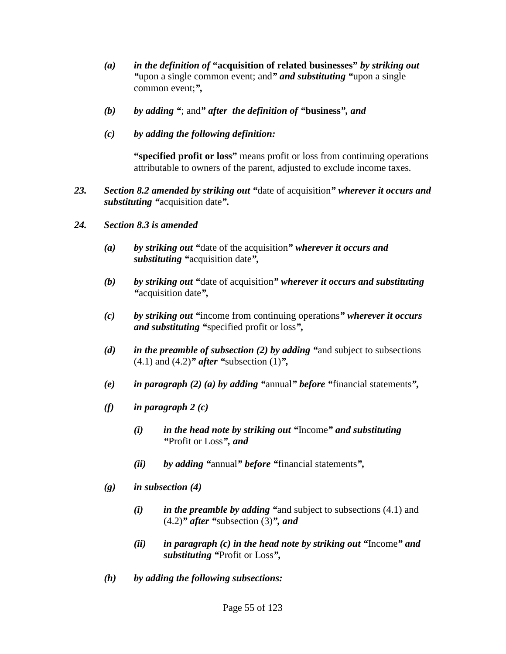- *(a) in the definition of* **"acquisition of related businesses"** *by striking out "*upon a single common event; and*" and substituting "*upon a single common event;*",*
- *(b) by adding "*; and*" after the definition of "***business***", and*
- *(c) by adding the following definition:*

**"specified profit or loss"** means profit or loss from continuing operations attributable to owners of the parent, adjusted to exclude income taxes*.*

- *23. Section 8.2 amended by striking out "*date of acquisition*" wherever it occurs and substituting "*acquisition date*".*
- *24. Section 8.3 is amended*
	- *(a) by striking out "*date of the acquisition*" wherever it occurs and substituting "*acquisition date*",*
	- *(b) by striking out "*date of acquisition*" wherever it occurs and substituting "*acquisition date*",*
	- *(c) by striking out "*income from continuing operations*" wherever it occurs and substituting "*specified profit or loss*",*
	- *(d) in the preamble of subsection (2) by adding "*and subject to subsections (4.1) and (4.2)*" after "*subsection (1)*",*
	- *(e) in paragraph (2) (a) by adding "*annual*" before "*financial statements*",*
	- *(f) in paragraph 2 (c)*
		- *(i) in the head note by striking out "*Income*" and substituting "*Profit or Loss*", and*
		- *(ii) by adding "*annual*" before "*financial statements*",*
	- *(g) in subsection (4)*
		- *(i) in the preamble by adding "*and subject to subsections (4.1) and (4.2)*" after "*subsection (3)*", and*
		- *(ii) in paragraph (c) in the head note by striking out "*Income*" and substituting "*Profit or Loss*",*
	- *(h) by adding the following subsections:*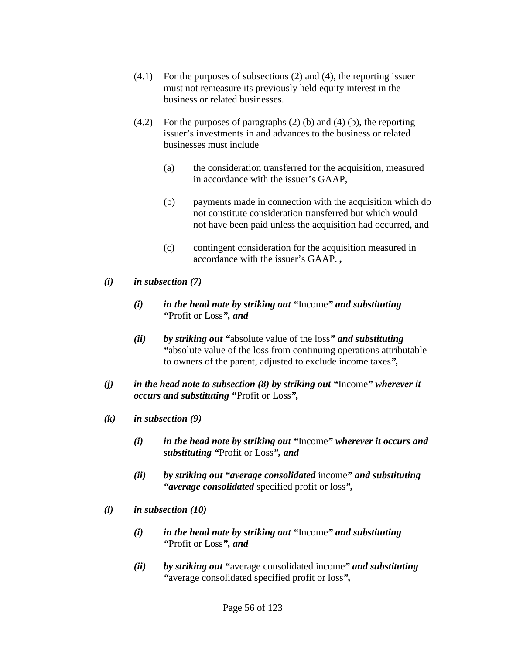- (4.1) For the purposes of subsections (2) and (4), the reporting issuer must not remeasure its previously held equity interest in the business or related businesses.
- (4.2) For the purposes of paragraphs (2) (b) and (4) (b), the reporting issuer's investments in and advances to the business or related businesses must include
	- (a) the consideration transferred for the acquisition, measured in accordance with the issuer's GAAP,
	- (b) payments made in connection with the acquisition which do not constitute consideration transferred but which would not have been paid unless the acquisition had occurred, and
	- (c) contingent consideration for the acquisition measured in accordance with the issuer's GAAP. *,*
- *(i) in subsection (7)*
	- *(i) in the head note by striking out "*Income*" and substituting "*Profit or Loss*", and*
	- *(ii) by striking out "*absolute value of the loss*" and substituting "*absolute value of the loss from continuing operations attributable to owners of the parent, adjusted to exclude income taxes*",*
- *(j) in the head note to subsection (8) by striking out "*Income*" wherever it occurs and substituting "*Profit or Loss*",*
- *(k) in subsection (9)*
	- *(i) in the head note by striking out "*Income*" wherever it occurs and substituting "*Profit or Loss*", and*
	- *(ii) by striking out "average consolidated* income*" and substituting "average consolidated* specified profit or loss*",*
- *(l) in subsection (10)*
	- *(i) in the head note by striking out "*Income*" and substituting "*Profit or Loss*", and*
	- *(ii) by striking out "*average consolidated income*" and substituting "*average consolidated specified profit or loss*",*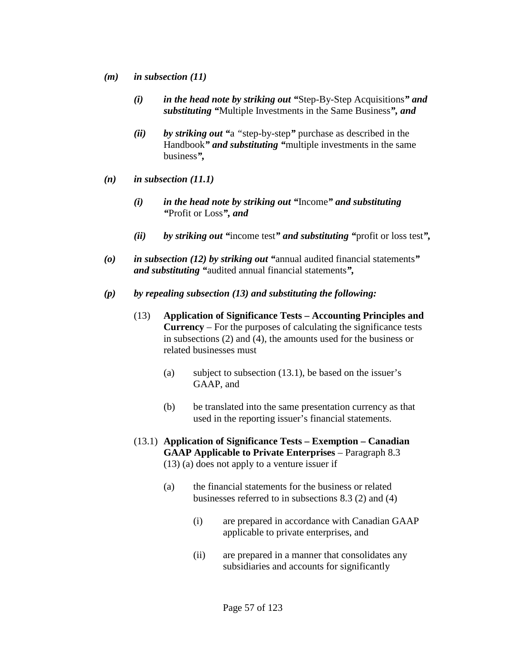- *(m) in subsection (11)*
	- *(i) in the head note by striking out "*Step-By-Step Acquisitions*" and substituting "*Multiple Investments in the Same Business*", and*
	- *(ii) by striking out "*a *"*step-by-step*"* purchase as described in the Handbook*" and substituting "*multiple investments in the same business*",*
- *(n) in subsection (11.1)*
	- *(i) in the head note by striking out "*Income*" and substituting "*Profit or Loss*", and*
	- *(ii) by striking out "*income test*" and substituting "*profit or loss test*",*
- *(o) in subsection (12) by striking out "*annual audited financial statements*" and substituting "*audited annual financial statements*",*
- *(p) by repealing subsection (13) and substituting the following:*
	- (13) **Application of Significance Tests Accounting Principles and Currency** – For the purposes of calculating the significance tests in subsections (2) and (4), the amounts used for the business or related businesses must
		- (a) subject to subsection  $(13.1)$ , be based on the issuer's GAAP, and
		- (b) be translated into the same presentation currency as that used in the reporting issuer's financial statements.
	- (13.1) **Application of Significance Tests Exemption Canadian GAAP Applicable to Private Enterprises** – Paragraph 8.3 (13) (a) does not apply to a venture issuer if
		- (a) the financial statements for the business or related businesses referred to in subsections 8.3 (2) and (4)
			- (i) are prepared in accordance with Canadian GAAP applicable to private enterprises, and
			- (ii) are prepared in a manner that consolidates any subsidiaries and accounts for significantly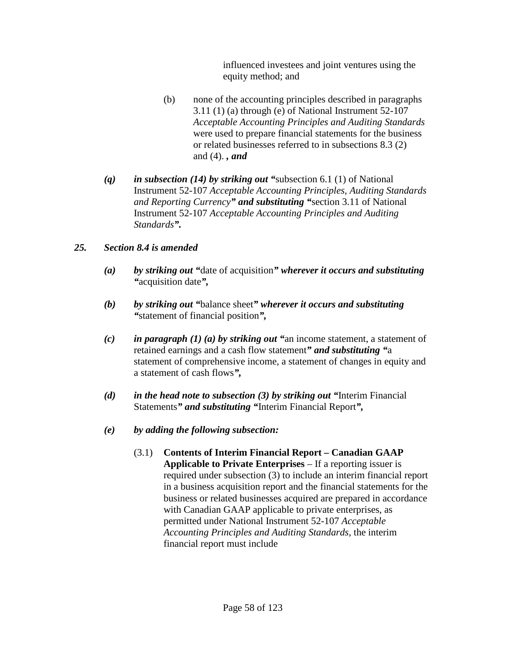influenced investees and joint ventures using the equity method; and

- (b) none of the accounting principles described in paragraphs 3.11 (1) (a) through (e) of National Instrument 52-107 *Acceptable Accounting Principles and Auditing Standards* were used to prepare financial statements for the business or related businesses referred to in subsections 8.3 (2) and (4). *, and*
- *(q) in subsection (14) by striking out "*subsection 6.1 (1) of National Instrument 52-107 *Acceptable Accounting Principles, Auditing Standards and Reporting Currency" and substituting "*section 3.11 of National Instrument 52-107 *Acceptable Accounting Principles and Auditing Standards".*

# *25. Section 8.4 is amended*

- *(a) by striking out "*date of acquisition*" wherever it occurs and substituting "*acquisition date*",*
- *(b) by striking out "*balance sheet*" wherever it occurs and substituting "*statement of financial position*",*
- *(c) in paragraph (1) (a) by striking out "*an income statement, a statement of retained earnings and a cash flow statement*" and substituting "*a statement of comprehensive income, a statement of changes in equity and a statement of cash flows*",*
- *(d) in the head note to subsection (3) by striking out "*Interim Financial Statements*" and substituting "*Interim Financial Report*",*
- *(e) by adding the following subsection:*
	- (3.1) **Contents of Interim Financial Report Canadian GAAP Applicable to Private Enterprises** – If a reporting issuer is required under subsection (3) to include an interim financial report in a business acquisition report and the financial statements for the business or related businesses acquired are prepared in accordance with Canadian GAAP applicable to private enterprises, as permitted under National Instrument 52-107 *Acceptable Accounting Principles and Auditing Standards*, the interim financial report must include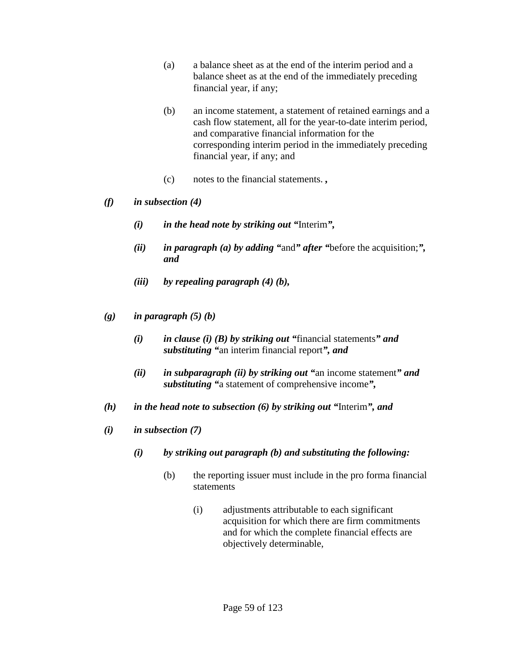- (a) a balance sheet as at the end of the interim period and a balance sheet as at the end of the immediately preceding financial year, if any;
- (b) an income statement, a statement of retained earnings and a cash flow statement, all for the year-to-date interim period, and comparative financial information for the corresponding interim period in the immediately preceding financial year, if any; and
- (c) notes to the financial statements. *,*
- *(f) in subsection (4)*
	- *(i) in the head note by striking out "*Interim*",*
	- *(ii) in paragraph (a) by adding "*and*" after "*before the acquisition;*", and*
	- *(iii) by repealing paragraph (4) (b),*
- *(g) in paragraph (5) (b)*
	- *(i) in clause (i) (B) by striking out "*financial statements*" and substituting "*an interim financial report*", and*
	- *(ii) in subparagraph (ii) by striking out "*an income statement*" and substituting "*a statement of comprehensive income*",*
- *(h) in the head note to subsection (6) by striking out "*Interim*", and*
- *(i) in subsection (7)*
	- *(i) by striking out paragraph (b) and substituting the following:*
		- (b) the reporting issuer must include in the pro forma financial statements
			- (i) adjustments attributable to each significant acquisition for which there are firm commitments and for which the complete financial effects are objectively determinable,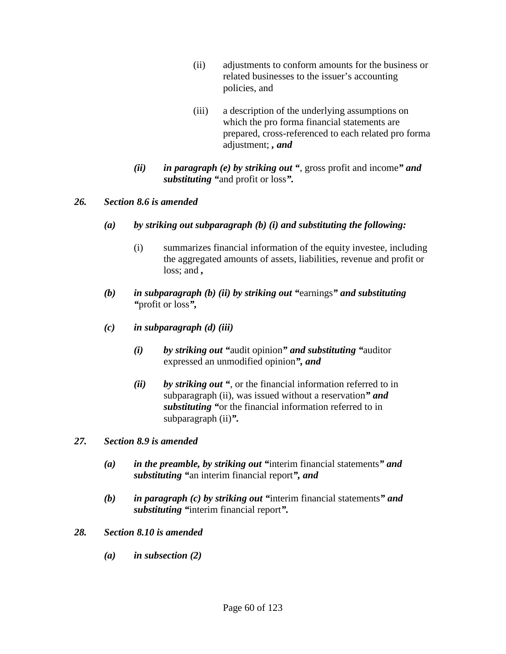- (ii) adjustments to conform amounts for the business or related businesses to the issuer's accounting policies, and
- (iii) a description of the underlying assumptions on which the pro forma financial statements are prepared, cross-referenced to each related pro forma adjustment; *, and*
- *(ii) in paragraph (e) by striking out "*, gross profit and income*" and substituting "*and profit or loss*".*

# *26. Section 8.6 is amended*

- *(a) by striking out subparagraph (b) (i) and substituting the following:*
	- (i) summarizes financial information of the equity investee, including the aggregated amounts of assets, liabilities, revenue and profit or loss; and *,*
- *(b) in subparagraph (b) (ii) by striking out "*earnings*" and substituting "*profit or loss*",*
- *(c) in subparagraph (d) (iii)*
	- *(i) by striking out "*audit opinion*" and substituting "*auditor expressed an unmodified opinion*", and*
	- *(ii) by striking out "*, or the financial information referred to in subparagraph (ii), was issued without a reservation*" and substituting "*or the financial information referred to in subparagraph (ii)*".*

# *27. Section 8.9 is amended*

- *(a) in the preamble, by striking out "*interim financial statements*" and substituting "*an interim financial report*", and*
- *(b) in paragraph (c) by striking out "*interim financial statements*" and substituting "*interim financial report*".*

# *28. Section 8.10 is amended*

*(a) in subsection (2)*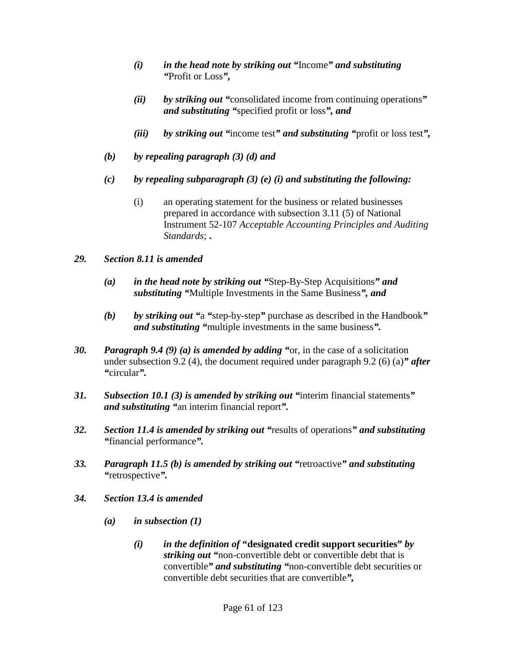- *(i) in the head note by striking out "*Income*" and substituting "*Profit or Loss*",*
- *(ii) by striking out "*consolidated income from continuing operations*" and substituting "*specified profit or loss*", and*
- *(iii) by striking out "*income test*" and substituting "*profit or loss test*",*
- *(b) by repealing paragraph (3) (d) and*
- *(c) by repealing subparagraph (3) (e) (i) and substituting the following:*
	- (i) an operating statement for the business or related businesses prepared in accordance with subsection 3.11 (5) of National Instrument 52-107 *Acceptable Accounting Principles and Auditing Standards*; **.**

### *29. Section 8.11 is amended*

- *(a) in the head note by striking out "*Step-By-Step Acquisitions*" and substituting "*Multiple Investments in the Same Business*", and*
- *(b) by striking out "*a *"*step-by-step*"* purchase as described in the Handbook*" and substituting "*multiple investments in the same business*".*
- *30. Paragraph 9.4 (9) (a) is amended by adding "*or, in the case of a solicitation under subsection 9.2 (4), the document required under paragraph 9.2 (6) (a)*" after "*circular*".*
- *31. Subsection 10.1 (3) is amended by striking out "*interim financial statements*" and substituting "*an interim financial report*".*
- *32. Section 11.4 is amended by striking out "*results of operations*" and substituting "*financial performance*".*
- *33. Paragraph 11.5 (b) is amended by striking out "*retroactive*" and substituting "*retrospective*".*
- *34. Section 13.4 is amended*
	- *(a) in subsection (1)*
		- *(i) in the definition of* **"designated credit support securities"** *by striking out "*non-convertible debt or convertible debt that is convertible*" and substituting "*non-convertible debt securities or convertible debt securities that are convertible*",*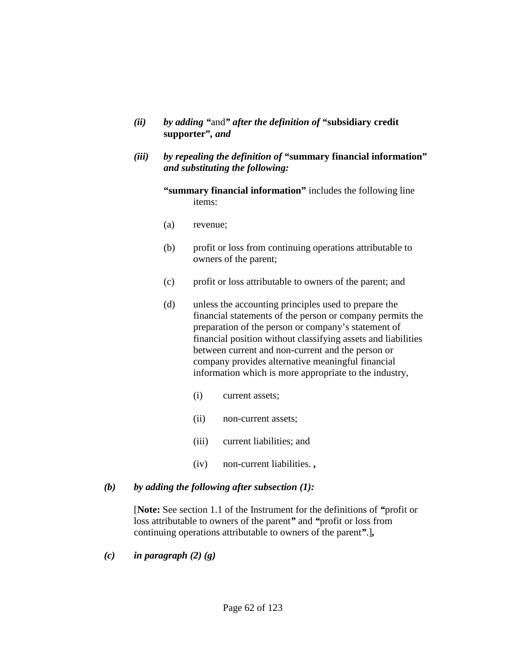- *(ii) by adding "*and*" after the definition of* **"subsidiary credit supporter"***, and*
- *(iii) by repealing the definition of* **"summary financial information"** *and substituting the following:*

**"summary financial information"** includes the following line items:

- (a) revenue;
- (b) profit or loss from continuing operations attributable to owners of the parent;
- (c) profit or loss attributable to owners of the parent; and
- (d) unless the accounting principles used to prepare the financial statements of the person or company permits the preparation of the person or company's statement of financial position without classifying assets and liabilities between current and non-current and the person or company provides alternative meaningful financial information which is more appropriate to the industry,
	- (i) current assets;
	- (ii) non-current assets;
	- (iii) current liabilities; and
	- (iv) non-current liabilities. *,*

### *(b) by adding the following after subsection (1):*

[**Note:** See section 1.1 of the Instrument for the definitions of *"*profit or loss attributable to owners of the parent*"* and *"*profit or loss from continuing operations attributable to owners of the parent*"*.]*,*

*(c) in paragraph (2) (g)*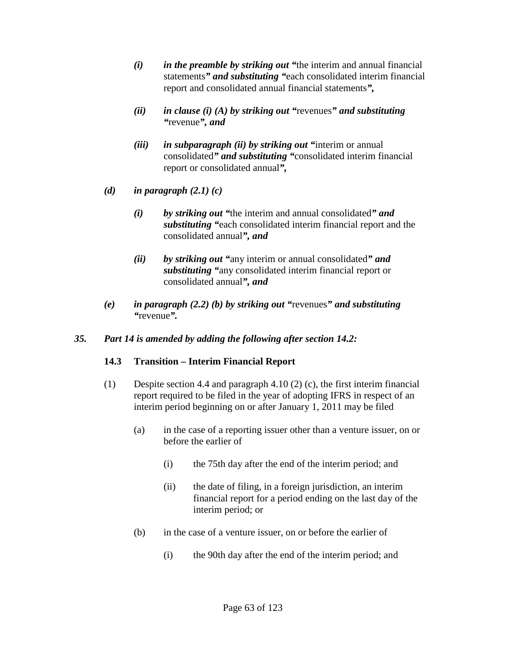- *(i) in the preamble by striking out "*the interim and annual financial statements*" and substituting "*each consolidated interim financial report and consolidated annual financial statements*",*
- *(ii) in clause (i) (A) by striking out "*revenues*" and substituting "*revenue*", and*
- *(iii) in subparagraph (ii) by striking out "*interim or annual consolidated*" and substituting "*consolidated interim financial report or consolidated annual*",*
- *(d) in paragraph (2.1) (c)*
	- *(i) by striking out "*the interim and annual consolidated*" and substituting "*each consolidated interim financial report and the consolidated annual*", and*
	- *(ii) by striking out "*any interim or annual consolidated*" and substituting "*any consolidated interim financial report or consolidated annual*", and*
- *(e) in paragraph (2.2) (b) by striking out "*revenues*" and substituting "*revenue*".*

### *35. Part 14 is amended by adding the following after section 14.2:*

### **14.3 Transition – Interim Financial Report**

- (1) Despite section 4.4 and paragraph 4.10 (2) (c), the first interim financial report required to be filed in the year of adopting IFRS in respect of an interim period beginning on or after January 1, 2011 may be filed
	- (a) in the case of a reporting issuer other than a venture issuer, on or before the earlier of
		- (i) the 75th day after the end of the interim period; and
		- (ii) the date of filing, in a foreign jurisdiction, an interim financial report for a period ending on the last day of the interim period; or
	- (b) in the case of a venture issuer, on or before the earlier of
		- (i) the 90th day after the end of the interim period; and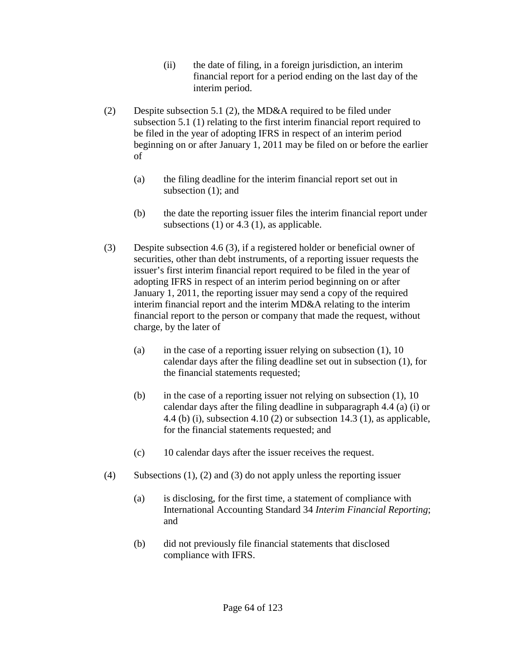- (ii) the date of filing, in a foreign jurisdiction, an interim financial report for a period ending on the last day of the interim period.
- (2) Despite subsection 5.1 (2), the MD&A required to be filed under subsection 5.1 (1) relating to the first interim financial report required to be filed in the year of adopting IFRS in respect of an interim period beginning on or after January 1, 2011 may be filed on or before the earlier of
	- (a) the filing deadline for the interim financial report set out in subsection  $(1)$ ; and
	- (b) the date the reporting issuer files the interim financial report under subsections  $(1)$  or  $4.3$   $(1)$ , as applicable.
- (3) Despite subsection 4.6 (3), if a registered holder or beneficial owner of securities, other than debt instruments, of a reporting issuer requests the issuer's first interim financial report required to be filed in the year of adopting IFRS in respect of an interim period beginning on or after January 1, 2011, the reporting issuer may send a copy of the required interim financial report and the interim MD&A relating to the interim financial report to the person or company that made the request, without charge, by the later of
	- (a) in the case of a reporting issuer relying on subsection  $(1)$ ,  $10$ calendar days after the filing deadline set out in subsection (1), for the financial statements requested;
	- (b) in the case of a reporting issuer not relying on subsection (1), 10 calendar days after the filing deadline in subparagraph 4.4 (a) (i) or 4.4 (b) (i), subsection 4.10 (2) or subsection 14.3 (1), as applicable, for the financial statements requested; and
	- (c) 10 calendar days after the issuer receives the request.
- (4) Subsections (1), (2) and (3) do not apply unless the reporting issuer
	- (a) is disclosing, for the first time, a statement of compliance with International Accounting Standard 34 *Interim Financial Reporting*; and
	- (b) did not previously file financial statements that disclosed compliance with IFRS.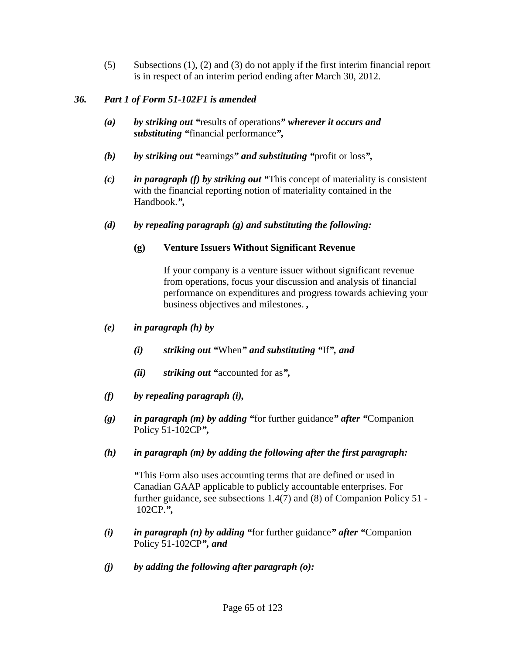(5) Subsections (1), (2) and (3) do not apply if the first interim financial report is in respect of an interim period ending after March 30, 2012.

# *36. Part 1 of Form 51-102F1 is amended*

- *(a) by striking out "*results of operations*" wherever it occurs and substituting "*financial performance*",*
- *(b) by striking out "*earnings*" and substituting "*profit or loss*",*
- *(c) in paragraph (f) by striking out "*This concept of materiality is consistent with the financial reporting notion of materiality contained in the Handbook.*",*
- *(d) by repealing paragraph (g) and substituting the following:*
	- **(g) Venture Issuers Without Significant Revenue**

If your company is a venture issuer without significant revenue from operations, focus your discussion and analysis of financial performance on expenditures and progress towards achieving your business objectives and milestones. *,*

- *(e) in paragraph (h) by*
	- *(i) striking out "*When*" and substituting "*If*", and*
	- *(ii) striking out "*accounted for as*",*
- *(f) by repealing paragraph (i),*
- *(g) in paragraph (m) by adding "*for further guidance*" after "*Companion Policy 51-102CP*",*
- *(h) in paragraph (m) by adding the following after the first paragraph:*

*"*This Form also uses accounting terms that are defined or used in Canadian GAAP applicable to publicly accountable enterprises. For further guidance, see subsections 1.4(7) and (8) of Companion Policy 51 - 102CP.*",*

- *(i) in paragraph (n) by adding "*for further guidance*" after "*Companion Policy 51-102CP*", and*
- *(j) by adding the following after paragraph (o):*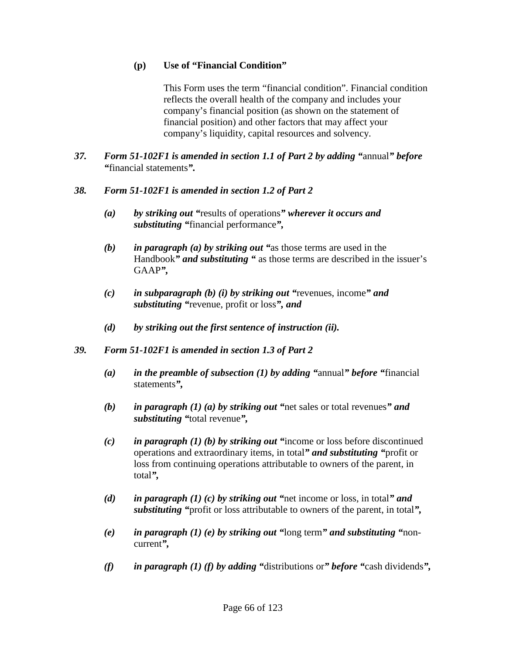## **(p) Use of "Financial Condition"**

This Form uses the term "financial condition". Financial condition reflects the overall health of the company and includes your company's financial position (as shown on the statement of financial position) and other factors that may affect your company's liquidity, capital resources and solvency.

*37. Form 51-102F1 is amended in section 1.1 of Part 2 by adding "*annual*" before "*financial statements*".*

## *38. Form 51-102F1 is amended in section 1.2 of Part 2*

- *(a) by striking out "*results of operations*" wherever it occurs and substituting "*financial performance*",*
- *(b) in paragraph (a) by striking out "*as those terms are used in the Handbook*" and substituting "* as those terms are described in the issuer's GAAP*",*
- *(c) in subparagraph (b) (i) by striking out "*revenues, income*" and substituting "*revenue, profit or loss*", and*
- *(d) by striking out the first sentence of instruction (ii).*

### *39. Form 51-102F1 is amended in section 1.3 of Part 2*

- *(a) in the preamble of subsection (1) by adding "*annual*" before "*financial statements*",*
- *(b) in paragraph (1) (a) by striking out "*net sales or total revenues*" and substituting "*total revenue*",*
- *(c) in paragraph (1) (b) by striking out "*income or loss before discontinued operations and extraordinary items, in total*" and substituting "*profit or loss from continuing operations attributable to owners of the parent, in total*",*
- *(d) in paragraph (1) (c) by striking out "*net income or loss, in total*" and substituting "*profit or loss attributable to owners of the parent, in total*",*
- *(e) in paragraph (1) (e) by striking out "*long term*" and substituting "*noncurrent*",*
- *(f) in paragraph (1) (f) by adding "*distributions or*" before "*cash dividends*",*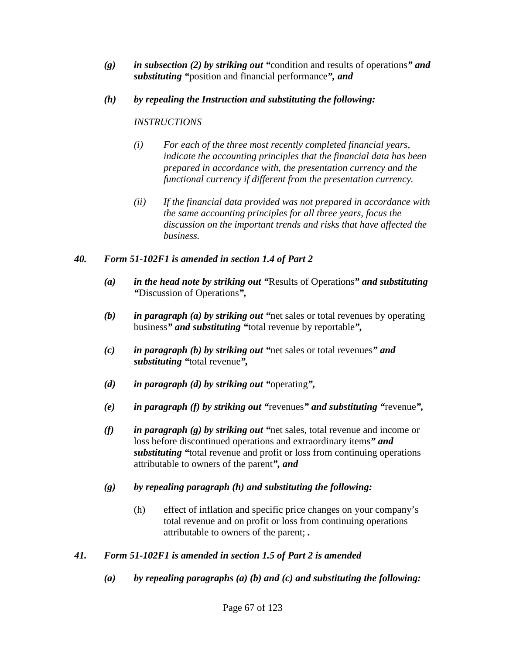- *(g) in subsection (2) by striking out "*condition and results of operations*" and substituting "*position and financial performance*", and*
- *(h) by repealing the Instruction and substituting the following:*

# *INSTRUCTIONS*

- *(i) For each of the three most recently completed financial years, indicate the accounting principles that the financial data has been prepared in accordance with, the presentation currency and the functional currency if different from the presentation currency.*
- *(ii) If the financial data provided was not prepared in accordance with the same accounting principles for all three years, focus the discussion on the important trends and risks that have affected the business.*

## *40. Form 51-102F1 is amended in section 1.4 of Part 2*

- *(a) in the head note by striking out "*Results of Operations*" and substituting "*Discussion of Operations*",*
- *(b) in paragraph (a) by striking out "*net sales or total revenues by operating business*" and substituting "*total revenue by reportable*",*
- *(c) in paragraph (b) by striking out "*net sales or total revenues*" and substituting "*total revenue*",*
- *(d) in paragraph (d) by striking out "*operating*",*
- *(e) in paragraph (f) by striking out "*revenues*" and substituting "*revenue*",*
- *(f) in paragraph (g) by striking out "*net sales, total revenue and income or loss before discontinued operations and extraordinary items*" and substituting "*total revenue and profit or loss from continuing operations attributable to owners of the parent*", and*
- *(g) by repealing paragraph (h) and substituting the following:*
	- (h) effect of inflation and specific price changes on your company's total revenue and on profit or loss from continuing operations attributable to owners of the parent; *.*

# *41. Form 51-102F1 is amended in section 1.5 of Part 2 is amended*

*(a) by repealing paragraphs (a) (b) and (c) and substituting the following:*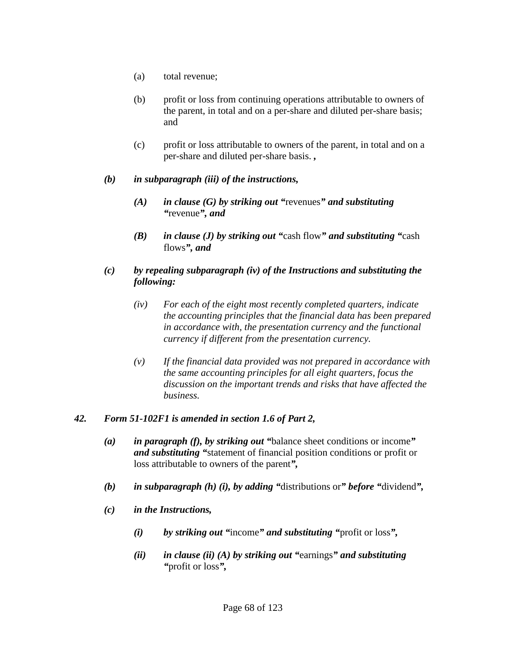- (a) total revenue;
- (b) profit or loss from continuing operations attributable to owners of the parent, in total and on a per-share and diluted per-share basis; and
- (c) profit or loss attributable to owners of the parent, in total and on a per-share and diluted per-share basis. *,*

### *(b) in subparagraph (iii) of the instructions,*

- *(A) in clause (G) by striking out "*revenues*" and substituting "*revenue*", and*
- *(B) in clause (J) by striking out "*cash flow*" and substituting "*cash flows*", and*
- *(c) by repealing subparagraph (iv) of the Instructions and substituting the following:*
	- *(iv) For each of the eight most recently completed quarters, indicate the accounting principles that the financial data has been prepared in accordance with, the presentation currency and the functional currency if different from the presentation currency.*
	- *(v) If the financial data provided was not prepared in accordance with the same accounting principles for all eight quarters, focus the discussion on the important trends and risks that have affected the business.*

### *42. Form 51-102F1 is amended in section 1.6 of Part 2,*

- *(a) in paragraph (f), by striking out "*balance sheet conditions or income*" and substituting "*statement of financial position conditions or profit or loss attributable to owners of the parent*",*
- *(b) in subparagraph (h) (i), by adding "*distributions or*" before "*dividend*",*
- *(c) in the Instructions,*
	- *(i) by striking out "*income*" and substituting "*profit or loss*",*
	- *(ii) in clause (ii) (A) by striking out "*earnings*" and substituting "*profit or loss*",*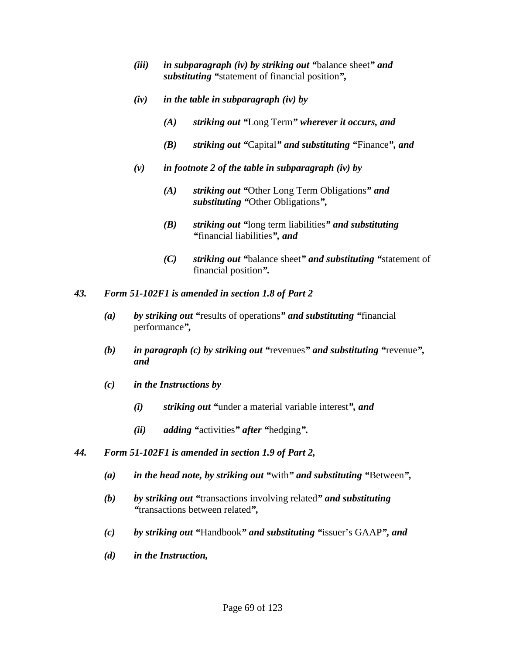- *(iii) in subparagraph (iv) by striking out "*balance sheet*" and substituting "*statement of financial position*",*
- *(iv) in the table in subparagraph (iv) by*
	- *(A) striking out "*Long Term*" wherever it occurs, and*
	- *(B) striking out "*Capital*" and substituting "*Finance*", and*
- *(v) in footnote 2 of the table in subparagraph (iv) by*
	- *(A) striking out "*Other Long Term Obligations*" and substituting "*Other Obligations*",*
	- *(B) striking out "*long term liabilities*" and substituting "*financial liabilities*", and*
	- *(C) striking out "*balance sheet*" and substituting "*statement of financial position*".*
- *43. Form 51-102F1 is amended in section 1.8 of Part 2*
	- *(a) by striking out "*results of operations*" and substituting "*financial performance*",*
	- *(b) in paragraph (c) by striking out "*revenues*" and substituting "*revenue*", and*
	- *(c) in the Instructions by*
		- *(i) striking out "*under a material variable interest*", and*
		- *(ii) adding "*activities*" after "*hedging*".*
- *44. Form 51-102F1 is amended in section 1.9 of Part 2,*
	- *(a) in the head note, by striking out "*with*" and substituting "*Between*",*
	- *(b) by striking out "*transactions involving related*" and substituting "*transactions between related*",*
	- *(c) by striking out "*Handbook*" and substituting "*issuer's GAAP*", and*
	- *(d) in the Instruction,*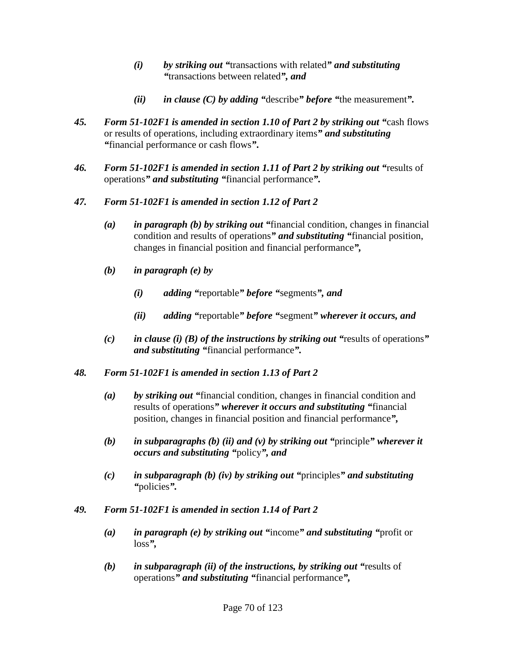- *(i) by striking out "*transactions with related*" and substituting "*transactions between related*", and*
- *(ii) in clause (C) by adding "*describe*" before "*the measurement*".*
- *45. Form 51-102F1 is amended in section 1.10 of Part 2 by striking out "*cash flows or results of operations, including extraordinary items*" and substituting "*financial performance or cash flows*"***.**
- *46. Form 51-102F1 is amended in section 1.11 of Part 2 by striking out "*results of operations*" and substituting "*financial performance*".*
- *47. Form 51-102F1 is amended in section 1.12 of Part 2*
	- *(a) in paragraph (b) by striking out "*financial condition, changes in financial condition and results of operations*" and substituting "*financial position, changes in financial position and financial performance*",*
	- *(b) in paragraph (e) by*
		- *(i) adding "*reportable*" before "*segments*", and*
		- *(ii) adding "*reportable*" before "*segment*" wherever it occurs, and*
	- *(c) in clause (i) (B) of the instructions by striking out "*results of operations*" and substituting "*financial performance*".*

# *48. Form 51-102F1 is amended in section 1.13 of Part 2*

- *(a) by striking out "*financial condition, changes in financial condition and results of operations*" wherever it occurs and substituting "*financial position, changes in financial position and financial performance*",*
- *(b) in subparagraphs (b) (ii) and (v) by striking out "*principle*" wherever it occurs and substituting "*policy*", and*
- *(c) in subparagraph (b) (iv) by striking out "*principles*" and substituting "*policies*".*

### *49. Form 51-102F1 is amended in section 1.14 of Part 2*

- *(a) in paragraph (e) by striking out "*income*" and substituting "*profit or loss*",*
- *(b) in subparagraph (ii) of the instructions, by striking out "*results of operations*" and substituting "*financial performance*",*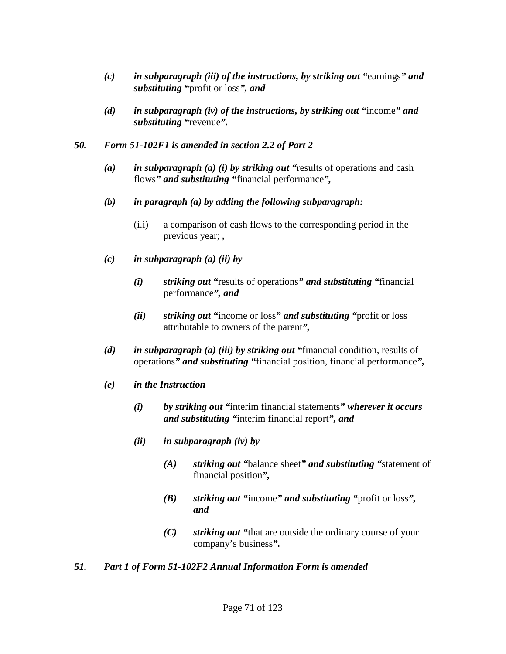- *(c) in subparagraph (iii) of the instructions, by striking out "*earnings*" and substituting "*profit or loss*", and*
- *(d) in subparagraph (iv) of the instructions, by striking out "*income*" and substituting "*revenue*".*
- *50. Form 51-102F1 is amended in section 2.2 of Part 2*
	- *(a) in subparagraph (a) (i) by striking out "*results of operations and cash flows*" and substituting "*financial performance*",*
	- *(b) in paragraph (a) by adding the following subparagraph:*
		- (i.i) a comparison of cash flows to the corresponding period in the previous year; *,*
	- *(c) in subparagraph (a) (ii) by*
		- *(i) striking out "*results of operations*" and substituting "*financial performance*", and*
		- *(ii) striking out "*income or loss*" and substituting "*profit or loss attributable to owners of the parent*",*
	- *(d) in subparagraph (a) (iii) by striking out "*financial condition, results of operations*" and substituting "*financial position, financial performance*",*
	- *(e) in the Instruction*
		- *(i) by striking out "*interim financial statements*" wherever it occurs and substituting "*interim financial report*", and*
		- *(ii) in subparagraph (iv) by*
			- *(A) striking out "*balance sheet*" and substituting "*statement of financial position*",*
			- *(B) striking out "*income*" and substituting "*profit or loss*", and*
			- *(C) striking out "*that are outside the ordinary course of your company's business*".*

# *51. Part 1 of Form 51-102F2 Annual Information Form is amended*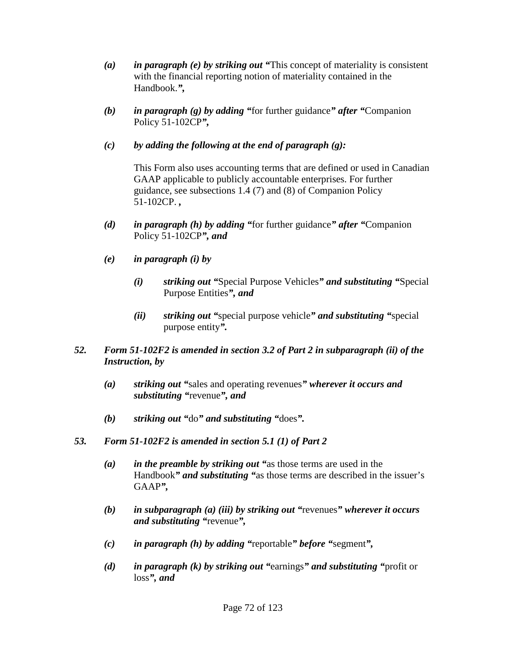- *(a) in paragraph (e) by striking out "*This concept of materiality is consistent with the financial reporting notion of materiality contained in the Handbook.*",*
- *(b) in paragraph (g) by adding "*for further guidance*" after "*Companion Policy 51-102CP*",*
- *(c) by adding the following at the end of paragraph (g):*

This Form also uses accounting terms that are defined or used in Canadian GAAP applicable to publicly accountable enterprises. For further guidance, see subsections 1.4 (7) and (8) of Companion Policy 51-102CP. *,*

- *(d) in paragraph (h) by adding "*for further guidance*" after "*Companion Policy 51-102CP*", and*
- *(e) in paragraph (i) by*
	- *(i) striking out "*Special Purpose Vehicles*" and substituting "*Special Purpose Entities*", and*
	- *(ii) striking out "*special purpose vehicle*" and substituting "*special purpose entity*".*

## *52. Form 51-102F2 is amended in section 3.2 of Part 2 in subparagraph (ii) of the Instruction, by*

- *(a) striking out "*sales and operating revenues*" wherever it occurs and substituting "*revenue*", and*
- *(b) striking out "*do*" and substituting "*does*".*

### *53. Form 51-102F2 is amended in section 5.1 (1) of Part 2*

- *(a) in the preamble by striking out "*as those terms are used in the Handbook*" and substituting "*as those terms are described in the issuer's GAAP*",*
- *(b) in subparagraph (a) (iii) by striking out "*revenues*" wherever it occurs and substituting "*revenue*",*
- *(c) in paragraph (h) by adding "*reportable*" before "*segment*",*
- *(d) in paragraph (k) by striking out "*earnings*" and substituting "*profit or loss*", and*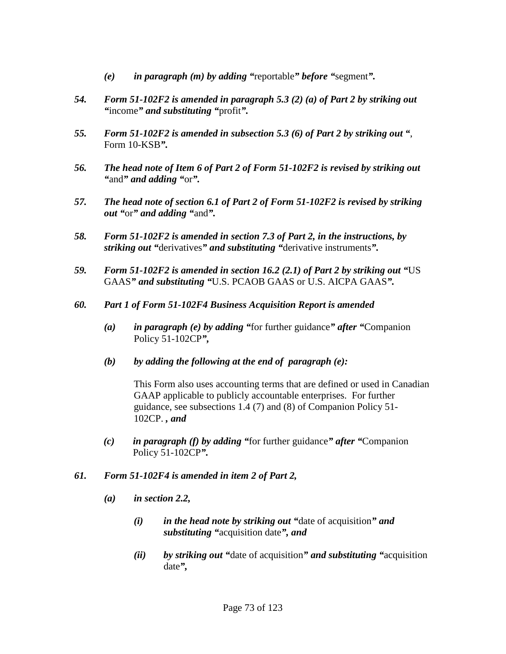- *(e) in paragraph (m) by adding "*reportable*" before "*segment*".*
- *54. Form 51-102F2 is amended in paragraph 5.3 (2) (a) of Part 2 by striking out "*income*" and substituting "*profit*".*
- *55. Form 51-102F2 is amended in subsection 5.3 (6) of Part 2 by striking out "*, Form 10-KSB*".*
- *56. The head note of Item 6 of Part 2 of Form 51-102F2 is revised by striking out "*and*" and adding "*or*".*
- *57. The head note of section 6.1 of Part 2 of Form 51-102F2 is revised by striking out "*or*" and adding "*and*".*
- *58. Form 51-102F2 is amended in section 7.3 of Part 2, in the instructions, by striking out "*derivatives*" and substituting "*derivative instruments*".*
- *59. Form 51-102F2 is amended in section 16.2 (2.1) of Part 2 by striking out "*US GAAS*" and substituting "*U.S. PCAOB GAAS or U.S. AICPA GAAS*".*
- *60. Part 1 of Form 51-102F4 Business Acquisition Report is amended*
	- *(a) in paragraph (e) by adding "*for further guidance*" after "*Companion Policy 51-102CP*",*
	- *(b) by adding the following at the end of paragraph (e):*

This Form also uses accounting terms that are defined or used in Canadian GAAP applicable to publicly accountable enterprises. For further guidance, see subsections 1.4 (7) and (8) of Companion Policy 51- 102CP. *, and*

- *(c) in paragraph (f) by adding "*for further guidance*" after "*Companion Policy 51-102CP*".*
- *61. Form 51-102F4 is amended in item 2 of Part 2,*
	- *(a) in section 2.2,*
		- *(i) in the head note by striking out "*date of acquisition*" and substituting "*acquisition date*", and*
		- *(ii) by striking out "*date of acquisition*" and substituting "*acquisition date*",*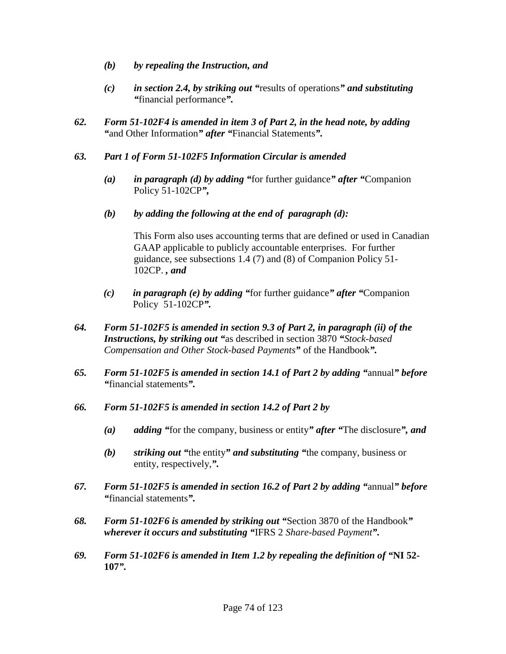- *(b) by repealing the Instruction, and*
- *(c) in section 2.4, by striking out "*results of operations*" and substituting "*financial performance*".*
- *62. Form 51-102F4 is amended in item 3 of Part 2, in the head note, by adding "*and Other Information*" after "*Financial Statements*".*
- *63. Part 1 of Form 51-102F5 Information Circular is amended*
	- *(a) in paragraph (d) by adding "*for further guidance*" after "*Companion Policy 51-102CP*",*
	- *(b) by adding the following at the end of paragraph (d):*

This Form also uses accounting terms that are defined or used in Canadian GAAP applicable to publicly accountable enterprises. For further guidance, see subsections 1.4 (7) and (8) of Companion Policy 51- 102CP. *, and*

- *(c) in paragraph (e) by adding "*for further guidance*" after "*Companion Policy 51-102CP*".*
- *64. Form 51-102F5 is amended in section 9.3 of Part 2, in paragraph (ii) of the Instructions, by striking out "*as described in section 3870 *"Stock-based Compensation and Other Stock-based Payments"* of the Handbook*".*
- *65. Form 51-102F5 is amended in section 14.1 of Part 2 by adding "*annual*" before "*financial statements*".*
- *66. Form 51-102F5 is amended in section 14.2 of Part 2 by*
	- *(a) adding "*for the company, business or entity*" after "*The disclosure*", and*
	- *(b) striking out "*the entity*" and substituting "*the company, business or entity, respectively,*".*
- *67. Form 51-102F5 is amended in section 16.2 of Part 2 by adding "*annual*" before "*financial statements*".*
- *68. Form 51-102F6 is amended by striking out "*Section 3870 of the Handbook*" wherever it occurs and substituting "*IFRS 2 *Share-based Payment".*
- *69. Form 51-102F6 is amended in Item 1.2 by repealing the definition of "***NI 52- 107***".*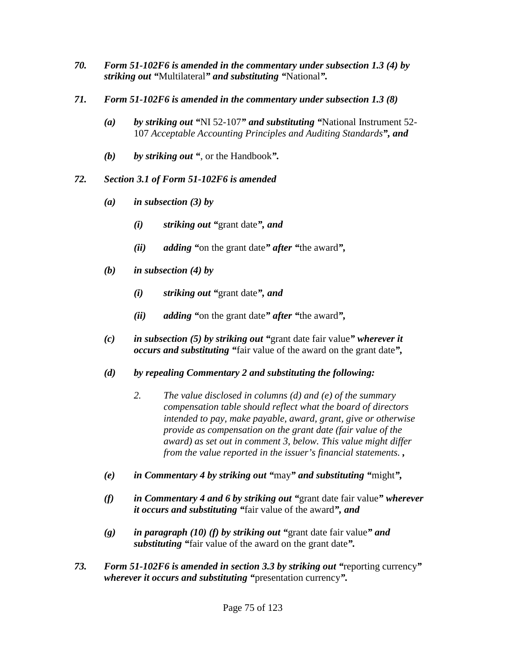- *70. Form 51-102F6 is amended in the commentary under subsection 1.3 (4) by striking out "*Multilateral*" and substituting "*National*".*
- *71. Form 51-102F6 is amended in the commentary under subsection 1.3 (8)*
	- *(a) by striking out "*NI 52-107*" and substituting "*National Instrument 52- 107 *Acceptable Accounting Principles and Auditing Standards", and*
	- *(b) by striking out "*, or the Handbook*".*

## *72. Section 3.1 of Form 51-102F6 is amended*

- *(a) in subsection (3) by*
	- *(i) striking out "*grant date*", and*
	- *(ii) adding "*on the grant date*" after "*the award*",*
- *(b) in subsection (4) by*
	- *(i) striking out "*grant date*", and*
	- *(ii) adding "*on the grant date*" after "*the award*",*
- *(c) in subsection (5) by striking out "*grant date fair value*" wherever it occurs and substituting "*fair value of the award on the grant date*",*
- *(d) by repealing Commentary 2 and substituting the following:*
	- *2. The value disclosed in columns (d) and (e) of the summary compensation table should reflect what the board of directors intended to pay, make payable, award, grant, give or otherwise provide as compensation on the grant date (fair value of the award) as set out in comment 3, below. This value might differ from the value reported in the issuer's financial statements. ,*
- *(e) in Commentary 4 by striking out "*may*" and substituting "*might*",*
- *(f) in Commentary 4 and 6 by striking out "*grant date fair value*" wherever it occurs and substituting "*fair value of the award*", and*
- *(g) in paragraph (10) (f) by striking out "*grant date fair value*" and substituting "*fair value of the award on the grant date*".*
- *73. Form 51-102F6 is amended in section 3.3 by striking out "*reporting currency*" wherever it occurs and substituting "*presentation currency*".*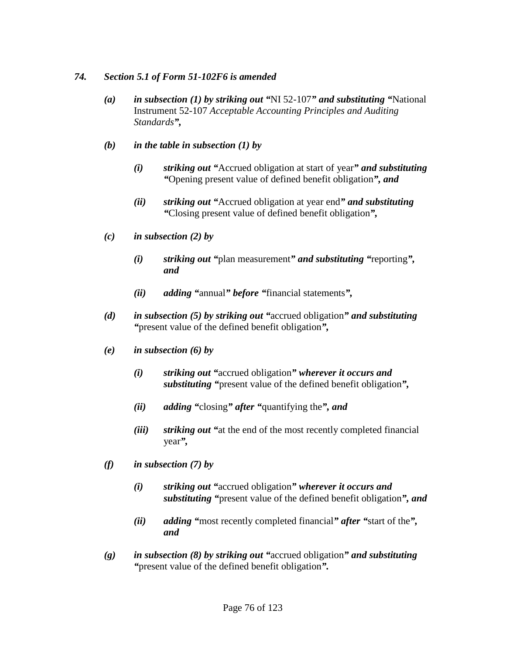#### *74. Section 5.1 of Form 51-102F6 is amended*

- *(a) in subsection (1) by striking out "*NI 52-107*" and substituting "*National Instrument 52-107 *Acceptable Accounting Principles and Auditing Standards",*
- *(b) in the table in subsection (1) by*
	- *(i) striking out "*Accrued obligation at start of year*" and substituting "*Opening present value of defined benefit obligation*", and*
	- *(ii) striking out "*Accrued obligation at year end*" and substituting "*Closing present value of defined benefit obligation*",*
- *(c) in subsection (2) by*
	- *(i) striking out "*plan measurement*" and substituting "*reporting*", and*
	- *(ii) adding "*annual*" before "*financial statements*",*
- *(d) in subsection (5) by striking out "*accrued obligation*" and substituting "*present value of the defined benefit obligation*",*
- *(e) in subsection (6) by*
	- *(i) striking out "*accrued obligation*" wherever it occurs and substituting "*present value of the defined benefit obligation*",*
	- *(ii) adding "*closing*" after "*quantifying the*", and*
	- *(iii) striking out "*at the end of the most recently completed financial year*",*
- *(f) in subsection (7) by*
	- *(i) striking out "*accrued obligation*" wherever it occurs and substituting "*present value of the defined benefit obligation*", and*
	- *(ii) adding "*most recently completed financial*" after "*start of the*", and*
- *(g) in subsection (8) by striking out "*accrued obligation*" and substituting "*present value of the defined benefit obligation*".*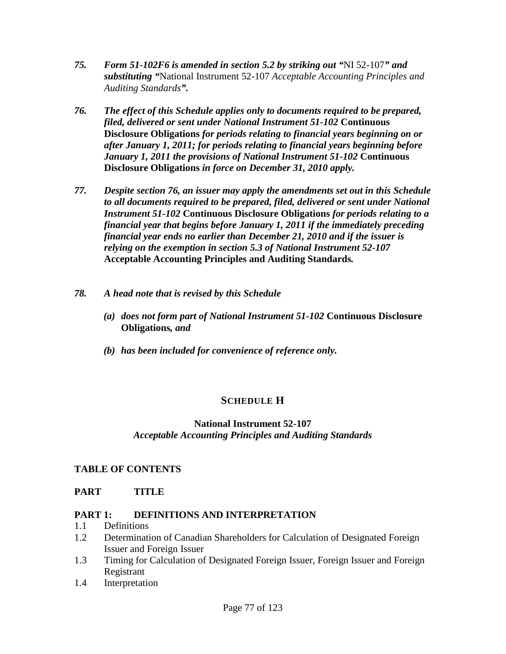- *75. Form 51-102F6 is amended in section 5.2 by striking out "*NI 52-107*" and substituting "*National Instrument 52-107 *Acceptable Accounting Principles and Auditing Standards".*
- *76. The effect of this Schedule applies only to documents required to be prepared, filed, delivered or sent under National Instrument 51-102* **Continuous Disclosure Obligations** *for periods relating to financial years beginning on or after January 1, 2011; for periods relating to financial years beginning before January 1, 2011 the provisions of National Instrument 51-102* **Continuous Disclosure Obligations** *in force on December 31, 2010 apply.*
- *77. Despite section 76, an issuer may apply the amendments set out in this Schedule to all documents required to be prepared, filed, delivered or sent under National Instrument 51-102* **Continuous Disclosure Obligations** *for periods relating to a financial year that begins before January 1, 2011 if the immediately preceding financial year ends no earlier than December 21, 2010 and if the issuer is relying on the exemption in section 5.3 of National Instrument 52-107* **Acceptable Accounting Principles and Auditing Standards***.*
- *78. A head note that is revised by this Schedule*
	- *(a) does not form part of National Instrument 51-102* **Continuous Disclosure Obligations***, and*
	- *(b) has been included for convenience of reference only.*

## **SCHEDULE H**

# **National Instrument 52-107** *Acceptable Accounting Principles and Auditing Standards*

## **TABLE OF CONTENTS**

## **PART TITLE**

#### **PART 1: DEFINITIONS AND INTERPRETATION**

- 1.1 Definitions
- 1.2 Determination of Canadian Shareholders for Calculation of Designated Foreign Issuer and Foreign Issuer
- 1.3 Timing for Calculation of Designated Foreign Issuer, Foreign Issuer and Foreign Registrant
- 1.4 Interpretation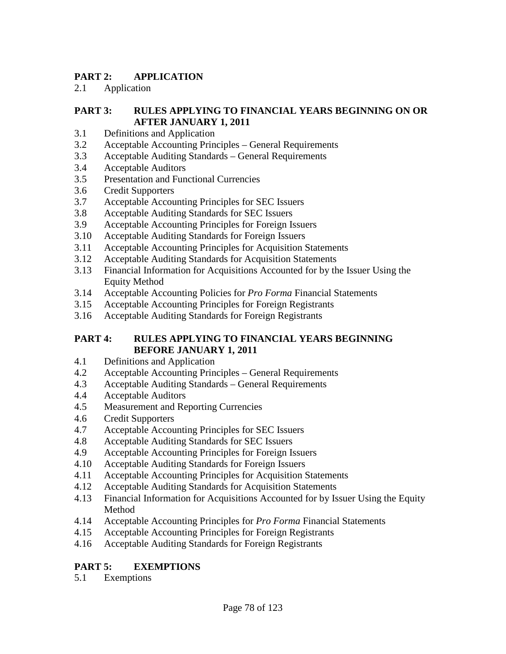# **PART 2: APPLICATION**

2.1 Application

## **PART 3: RULES APPLYING TO FINANCIAL YEARS BEGINNING ON OR AFTER JANUARY 1, 2011**

- 3.1 Definitions and Application
- 3.2 Acceptable Accounting Principles General Requirements
- 3.3 Acceptable Auditing Standards General Requirements
- 3.4 Acceptable Auditors
- 3.5 Presentation and Functional Currencies
- 3.6 Credit Supporters
- 3.7 Acceptable Accounting Principles for SEC Issuers
- 3.8 Acceptable Auditing Standards for SEC Issuers
- 3.9 Acceptable Accounting Principles for Foreign Issuers
- 3.10 Acceptable Auditing Standards for Foreign Issuers
- 3.11 Acceptable Accounting Principles for Acquisition Statements
- 3.12 Acceptable Auditing Standards for Acquisition Statements
- 3.13 Financial Information for Acquisitions Accounted for by the Issuer Using the Equity Method
- 3.14 Acceptable Accounting Policies for *Pro Forma* Financial Statements
- 3.15 Acceptable Accounting Principles for Foreign Registrants
- 3.16 Acceptable Auditing Standards for Foreign Registrants

#### **PART 4: RULES APPLYING TO FINANCIAL YEARS BEGINNING BEFORE JANUARY 1, 2011**

- 4.1 Definitions and Application
- 4.2 Acceptable Accounting Principles General Requirements
- 4.3 Acceptable Auditing Standards General Requirements
- 4.4 Acceptable Auditors
- 4.5 Measurement and Reporting Currencies
- 4.6 Credit Supporters
- 4.7 Acceptable Accounting Principles for SEC Issuers
- 4.8 Acceptable Auditing Standards for SEC Issuers
- 4.9 Acceptable Accounting Principles for Foreign Issuers
- 4.10 Acceptable Auditing Standards for Foreign Issuers
- 4.11 Acceptable Accounting Principles for Acquisition Statements
- 4.12 Acceptable Auditing Standards for Acquisition Statements
- 4.13 Financial Information for Acquisitions Accounted for by Issuer Using the Equity Method
- 4.14 Acceptable Accounting Principles for *Pro Forma* Financial Statements
- 4.15 Acceptable Accounting Principles for Foreign Registrants
- 4.16 Acceptable Auditing Standards for Foreign Registrants

## **PART 5: EXEMPTIONS**

5.1 Exemptions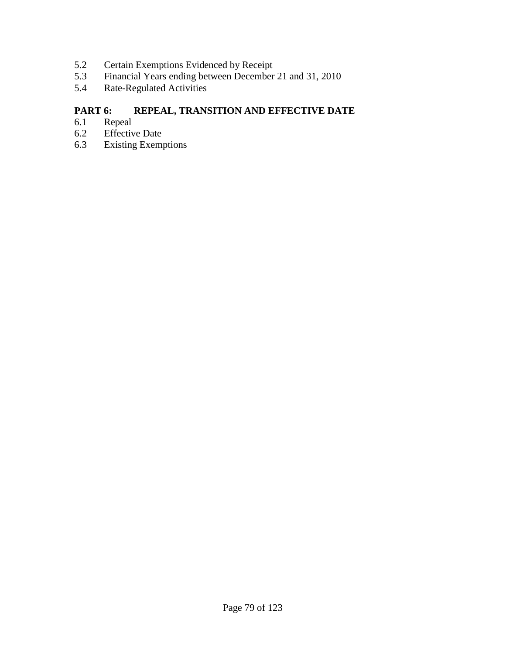- 5.2 Certain Exemptions Evidenced by Receipt<br>5.3 Financial Years ending between December
- Financial Years ending between December 21 and 31, 2010
- 5.4 Rate-Regulated Activities

# **PART 6: REPEAL, TRANSITION AND EFFECTIVE DATE**

- 6.1 Repeal
- 6.2 Effective Date
- 6.3 Existing Exemptions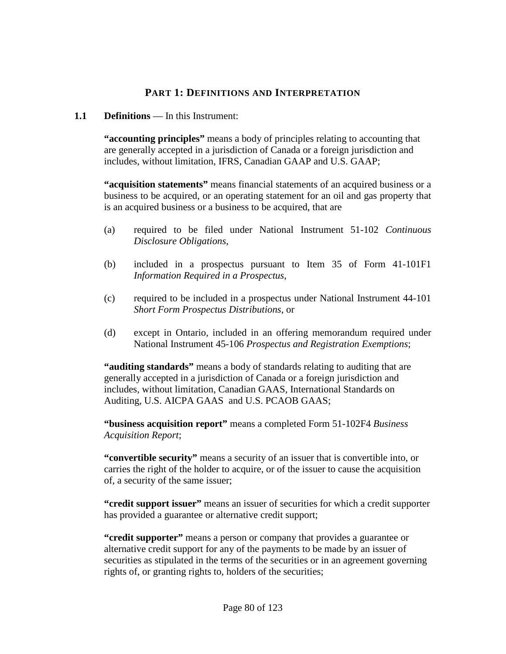### **PART 1: DEFINITIONS AND INTERPRETATION**

**1.1 Definitions** — In this Instrument:

**"accounting principles"** means a body of principles relating to accounting that are generally accepted in a jurisdiction of Canada or a foreign jurisdiction and includes, without limitation, IFRS, Canadian GAAP and U.S. GAAP;

**"acquisition statements"** means financial statements of an acquired business or a business to be acquired, or an operating statement for an oil and gas property that is an acquired business or a business to be acquired, that are

- (a) required to be filed under National Instrument 51-102 *Continuous Disclosure Obligations*,
- (b) included in a prospectus pursuant to Item 35 of Form 41-101F1 *Information Required in a Prospectus*,
- (c) required to be included in a prospectus under National Instrument 44-101 *Short Form Prospectus Distributions*, or
- (d) except in Ontario, included in an offering memorandum required under National Instrument 45-106 *Prospectus and Registration Exemptions*;

**"auditing standards"** means a body of standards relating to auditing that are generally accepted in a jurisdiction of Canada or a foreign jurisdiction and includes, without limitation, Canadian GAAS, International Standards on Auditing, U.S. AICPA GAAS and U.S. PCAOB GAAS;

**"business acquisition report"** means a completed Form 51-102F4 *Business Acquisition Report*;

**"convertible security"** means a security of an issuer that is convertible into, or carries the right of the holder to acquire, or of the issuer to cause the acquisition of, a security of the same issuer;

**"credit support issuer"** means an issuer of securities for which a credit supporter has provided a guarantee or alternative credit support;

**"credit supporter"** means a person or company that provides a guarantee or alternative credit support for any of the payments to be made by an issuer of securities as stipulated in the terms of the securities or in an agreement governing rights of, or granting rights to, holders of the securities;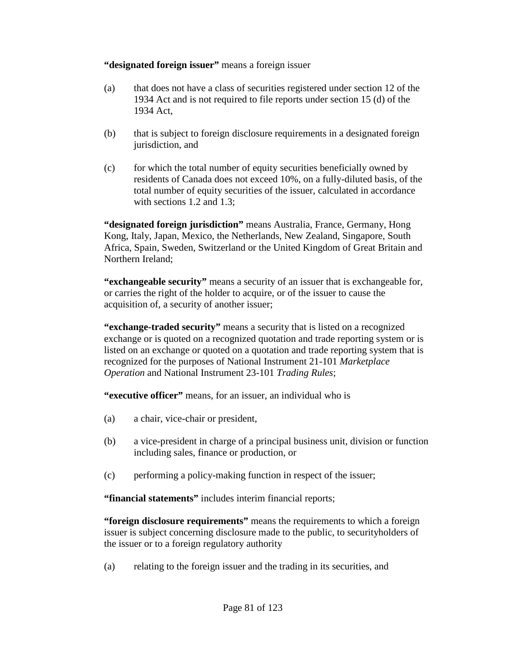#### **"designated foreign issuer"** means a foreign issuer

- (a) that does not have a class of securities registered under section 12 of the 1934 Act and is not required to file reports under section 15 (d) of the 1934 Act,
- (b) that is subject to foreign disclosure requirements in a designated foreign jurisdiction, and
- (c) for which the total number of equity securities beneficially owned by residents of Canada does not exceed 10%, on a fully-diluted basis, of the total number of equity securities of the issuer, calculated in accordance with sections 1.2 and 1.3:

**"designated foreign jurisdiction"** means Australia, France, Germany, Hong Kong, Italy, Japan, Mexico, the Netherlands, New Zealand, Singapore, South Africa, Spain, Sweden, Switzerland or the United Kingdom of Great Britain and Northern Ireland;

**"exchangeable security"** means a security of an issuer that is exchangeable for, or carries the right of the holder to acquire, or of the issuer to cause the acquisition of, a security of another issuer;

**"exchange-traded security"** means a security that is listed on a recognized exchange or is quoted on a recognized quotation and trade reporting system or is listed on an exchange or quoted on a quotation and trade reporting system that is recognized for the purposes of National Instrument 21-101 *Marketplace Operation* and National Instrument 23-101 *Trading Rules*;

**"executive officer"** means, for an issuer, an individual who is

- (a) a chair, vice-chair or president,
- (b) a vice-president in charge of a principal business unit, division or function including sales, finance or production, or
- (c) performing a policy-making function in respect of the issuer;

**"financial statements"** includes interim financial reports;

**"foreign disclosure requirements"** means the requirements to which a foreign issuer is subject concerning disclosure made to the public, to securityholders of the issuer or to a foreign regulatory authority

(a) relating to the foreign issuer and the trading in its securities, and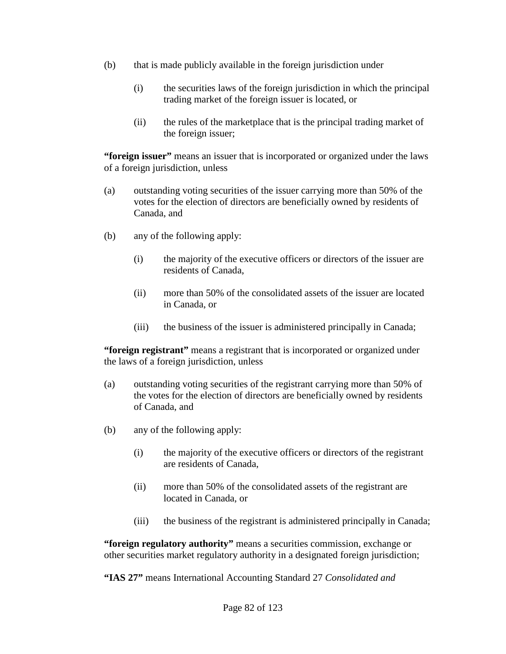- (b) that is made publicly available in the foreign jurisdiction under
	- (i) the securities laws of the foreign jurisdiction in which the principal trading market of the foreign issuer is located, or
	- (ii) the rules of the marketplace that is the principal trading market of the foreign issuer;

**"foreign issuer"** means an issuer that is incorporated or organized under the laws of a foreign jurisdiction, unless

- (a) outstanding voting securities of the issuer carrying more than 50% of the votes for the election of directors are beneficially owned by residents of Canada, and
- (b) any of the following apply:
	- (i) the majority of the executive officers or directors of the issuer are residents of Canada,
	- (ii) more than 50% of the consolidated assets of the issuer are located in Canada, or
	- (iii) the business of the issuer is administered principally in Canada;

**"foreign registrant"** means a registrant that is incorporated or organized under the laws of a foreign jurisdiction, unless

- (a) outstanding voting securities of the registrant carrying more than 50% of the votes for the election of directors are beneficially owned by residents of Canada, and
- (b) any of the following apply:
	- (i) the majority of the executive officers or directors of the registrant are residents of Canada,
	- (ii) more than 50% of the consolidated assets of the registrant are located in Canada, or
	- (iii) the business of the registrant is administered principally in Canada;

**"foreign regulatory authority"** means a securities commission, exchange or other securities market regulatory authority in a designated foreign jurisdiction;

**"IAS 27"** means International Accounting Standard 27 *Consolidated and*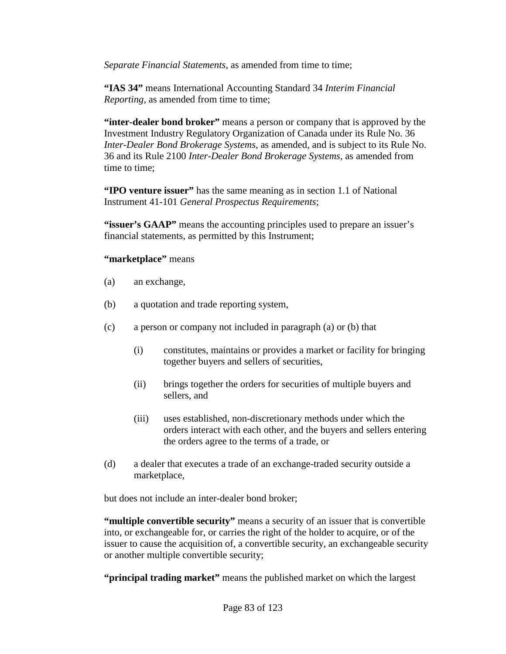*Separate Financial Statements*, as amended from time to time;

**"IAS 34"** means International Accounting Standard 34 *Interim Financial Reporting*, as amended from time to time;

**"inter-dealer bond broker"** means a person or company that is approved by the Investment Industry Regulatory Organization of Canada under its Rule No. 36 *Inter-Dealer Bond Brokerage Systems*, as amended, and is subject to its Rule No. 36 and its Rule 2100 *Inter-Dealer Bond Brokerage Systems*, as amended from time to time;

**"IPO venture issuer"** has the same meaning as in section 1.1 of National Instrument 41-101 *General Prospectus Requirements*;

**"issuer's GAAP"** means the accounting principles used to prepare an issuer's financial statements, as permitted by this Instrument;

#### **"marketplace"** means

- (a) an exchange,
- (b) a quotation and trade reporting system,
- (c) a person or company not included in paragraph (a) or (b) that
	- (i) constitutes, maintains or provides a market or facility for bringing together buyers and sellers of securities,
	- (ii) brings together the orders for securities of multiple buyers and sellers, and
	- (iii) uses established, non-discretionary methods under which the orders interact with each other, and the buyers and sellers entering the orders agree to the terms of a trade, or
- (d) a dealer that executes a trade of an exchange-traded security outside a marketplace,

but does not include an inter-dealer bond broker;

**"multiple convertible security"** means a security of an issuer that is convertible into, or exchangeable for, or carries the right of the holder to acquire, or of the issuer to cause the acquisition of, a convertible security, an exchangeable security or another multiple convertible security;

**"principal trading market"** means the published market on which the largest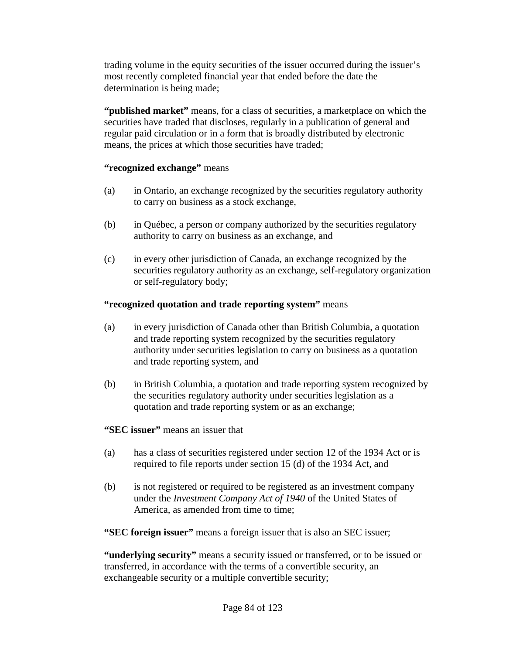trading volume in the equity securities of the issuer occurred during the issuer's most recently completed financial year that ended before the date the determination is being made;

**"published market"** means, for a class of securities, a marketplace on which the securities have traded that discloses, regularly in a publication of general and regular paid circulation or in a form that is broadly distributed by electronic means, the prices at which those securities have traded;

#### **"recognized exchange"** means

- (a) in Ontario, an exchange recognized by the securities regulatory authority to carry on business as a stock exchange,
- (b) in Québec, a person or company authorized by the securities regulatory authority to carry on business as an exchange, and
- (c) in every other jurisdiction of Canada, an exchange recognized by the securities regulatory authority as an exchange, self-regulatory organization or self-regulatory body;

#### **"recognized quotation and trade reporting system"** means

- (a) in every jurisdiction of Canada other than British Columbia, a quotation and trade reporting system recognized by the securities regulatory authority under securities legislation to carry on business as a quotation and trade reporting system, and
- (b) in British Columbia, a quotation and trade reporting system recognized by the securities regulatory authority under securities legislation as a quotation and trade reporting system or as an exchange;

**"SEC issuer"** means an issuer that

- (a) has a class of securities registered under section 12 of the 1934 Act or is required to file reports under section 15 (d) of the 1934 Act, and
- (b) is not registered or required to be registered as an investment company under the *Investment Company Act of 1940* of the United States of America, as amended from time to time:

**"SEC foreign issuer"** means a foreign issuer that is also an SEC issuer;

**"underlying security"** means a security issued or transferred, or to be issued or transferred, in accordance with the terms of a convertible security, an exchangeable security or a multiple convertible security;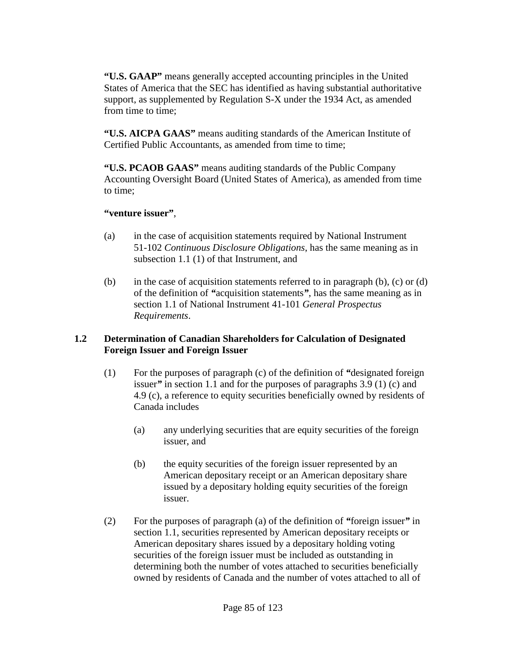**"U.S. GAAP"** means generally accepted accounting principles in the United States of America that the SEC has identified as having substantial authoritative support, as supplemented by Regulation S-X under the 1934 Act, as amended from time to time;

**"U.S. AICPA GAAS"** means auditing standards of the American Institute of Certified Public Accountants, as amended from time to time;

**"U.S. PCAOB GAAS"** means auditing standards of the Public Company Accounting Oversight Board (United States of America), as amended from time to time;

#### **"venture issuer"**,

- (a) in the case of acquisition statements required by National Instrument 51-102 *Continuous Disclosure Obligations*, has the same meaning as in subsection 1.1 (1) of that Instrument, and
- (b) in the case of acquisition statements referred to in paragraph  $(b)$ ,  $(c)$  or  $(d)$ of the definition of *"*acquisition statements*"*, has the same meaning as in section 1.1 of National Instrument 41-101 *General Prospectus Requirements*.

#### **1.2 Determination of Canadian Shareholders for Calculation of Designated Foreign Issuer and Foreign Issuer**

- (1) For the purposes of paragraph (c) of the definition of *"*designated foreign issuer*"* in section 1.1 and for the purposes of paragraphs 3.9 (1) (c) and 4.9 (c), a reference to equity securities beneficially owned by residents of Canada includes
	- (a) any underlying securities that are equity securities of the foreign issuer, and
	- (b) the equity securities of the foreign issuer represented by an American depositary receipt or an American depositary share issued by a depositary holding equity securities of the foreign issuer.
- (2) For the purposes of paragraph (a) of the definition of *"*foreign issuer*"* in section 1.1, securities represented by American depositary receipts or American depositary shares issued by a depositary holding voting securities of the foreign issuer must be included as outstanding in determining both the number of votes attached to securities beneficially owned by residents of Canada and the number of votes attached to all of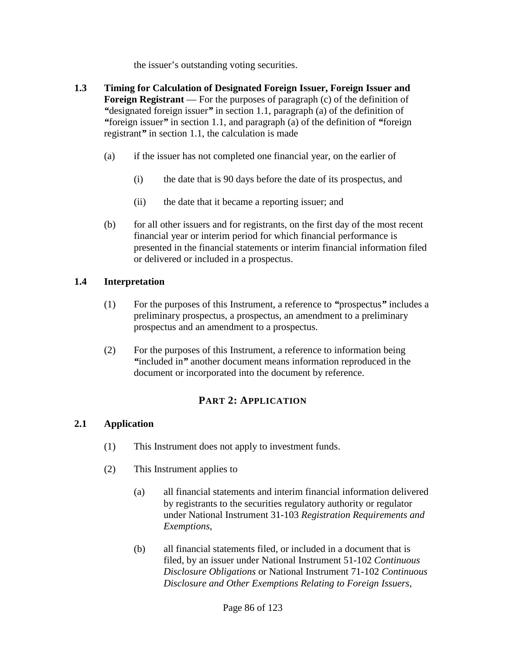the issuer's outstanding voting securities.

- **1.3 Timing for Calculation of Designated Foreign Issuer, Foreign Issuer and Foreign Registrant** — For the purposes of paragraph (c) of the definition of *"*designated foreign issuer*"* in section 1.1, paragraph (a) of the definition of *"*foreign issuer*"* in section 1.1, and paragraph (a) of the definition of *"*foreign registrant*"* in section 1.1, the calculation is made
	- (a) if the issuer has not completed one financial year, on the earlier of
		- (i) the date that is 90 days before the date of its prospectus, and
		- (ii) the date that it became a reporting issuer; and
	- (b) for all other issuers and for registrants, on the first day of the most recent financial year or interim period for which financial performance is presented in the financial statements or interim financial information filed or delivered or included in a prospectus.

## **1.4 Interpretation**

- (1) For the purposes of this Instrument, a reference to *"*prospectus*"* includes a preliminary prospectus, a prospectus, an amendment to a preliminary prospectus and an amendment to a prospectus.
- (2) For the purposes of this Instrument, a reference to information being *"*included in*"* another document means information reproduced in the document or incorporated into the document by reference.

## **PART 2: APPLICATION**

## **2.1 Application**

- (1) This Instrument does not apply to investment funds.
- (2) This Instrument applies to
	- (a) all financial statements and interim financial information delivered by registrants to the securities regulatory authority or regulator under National Instrument 31-103 *Registration Requirements and Exemptions*,
	- (b) all financial statements filed, or included in a document that is filed, by an issuer under National Instrument 51-102 *Continuous Disclosure Obligations* or National Instrument 71-102 *Continuous Disclosure and Other Exemptions Relating to Foreign Issuers*,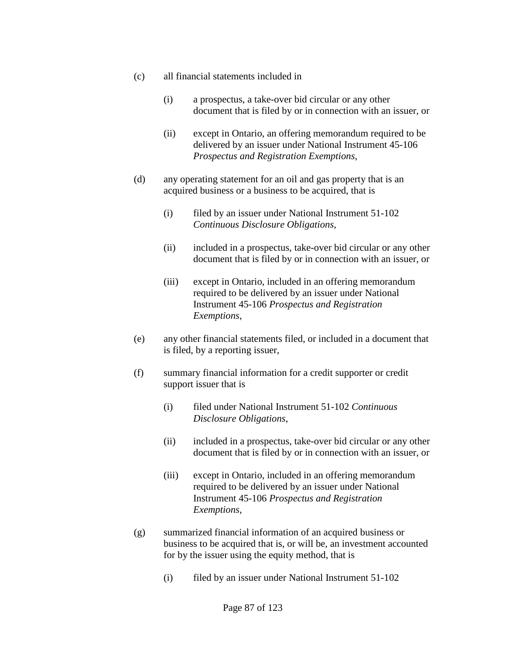- (c) all financial statements included in
	- (i) a prospectus, a take-over bid circular or any other document that is filed by or in connection with an issuer, or
	- (ii) except in Ontario, an offering memorandum required to be delivered by an issuer under National Instrument 45-106 *Prospectus and Registration Exemptions*,
- (d) any operating statement for an oil and gas property that is an acquired business or a business to be acquired, that is
	- (i) filed by an issuer under National Instrument 51-102 *Continuous Disclosure Obligations*,
	- (ii) included in a prospectus, take-over bid circular or any other document that is filed by or in connection with an issuer, or
	- (iii) except in Ontario, included in an offering memorandum required to be delivered by an issuer under National Instrument 45-106 *Prospectus and Registration Exemptions*,
- (e) any other financial statements filed, or included in a document that is filed, by a reporting issuer,
- (f) summary financial information for a credit supporter or credit support issuer that is
	- (i) filed under National Instrument 51-102 *Continuous Disclosure Obligations*,
	- (ii) included in a prospectus, take-over bid circular or any other document that is filed by or in connection with an issuer, or
	- (iii) except in Ontario, included in an offering memorandum required to be delivered by an issuer under National Instrument 45-106 *Prospectus and Registration Exemptions*,
- (g) summarized financial information of an acquired business or business to be acquired that is, or will be, an investment accounted for by the issuer using the equity method, that is
	- (i) filed by an issuer under National Instrument 51-102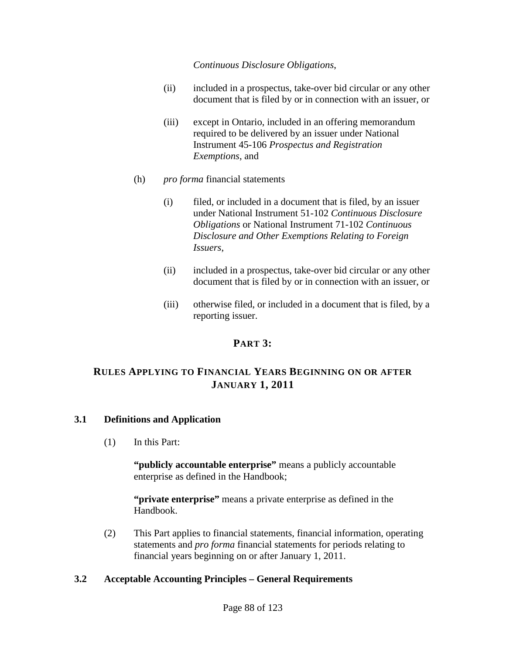*Continuous Disclosure Obligations*,

- (ii) included in a prospectus, take-over bid circular or any other document that is filed by or in connection with an issuer, or
- (iii) except in Ontario, included in an offering memorandum required to be delivered by an issuer under National Instrument 45-106 *Prospectus and Registration Exemptions*, and
- (h) *pro forma* financial statements
	- (i) filed, or included in a document that is filed, by an issuer under National Instrument 51-102 *Continuous Disclosure Obligations* or National Instrument 71-102 *Continuous Disclosure and Other Exemptions Relating to Foreign Issuers*,
	- (ii) included in a prospectus, take-over bid circular or any other document that is filed by or in connection with an issuer, or
	- (iii) otherwise filed, or included in a document that is filed, by a reporting issuer.

## **PART 3:**

# **RULES APPLYING TO FINANCIAL YEARS BEGINNING ON OR AFTER JANUARY 1, 2011**

#### **3.1 Definitions and Application**

(1) In this Part:

**"publicly accountable enterprise"** means a publicly accountable enterprise as defined in the Handbook;

**"private enterprise"** means a private enterprise as defined in the Handbook.

(2) This Part applies to financial statements, financial information, operating statements and *pro forma* financial statements for periods relating to financial years beginning on or after January 1, 2011.

## **3.2 Acceptable Accounting Principles – General Requirements**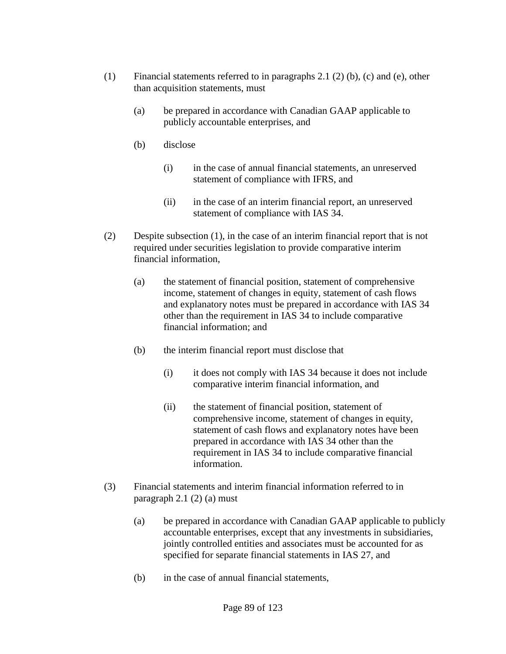- (1) Financial statements referred to in paragraphs 2.1 (2) (b), (c) and (e), other than acquisition statements, must
	- (a) be prepared in accordance with Canadian GAAP applicable to publicly accountable enterprises, and
	- (b) disclose
		- (i) in the case of annual financial statements, an unreserved statement of compliance with IFRS, and
		- (ii) in the case of an interim financial report, an unreserved statement of compliance with IAS 34.
- (2) Despite subsection (1), in the case of an interim financial report that is not required under securities legislation to provide comparative interim financial information,
	- (a) the statement of financial position, statement of comprehensive income, statement of changes in equity, statement of cash flows and explanatory notes must be prepared in accordance with IAS 34 other than the requirement in IAS 34 to include comparative financial information; and
	- (b) the interim financial report must disclose that
		- (i) it does not comply with IAS 34 because it does not include comparative interim financial information, and
		- (ii) the statement of financial position, statement of comprehensive income, statement of changes in equity, statement of cash flows and explanatory notes have been prepared in accordance with IAS 34 other than the requirement in IAS 34 to include comparative financial information.
- (3) Financial statements and interim financial information referred to in paragraph 2.1 (2) (a) must
	- (a) be prepared in accordance with Canadian GAAP applicable to publicly accountable enterprises, except that any investments in subsidiaries, jointly controlled entities and associates must be accounted for as specified for separate financial statements in IAS 27, and
	- (b) in the case of annual financial statements,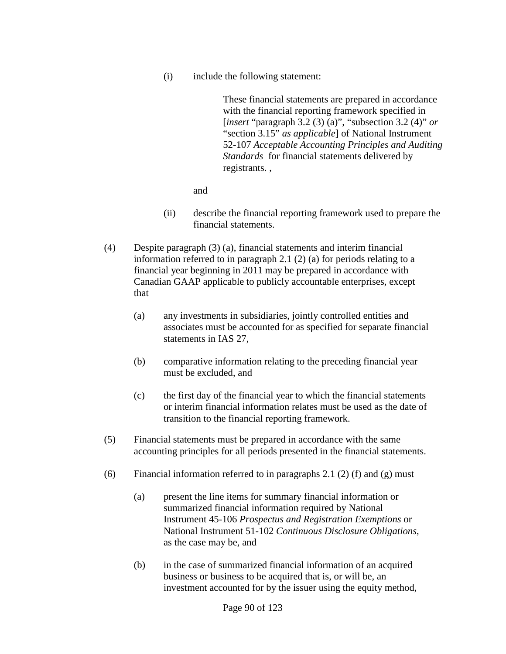(i) include the following statement:

These financial statements are prepared in accordance with the financial reporting framework specified in [*insert* "paragraph 3.2 (3) (a)"*,* "subsection 3.2 (4)" *or* "section 3.15" *as applicable*] of National Instrument 52-107 *Acceptable Accounting Principles and Auditing Standards* for financial statements delivered by registrants. ,

and

- (ii) describe the financial reporting framework used to prepare the financial statements.
- (4) Despite paragraph (3) (a), financial statements and interim financial information referred to in paragraph 2.1 (2) (a) for periods relating to a financial year beginning in 2011 may be prepared in accordance with Canadian GAAP applicable to publicly accountable enterprises, except that
	- (a) any investments in subsidiaries, jointly controlled entities and associates must be accounted for as specified for separate financial statements in IAS 27,
	- (b) comparative information relating to the preceding financial year must be excluded, and
	- (c) the first day of the financial year to which the financial statements or interim financial information relates must be used as the date of transition to the financial reporting framework.
- (5) Financial statements must be prepared in accordance with the same accounting principles for all periods presented in the financial statements.
- (6) Financial information referred to in paragraphs 2.1 (2) (f) and (g) must
	- (a) present the line items for summary financial information or summarized financial information required by National Instrument 45-106 *Prospectus and Registration Exemptions* or National Instrument 51-102 *Continuous Disclosure Obligations*, as the case may be, and
	- (b) in the case of summarized financial information of an acquired business or business to be acquired that is, or will be, an investment accounted for by the issuer using the equity method,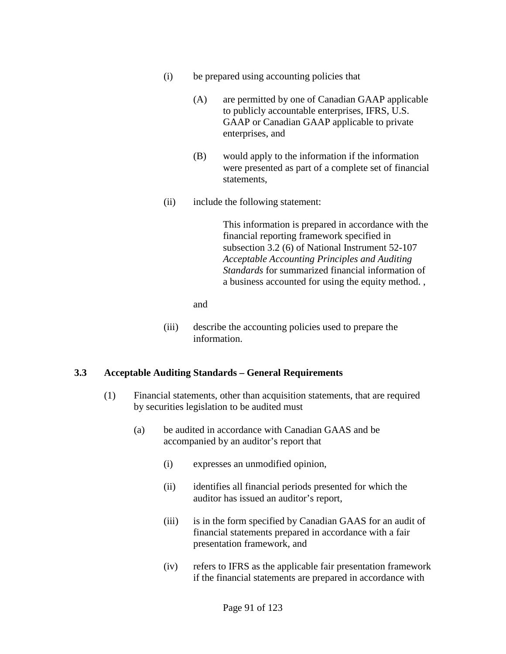- (i) be prepared using accounting policies that
	- (A) are permitted by one of Canadian GAAP applicable to publicly accountable enterprises, IFRS, U.S. GAAP or Canadian GAAP applicable to private enterprises, and
	- (B) would apply to the information if the information were presented as part of a complete set of financial statements,
- (ii) include the following statement:

This information is prepared in accordance with the financial reporting framework specified in subsection 3.2 (6) of National Instrument 52-107 *Acceptable Accounting Principles and Auditing Standards* for summarized financial information of a business accounted for using the equity method. ,

and

(iii) describe the accounting policies used to prepare the information.

#### **3.3 Acceptable Auditing Standards – General Requirements**

- (1) Financial statements, other than acquisition statements, that are required by securities legislation to be audited must
	- (a) be audited in accordance with Canadian GAAS and be accompanied by an auditor's report that
		- (i) expresses an unmodified opinion,
		- (ii) identifies all financial periods presented for which the auditor has issued an auditor's report,
		- (iii) is in the form specified by Canadian GAAS for an audit of financial statements prepared in accordance with a fair presentation framework, and
		- (iv) refers to IFRS as the applicable fair presentation framework if the financial statements are prepared in accordance with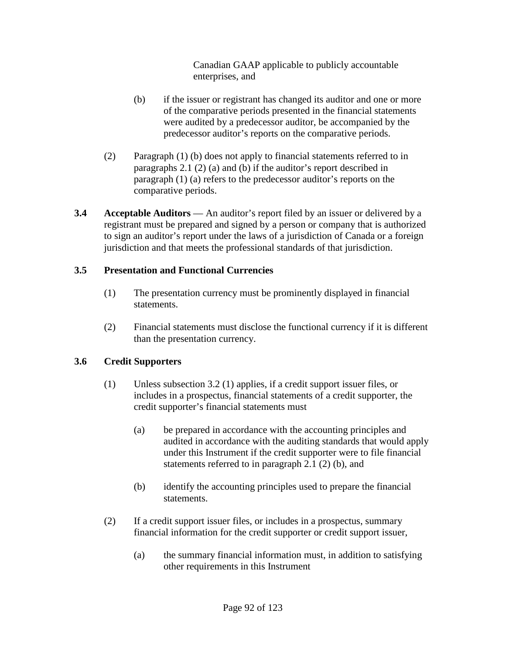Canadian GAAP applicable to publicly accountable enterprises, and

- (b) if the issuer or registrant has changed its auditor and one or more of the comparative periods presented in the financial statements were audited by a predecessor auditor, be accompanied by the predecessor auditor's reports on the comparative periods.
- (2) Paragraph (1) (b) does not apply to financial statements referred to in paragraphs 2.1 (2) (a) and (b) if the auditor's report described in paragraph (1) (a) refers to the predecessor auditor's reports on the comparative periods.
- **3.4 Acceptable Auditors** An auditor's report filed by an issuer or delivered by a registrant must be prepared and signed by a person or company that is authorized to sign an auditor's report under the laws of a jurisdiction of Canada or a foreign jurisdiction and that meets the professional standards of that jurisdiction.

## **3.5 Presentation and Functional Currencies**

- (1) The presentation currency must be prominently displayed in financial statements.
- (2) Financial statements must disclose the functional currency if it is different than the presentation currency.

# **3.6 Credit Supporters**

- (1) Unless subsection 3.2 (1) applies, if a credit support issuer files, or includes in a prospectus, financial statements of a credit supporter, the credit supporter's financial statements must
	- (a) be prepared in accordance with the accounting principles and audited in accordance with the auditing standards that would apply under this Instrument if the credit supporter were to file financial statements referred to in paragraph 2.1 (2) (b), and
	- (b) identify the accounting principles used to prepare the financial statements.
- (2) If a credit support issuer files, or includes in a prospectus, summary financial information for the credit supporter or credit support issuer,
	- (a) the summary financial information must, in addition to satisfying other requirements in this Instrument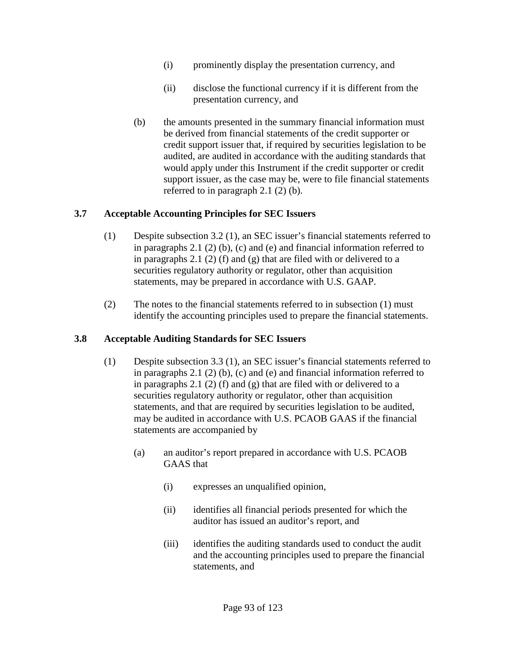- (i) prominently display the presentation currency, and
- (ii) disclose the functional currency if it is different from the presentation currency, and
- (b) the amounts presented in the summary financial information must be derived from financial statements of the credit supporter or credit support issuer that, if required by securities legislation to be audited, are audited in accordance with the auditing standards that would apply under this Instrument if the credit supporter or credit support issuer, as the case may be, were to file financial statements referred to in paragraph 2.1 (2) (b).

#### **3.7 Acceptable Accounting Principles for SEC Issuers**

- (1) Despite subsection 3.2 (1), an SEC issuer's financial statements referred to in paragraphs 2.1 (2) (b), (c) and (e) and financial information referred to in paragraphs 2.1 (2) (f) and (g) that are filed with or delivered to a securities regulatory authority or regulator, other than acquisition statements, may be prepared in accordance with U.S. GAAP.
- (2) The notes to the financial statements referred to in subsection (1) must identify the accounting principles used to prepare the financial statements.

## **3.8 Acceptable Auditing Standards for SEC Issuers**

- (1) Despite subsection 3.3 (1), an SEC issuer's financial statements referred to in paragraphs 2.1 (2) (b), (c) and (e) and financial information referred to in paragraphs 2.1 (2) (f) and (g) that are filed with or delivered to a securities regulatory authority or regulator, other than acquisition statements, and that are required by securities legislation to be audited, may be audited in accordance with U.S. PCAOB GAAS if the financial statements are accompanied by
	- (a) an auditor's report prepared in accordance with U.S. PCAOB GAAS that
		- (i) expresses an unqualified opinion,
		- (ii) identifies all financial periods presented for which the auditor has issued an auditor's report, and
		- (iii) identifies the auditing standards used to conduct the audit and the accounting principles used to prepare the financial statements, and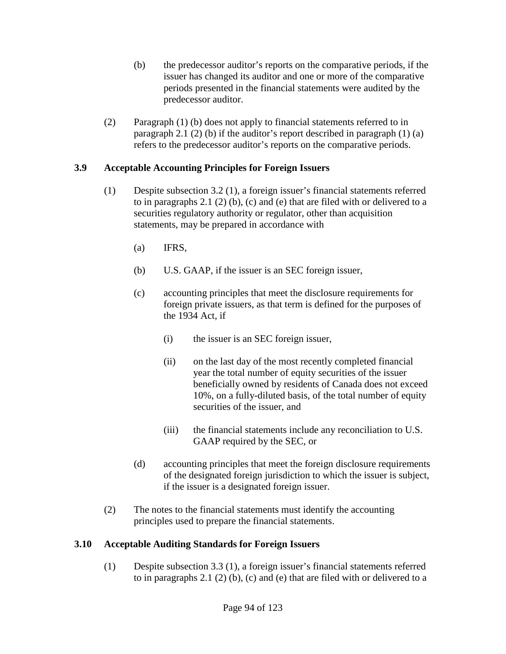- (b) the predecessor auditor's reports on the comparative periods, if the issuer has changed its auditor and one or more of the comparative periods presented in the financial statements were audited by the predecessor auditor.
- (2) Paragraph (1) (b) does not apply to financial statements referred to in paragraph 2.1 (2) (b) if the auditor's report described in paragraph  $(1)$  (a) refers to the predecessor auditor's reports on the comparative periods.

# **3.9 Acceptable Accounting Principles for Foreign Issuers**

- (1) Despite subsection 3.2 (1), a foreign issuer's financial statements referred to in paragraphs 2.1 (2) (b), (c) and (e) that are filed with or delivered to a securities regulatory authority or regulator, other than acquisition statements, may be prepared in accordance with
	- (a) IFRS,
	- (b) U.S. GAAP, if the issuer is an SEC foreign issuer,
	- (c) accounting principles that meet the disclosure requirements for foreign private issuers, as that term is defined for the purposes of the 1934 Act, if
		- (i) the issuer is an SEC foreign issuer,
		- (ii) on the last day of the most recently completed financial year the total number of equity securities of the issuer beneficially owned by residents of Canada does not exceed 10%, on a fully-diluted basis, of the total number of equity securities of the issuer, and
		- (iii) the financial statements include any reconciliation to U.S. GAAP required by the SEC, or
	- (d) accounting principles that meet the foreign disclosure requirements of the designated foreign jurisdiction to which the issuer is subject, if the issuer is a designated foreign issuer.
- (2) The notes to the financial statements must identify the accounting principles used to prepare the financial statements.

## **3.10 Acceptable Auditing Standards for Foreign Issuers**

(1) Despite subsection 3.3 (1), a foreign issuer's financial statements referred to in paragraphs 2.1 (2) (b), (c) and (e) that are filed with or delivered to a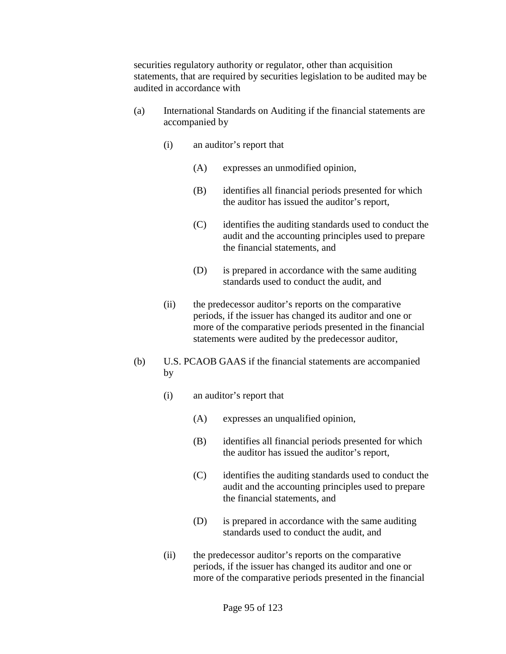securities regulatory authority or regulator, other than acquisition statements, that are required by securities legislation to be audited may be audited in accordance with

- (a) International Standards on Auditing if the financial statements are accompanied by
	- (i) an auditor's report that
		- (A) expresses an unmodified opinion,
		- (B) identifies all financial periods presented for which the auditor has issued the auditor's report,
		- (C) identifies the auditing standards used to conduct the audit and the accounting principles used to prepare the financial statements, and
		- (D) is prepared in accordance with the same auditing standards used to conduct the audit, and
	- (ii) the predecessor auditor's reports on the comparative periods, if the issuer has changed its auditor and one or more of the comparative periods presented in the financial statements were audited by the predecessor auditor,
- (b) U.S. PCAOB GAAS if the financial statements are accompanied by
	- (i) an auditor's report that
		- (A) expresses an unqualified opinion,
		- (B) identifies all financial periods presented for which the auditor has issued the auditor's report,
		- (C) identifies the auditing standards used to conduct the audit and the accounting principles used to prepare the financial statements, and
		- (D) is prepared in accordance with the same auditing standards used to conduct the audit, and
	- (ii) the predecessor auditor's reports on the comparative periods, if the issuer has changed its auditor and one or more of the comparative periods presented in the financial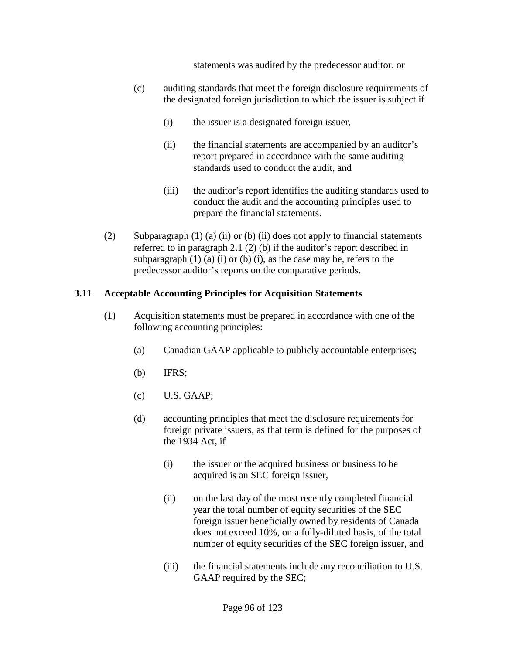statements was audited by the predecessor auditor, or

- (c) auditing standards that meet the foreign disclosure requirements of the designated foreign jurisdiction to which the issuer is subject if
	- (i) the issuer is a designated foreign issuer,
	- (ii) the financial statements are accompanied by an auditor's report prepared in accordance with the same auditing standards used to conduct the audit, and
	- (iii) the auditor's report identifies the auditing standards used to conduct the audit and the accounting principles used to prepare the financial statements.
- (2) Subparagraph (1) (a) (ii) or (b) (ii) does not apply to financial statements referred to in paragraph 2.1 (2) (b) if the auditor's report described in subparagraph  $(1)$   $(a)$   $(i)$  or  $(b)$   $(i)$ , as the case may be, refers to the predecessor auditor's reports on the comparative periods.

## **3.11 Acceptable Accounting Principles for Acquisition Statements**

- (1) Acquisition statements must be prepared in accordance with one of the following accounting principles:
	- (a) Canadian GAAP applicable to publicly accountable enterprises;
	- (b) IFRS;
	- (c) U.S. GAAP;
	- (d) accounting principles that meet the disclosure requirements for foreign private issuers, as that term is defined for the purposes of the 1934 Act, if
		- (i) the issuer or the acquired business or business to be acquired is an SEC foreign issuer,
		- (ii) on the last day of the most recently completed financial year the total number of equity securities of the SEC foreign issuer beneficially owned by residents of Canada does not exceed 10%, on a fully-diluted basis, of the total number of equity securities of the SEC foreign issuer, and
		- (iii) the financial statements include any reconciliation to U.S. GAAP required by the SEC;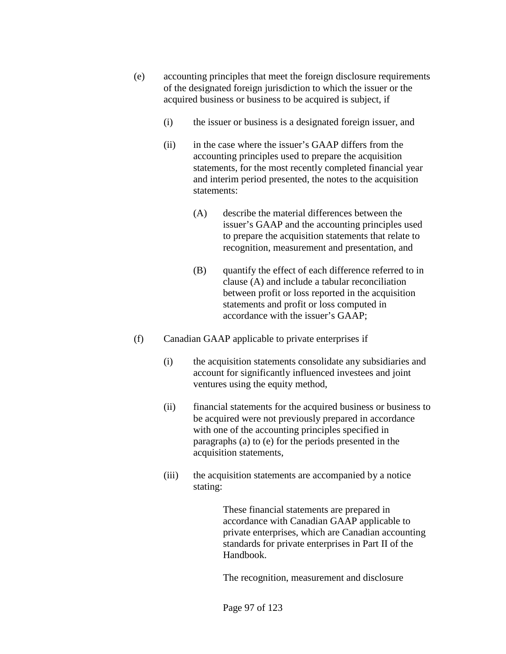- (e) accounting principles that meet the foreign disclosure requirements of the designated foreign jurisdiction to which the issuer or the acquired business or business to be acquired is subject, if
	- (i) the issuer or business is a designated foreign issuer, and
	- (ii) in the case where the issuer's GAAP differs from the accounting principles used to prepare the acquisition statements, for the most recently completed financial year and interim period presented, the notes to the acquisition statements:
		- (A) describe the material differences between the issuer's GAAP and the accounting principles used to prepare the acquisition statements that relate to recognition, measurement and presentation, and
		- (B) quantify the effect of each difference referred to in clause (A) and include a tabular reconciliation between profit or loss reported in the acquisition statements and profit or loss computed in accordance with the issuer's GAAP;
- (f) Canadian GAAP applicable to private enterprises if
	- (i) the acquisition statements consolidate any subsidiaries and account for significantly influenced investees and joint ventures using the equity method,
	- (ii) financial statements for the acquired business or business to be acquired were not previously prepared in accordance with one of the accounting principles specified in paragraphs (a) to (e) for the periods presented in the acquisition statements,
	- (iii) the acquisition statements are accompanied by a notice stating:

These financial statements are prepared in accordance with Canadian GAAP applicable to private enterprises, which are Canadian accounting standards for private enterprises in Part II of the Handbook.

The recognition, measurement and disclosure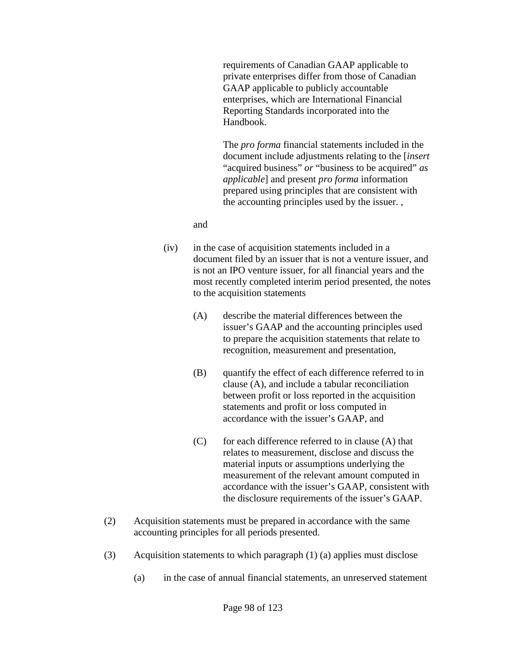requirements of Canadian GAAP applicable to private enterprises differ from those of Canadian GAAP applicable to publicly accountable enterprises, which are International Financial Reporting Standards incorporated into the Handbook.

The *pro forma* financial statements included in the document include adjustments relating to the [*insert* "acquired business" *or* "business to be acquired" *as applicable*] and present *pro forma* information prepared using principles that are consistent with the accounting principles used by the issuer. ,

and

- (iv) in the case of acquisition statements included in a document filed by an issuer that is not a venture issuer, and is not an IPO venture issuer, for all financial years and the most recently completed interim period presented, the notes to the acquisition statements
	- (A) describe the material differences between the issuer's GAAP and the accounting principles used to prepare the acquisition statements that relate to recognition, measurement and presentation,
	- (B) quantify the effect of each difference referred to in clause (A), and include a tabular reconciliation between profit or loss reported in the acquisition statements and profit or loss computed in accordance with the issuer's GAAP, and
	- $(C)$  for each difference referred to in clause  $(A)$  that relates to measurement, disclose and discuss the material inputs or assumptions underlying the measurement of the relevant amount computed in accordance with the issuer's GAAP, consistent with the disclosure requirements of the issuer's GAAP.
- (2) Acquisition statements must be prepared in accordance with the same accounting principles for all periods presented.
- (3) Acquisition statements to which paragraph (1) (a) applies must disclose
	- (a) in the case of annual financial statements, an unreserved statement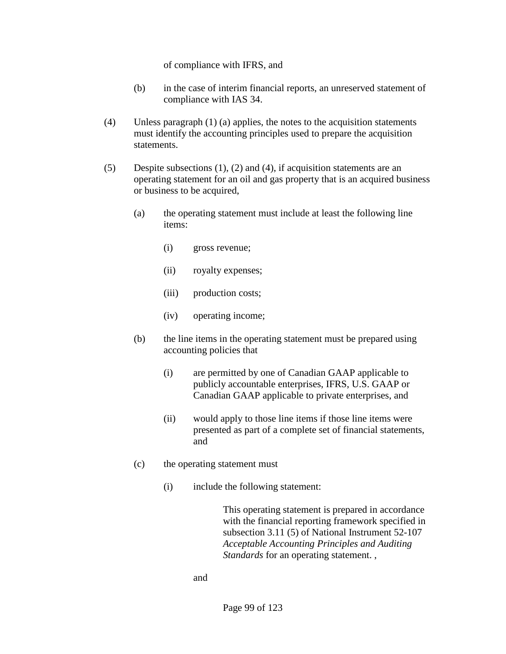of compliance with IFRS, and

- (b) in the case of interim financial reports, an unreserved statement of compliance with IAS 34.
- (4) Unless paragraph (1) (a) applies, the notes to the acquisition statements must identify the accounting principles used to prepare the acquisition statements.
- (5) Despite subsections (1), (2) and (4), if acquisition statements are an operating statement for an oil and gas property that is an acquired business or business to be acquired,
	- (a) the operating statement must include at least the following line items:
		- (i) gross revenue;
		- (ii) royalty expenses;
		- (iii) production costs;
		- (iv) operating income;
	- (b) the line items in the operating statement must be prepared using accounting policies that
		- (i) are permitted by one of Canadian GAAP applicable to publicly accountable enterprises, IFRS, U.S. GAAP or Canadian GAAP applicable to private enterprises, and
		- (ii) would apply to those line items if those line items were presented as part of a complete set of financial statements, and
	- (c) the operating statement must
		- (i) include the following statement:

This operating statement is prepared in accordance with the financial reporting framework specified in subsection 3.11 (5) of National Instrument 52-107 *Acceptable Accounting Principles and Auditing Standards* for an operating statement. ,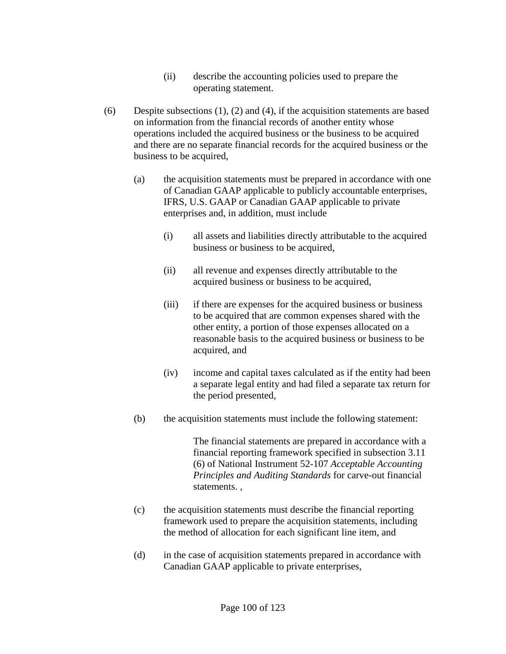- (ii) describe the accounting policies used to prepare the operating statement.
- (6) Despite subsections  $(1)$ ,  $(2)$  and  $(4)$ , if the acquisition statements are based on information from the financial records of another entity whose operations included the acquired business or the business to be acquired and there are no separate financial records for the acquired business or the business to be acquired,
	- (a) the acquisition statements must be prepared in accordance with one of Canadian GAAP applicable to publicly accountable enterprises, IFRS, U.S. GAAP or Canadian GAAP applicable to private enterprises and, in addition, must include
		- (i) all assets and liabilities directly attributable to the acquired business or business to be acquired,
		- (ii) all revenue and expenses directly attributable to the acquired business or business to be acquired,
		- (iii) if there are expenses for the acquired business or business to be acquired that are common expenses shared with the other entity, a portion of those expenses allocated on a reasonable basis to the acquired business or business to be acquired, and
		- (iv) income and capital taxes calculated as if the entity had been a separate legal entity and had filed a separate tax return for the period presented,
	- (b) the acquisition statements must include the following statement:

The financial statements are prepared in accordance with a financial reporting framework specified in subsection 3.11 (6) of National Instrument 52-107 *Acceptable Accounting Principles and Auditing Standards* for carve-out financial statements. ,

- (c) the acquisition statements must describe the financial reporting framework used to prepare the acquisition statements, including the method of allocation for each significant line item, and
- (d) in the case of acquisition statements prepared in accordance with Canadian GAAP applicable to private enterprises,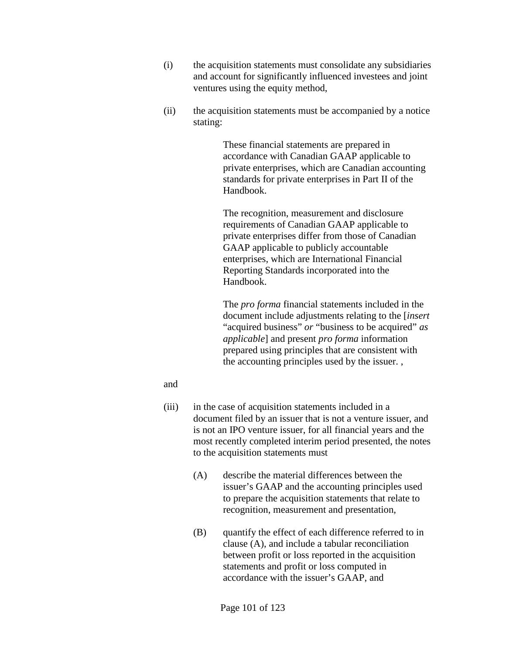- (i) the acquisition statements must consolidate any subsidiaries and account for significantly influenced investees and joint ventures using the equity method,
- (ii) the acquisition statements must be accompanied by a notice stating:

These financial statements are prepared in accordance with Canadian GAAP applicable to private enterprises, which are Canadian accounting standards for private enterprises in Part II of the Handbook.

The recognition, measurement and disclosure requirements of Canadian GAAP applicable to private enterprises differ from those of Canadian GAAP applicable to publicly accountable enterprises, which are International Financial Reporting Standards incorporated into the Handbook.

The *pro forma* financial statements included in the document include adjustments relating to the [*insert* "acquired business" *or* "business to be acquired" *as applicable*] and present *pro forma* information prepared using principles that are consistent with the accounting principles used by the issuer. ,

#### and

- (iii) in the case of acquisition statements included in a document filed by an issuer that is not a venture issuer, and is not an IPO venture issuer, for all financial years and the most recently completed interim period presented, the notes to the acquisition statements must
	- (A) describe the material differences between the issuer's GAAP and the accounting principles used to prepare the acquisition statements that relate to recognition, measurement and presentation,
	- (B) quantify the effect of each difference referred to in clause (A), and include a tabular reconciliation between profit or loss reported in the acquisition statements and profit or loss computed in accordance with the issuer's GAAP, and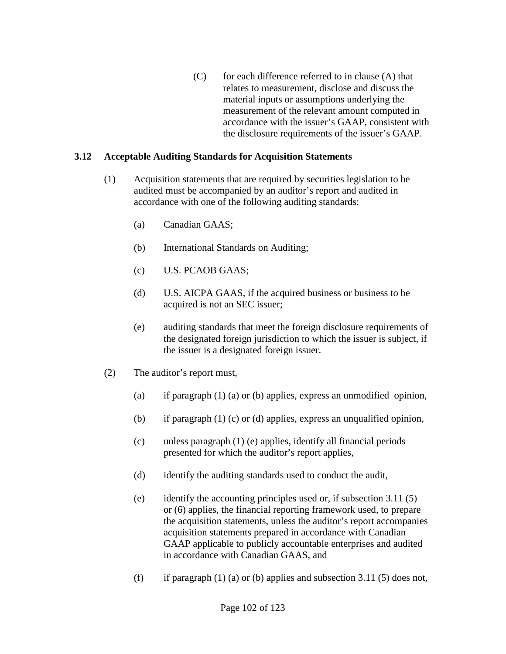$(C)$  for each difference referred to in clause  $(A)$  that relates to measurement, disclose and discuss the material inputs or assumptions underlying the measurement of the relevant amount computed in accordance with the issuer's GAAP, consistent with the disclosure requirements of the issuer's GAAP.

### **3.12 Acceptable Auditing Standards for Acquisition Statements**

- (1) Acquisition statements that are required by securities legislation to be audited must be accompanied by an auditor's report and audited in accordance with one of the following auditing standards:
	- (a) Canadian GAAS;
	- (b) International Standards on Auditing;
	- (c) U.S. PCAOB GAAS;
	- (d) U.S. AICPA GAAS, if the acquired business or business to be acquired is not an SEC issuer;
	- (e) auditing standards that meet the foreign disclosure requirements of the designated foreign jurisdiction to which the issuer is subject, if the issuer is a designated foreign issuer.
- (2) The auditor's report must,
	- (a) if paragraph  $(1)$  (a) or (b) applies, express an unmodified opinion,
	- (b) if paragraph (1) (c) or (d) applies, express an unqualified opinion,
	- (c) unless paragraph (1) (e) applies, identify all financial periods presented for which the auditor's report applies,
	- (d) identify the auditing standards used to conduct the audit,
	- (e) identify the accounting principles used or, if subsection  $3.11(5)$ or (6) applies, the financial reporting framework used, to prepare the acquisition statements, unless the auditor's report accompanies acquisition statements prepared in accordance with Canadian GAAP applicable to publicly accountable enterprises and audited in accordance with Canadian GAAS, and
	- (f) if paragraph (1) (a) or (b) applies and subsection 3.11 (5) does not,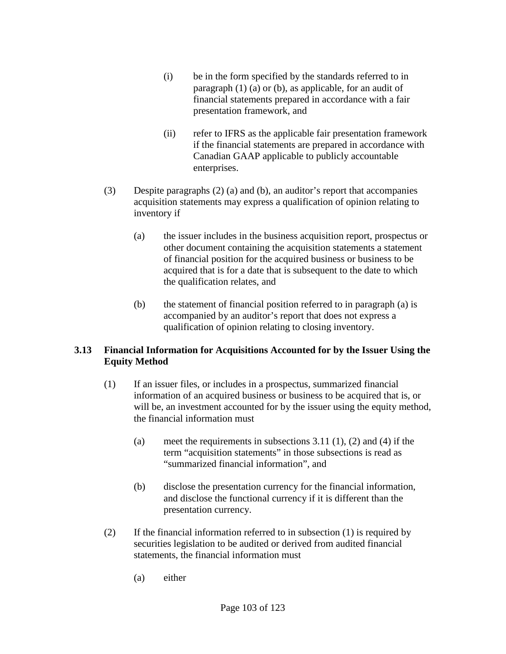- (i) be in the form specified by the standards referred to in paragraph (1) (a) or (b), as applicable, for an audit of financial statements prepared in accordance with a fair presentation framework, and
- (ii) refer to IFRS as the applicable fair presentation framework if the financial statements are prepared in accordance with Canadian GAAP applicable to publicly accountable enterprises.
- (3) Despite paragraphs (2) (a) and (b), an auditor's report that accompanies acquisition statements may express a qualification of opinion relating to inventory if
	- (a) the issuer includes in the business acquisition report, prospectus or other document containing the acquisition statements a statement of financial position for the acquired business or business to be acquired that is for a date that is subsequent to the date to which the qualification relates, and
	- (b) the statement of financial position referred to in paragraph (a) is accompanied by an auditor's report that does not express a qualification of opinion relating to closing inventory.

## **3.13 Financial Information for Acquisitions Accounted for by the Issuer Using the Equity Method**

- (1) If an issuer files, or includes in a prospectus, summarized financial information of an acquired business or business to be acquired that is, or will be, an investment accounted for by the issuer using the equity method, the financial information must
	- (a) meet the requirements in subsections  $3.11$  (1), (2) and (4) if the term "acquisition statements" in those subsections is read as "summarized financial information", and
	- (b) disclose the presentation currency for the financial information, and disclose the functional currency if it is different than the presentation currency.
- (2) If the financial information referred to in subsection (1) is required by securities legislation to be audited or derived from audited financial statements, the financial information must
	- (a) either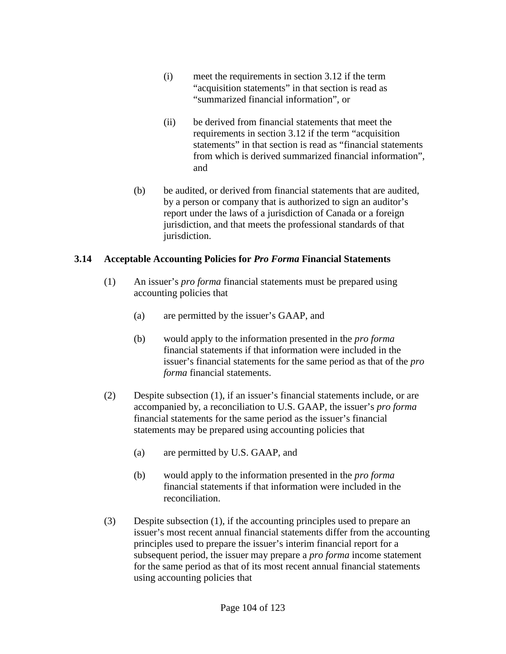- (i) meet the requirements in section 3.12 if the term "acquisition statements" in that section is read as "summarized financial information", or
- (ii) be derived from financial statements that meet the requirements in section 3.12 if the term "acquisition statements" in that section is read as "financial statements from which is derived summarized financial information", and
- (b) be audited, or derived from financial statements that are audited, by a person or company that is authorized to sign an auditor's report under the laws of a jurisdiction of Canada or a foreign jurisdiction, and that meets the professional standards of that jurisdiction.

#### **3.14 Acceptable Accounting Policies for** *Pro Forma* **Financial Statements**

- (1) An issuer's *pro forma* financial statements must be prepared using accounting policies that
	- (a) are permitted by the issuer's GAAP, and
	- (b) would apply to the information presented in the *pro forma* financial statements if that information were included in the issuer's financial statements for the same period as that of the *pro forma* financial statements.
- (2) Despite subsection (1), if an issuer's financial statements include, or are accompanied by, a reconciliation to U.S. GAAP, the issuer's *pro forma* financial statements for the same period as the issuer's financial statements may be prepared using accounting policies that
	- (a) are permitted by U.S. GAAP, and
	- (b) would apply to the information presented in the *pro forma* financial statements if that information were included in the reconciliation.
- (3) Despite subsection (1), if the accounting principles used to prepare an issuer's most recent annual financial statements differ from the accounting principles used to prepare the issuer's interim financial report for a subsequent period, the issuer may prepare a *pro forma* income statement for the same period as that of its most recent annual financial statements using accounting policies that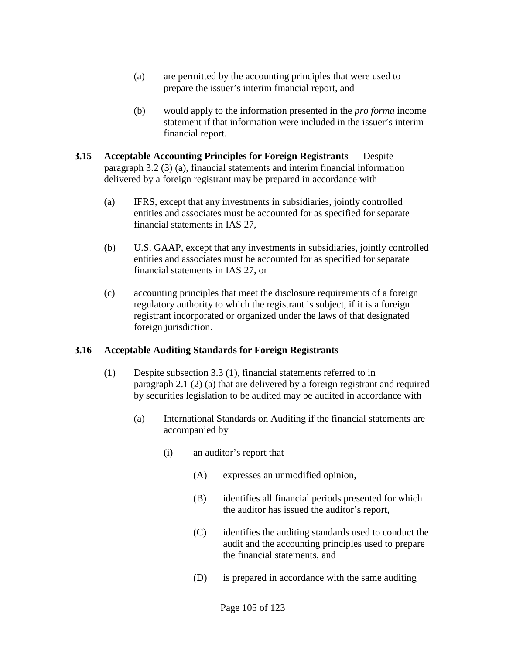- (a) are permitted by the accounting principles that were used to prepare the issuer's interim financial report, and
- (b) would apply to the information presented in the *pro forma* income statement if that information were included in the issuer's interim financial report.
- **3.15 Acceptable Accounting Principles for Foreign Registrants** Despite paragraph 3.2 (3) (a), financial statements and interim financial information delivered by a foreign registrant may be prepared in accordance with
	- (a) IFRS, except that any investments in subsidiaries, jointly controlled entities and associates must be accounted for as specified for separate financial statements in IAS 27,
	- (b) U.S. GAAP, except that any investments in subsidiaries, jointly controlled entities and associates must be accounted for as specified for separate financial statements in IAS 27, or
	- (c) accounting principles that meet the disclosure requirements of a foreign regulatory authority to which the registrant is subject, if it is a foreign registrant incorporated or organized under the laws of that designated foreign jurisdiction.

#### **3.16 Acceptable Auditing Standards for Foreign Registrants**

- (1) Despite subsection 3.3 (1), financial statements referred to in paragraph 2.1 (2) (a) that are delivered by a foreign registrant and required by securities legislation to be audited may be audited in accordance with
	- (a) International Standards on Auditing if the financial statements are accompanied by
		- (i) an auditor's report that
			- (A) expresses an unmodified opinion,
			- (B) identifies all financial periods presented for which the auditor has issued the auditor's report,
			- (C) identifies the auditing standards used to conduct the audit and the accounting principles used to prepare the financial statements, and
			- (D) is prepared in accordance with the same auditing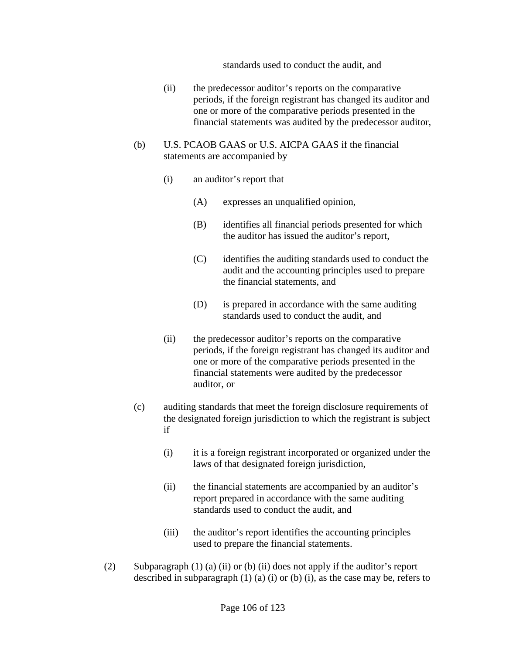standards used to conduct the audit, and

- (ii) the predecessor auditor's reports on the comparative periods, if the foreign registrant has changed its auditor and one or more of the comparative periods presented in the financial statements was audited by the predecessor auditor,
- (b) U.S. PCAOB GAAS or U.S. AICPA GAAS if the financial statements are accompanied by
	- (i) an auditor's report that
		- (A) expresses an unqualified opinion,
		- (B) identifies all financial periods presented for which the auditor has issued the auditor's report,
		- (C) identifies the auditing standards used to conduct the audit and the accounting principles used to prepare the financial statements, and
		- (D) is prepared in accordance with the same auditing standards used to conduct the audit, and
	- (ii) the predecessor auditor's reports on the comparative periods, if the foreign registrant has changed its auditor and one or more of the comparative periods presented in the financial statements were audited by the predecessor auditor, or
- (c) auditing standards that meet the foreign disclosure requirements of the designated foreign jurisdiction to which the registrant is subject if
	- (i) it is a foreign registrant incorporated or organized under the laws of that designated foreign jurisdiction,
	- (ii) the financial statements are accompanied by an auditor's report prepared in accordance with the same auditing standards used to conduct the audit, and
	- (iii) the auditor's report identifies the accounting principles used to prepare the financial statements.
- (2) Subparagraph (1) (a) (ii) or (b) (ii) does not apply if the auditor's report described in subparagraph  $(1)$   $(a)$   $(i)$  or  $(b)$   $(i)$ , as the case may be, refers to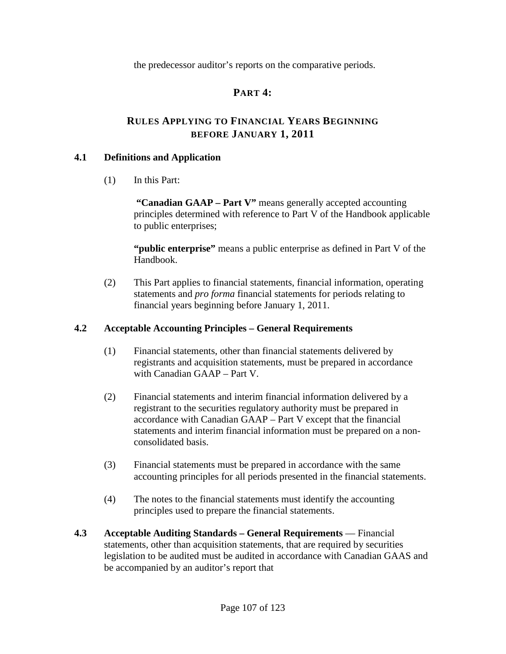the predecessor auditor's reports on the comparative periods.

# **PART 4:**

## **RULES APPLYING TO FINANCIAL YEARS BEGINNING BEFORE JANUARY 1, 2011**

#### **4.1 Definitions and Application**

(1) In this Part:

**"Canadian GAAP – Part V"** means generally accepted accounting principles determined with reference to Part V of the Handbook applicable to public enterprises;

**"public enterprise"** means a public enterprise as defined in Part V of the Handbook.

(2) This Part applies to financial statements, financial information, operating statements and *pro forma* financial statements for periods relating to financial years beginning before January 1, 2011.

#### **4.2 Acceptable Accounting Principles – General Requirements**

- (1) Financial statements, other than financial statements delivered by registrants and acquisition statements, must be prepared in accordance with Canadian GAAP – Part V.
- (2) Financial statements and interim financial information delivered by a registrant to the securities regulatory authority must be prepared in accordance with Canadian GAAP – Part V except that the financial statements and interim financial information must be prepared on a nonconsolidated basis.
- (3) Financial statements must be prepared in accordance with the same accounting principles for all periods presented in the financial statements.
- (4) The notes to the financial statements must identify the accounting principles used to prepare the financial statements.
- **4.3 Acceptable Auditing Standards General Requirements** Financial statements, other than acquisition statements, that are required by securities legislation to be audited must be audited in accordance with Canadian GAAS and be accompanied by an auditor's report that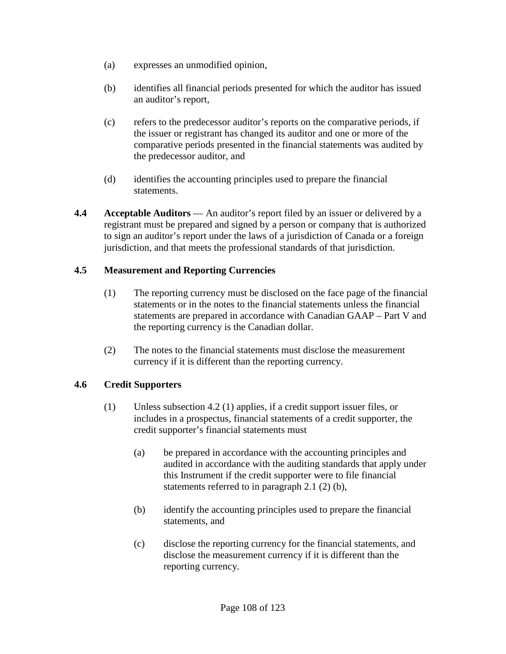- (a) expresses an unmodified opinion,
- (b) identifies all financial periods presented for which the auditor has issued an auditor's report,
- (c) refers to the predecessor auditor's reports on the comparative periods, if the issuer or registrant has changed its auditor and one or more of the comparative periods presented in the financial statements was audited by the predecessor auditor, and
- (d) identifies the accounting principles used to prepare the financial statements.
- **4.4** Acceptable Auditors An auditor's report filed by an issuer or delivered by a registrant must be prepared and signed by a person or company that is authorized to sign an auditor's report under the laws of a jurisdiction of Canada or a foreign jurisdiction, and that meets the professional standards of that jurisdiction.

# **4.5 Measurement and Reporting Currencies**

- (1) The reporting currency must be disclosed on the face page of the financial statements or in the notes to the financial statements unless the financial statements are prepared in accordance with Canadian GAAP – Part V and the reporting currency is the Canadian dollar.
- (2) The notes to the financial statements must disclose the measurement currency if it is different than the reporting currency.

# **4.6 Credit Supporters**

- (1) Unless subsection 4.2 (1) applies, if a credit support issuer files, or includes in a prospectus, financial statements of a credit supporter, the credit supporter's financial statements must
	- (a) be prepared in accordance with the accounting principles and audited in accordance with the auditing standards that apply under this Instrument if the credit supporter were to file financial statements referred to in paragraph 2.1 (2) (b),
	- (b) identify the accounting principles used to prepare the financial statements, and
	- (c) disclose the reporting currency for the financial statements, and disclose the measurement currency if it is different than the reporting currency.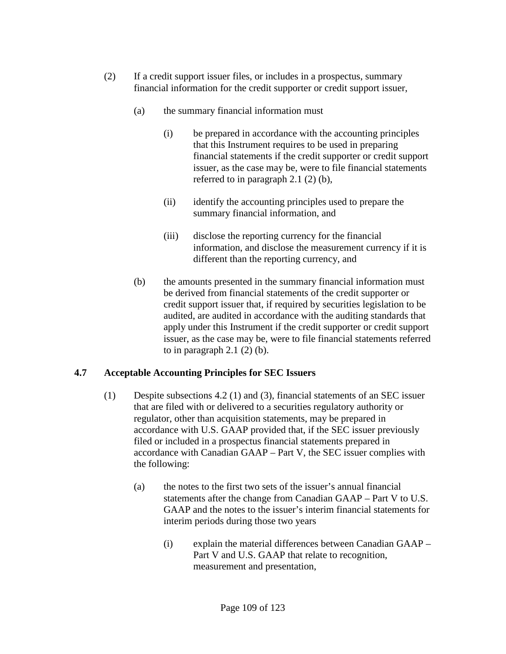- (2) If a credit support issuer files, or includes in a prospectus, summary financial information for the credit supporter or credit support issuer,
	- (a) the summary financial information must
		- (i) be prepared in accordance with the accounting principles that this Instrument requires to be used in preparing financial statements if the credit supporter or credit support issuer, as the case may be, were to file financial statements referred to in paragraph 2.1 (2) (b),
		- (ii) identify the accounting principles used to prepare the summary financial information, and
		- (iii) disclose the reporting currency for the financial information, and disclose the measurement currency if it is different than the reporting currency, and
	- (b) the amounts presented in the summary financial information must be derived from financial statements of the credit supporter or credit support issuer that, if required by securities legislation to be audited, are audited in accordance with the auditing standards that apply under this Instrument if the credit supporter or credit support issuer, as the case may be, were to file financial statements referred to in paragraph  $2.1$  (2) (b).

## **4.7 Acceptable Accounting Principles for SEC Issuers**

- $(1)$  Despite subsections 4.2 (1) and (3), financial statements of an SEC issuer that are filed with or delivered to a securities regulatory authority or regulator, other than acquisition statements, may be prepared in accordance with U.S. GAAP provided that, if the SEC issuer previously filed or included in a prospectus financial statements prepared in accordance with Canadian GAAP – Part V, the SEC issuer complies with the following:
	- (a) the notes to the first two sets of the issuer's annual financial statements after the change from Canadian GAAP – Part V to U.S. GAAP and the notes to the issuer's interim financial statements for interim periods during those two years
		- (i) explain the material differences between Canadian GAAP Part V and U.S. GAAP that relate to recognition, measurement and presentation,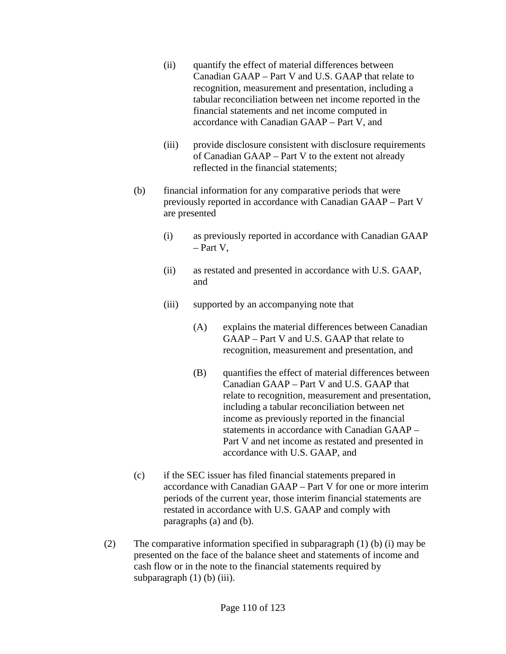- (ii) quantify the effect of material differences between Canadian GAAP – Part V and U.S. GAAP that relate to recognition, measurement and presentation, including a tabular reconciliation between net income reported in the financial statements and net income computed in accordance with Canadian GAAP – Part V, and
- (iii) provide disclosure consistent with disclosure requirements of Canadian GAAP – Part V to the extent not already reflected in the financial statements;
- (b) financial information for any comparative periods that were previously reported in accordance with Canadian GAAP – Part V are presented
	- (i) as previously reported in accordance with Canadian GAAP – Part V,
	- (ii) as restated and presented in accordance with U.S. GAAP, and
	- (iii) supported by an accompanying note that
		- (A) explains the material differences between Canadian GAAP – Part V and U.S. GAAP that relate to recognition, measurement and presentation, and
		- (B) quantifies the effect of material differences between Canadian GAAP – Part V and U.S. GAAP that relate to recognition, measurement and presentation, including a tabular reconciliation between net income as previously reported in the financial statements in accordance with Canadian GAAP – Part V and net income as restated and presented in accordance with U.S. GAAP, and
- (c) if the SEC issuer has filed financial statements prepared in accordance with Canadian GAAP – Part V for one or more interim periods of the current year, those interim financial statements are restated in accordance with U.S. GAAP and comply with paragraphs (a) and (b).
- (2) The comparative information specified in subparagraph (1) (b) (i) may be presented on the face of the balance sheet and statements of income and cash flow or in the note to the financial statements required by subparagraph  $(1)$  (b) (iii).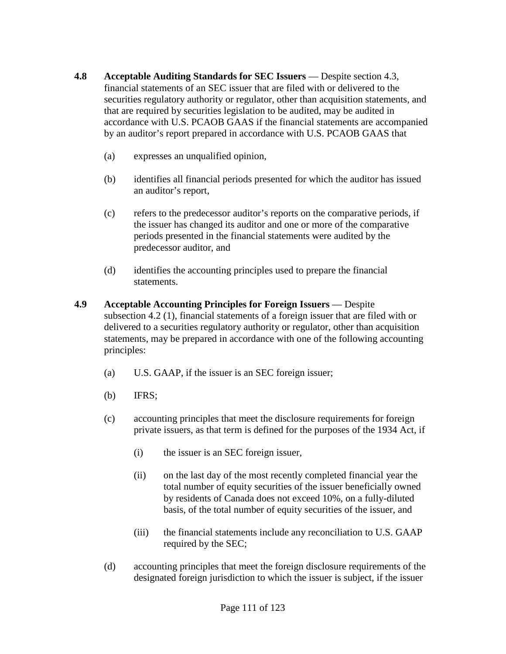- **4.8 Acceptable Auditing Standards for SEC Issuers** Despite section 4.3, financial statements of an SEC issuer that are filed with or delivered to the securities regulatory authority or regulator, other than acquisition statements, and that are required by securities legislation to be audited, may be audited in accordance with U.S. PCAOB GAAS if the financial statements are accompanied by an auditor's report prepared in accordance with U.S. PCAOB GAAS that
	- (a) expresses an unqualified opinion,
	- (b) identifies all financial periods presented for which the auditor has issued an auditor's report,
	- (c) refers to the predecessor auditor's reports on the comparative periods, if the issuer has changed its auditor and one or more of the comparative periods presented in the financial statements were audited by the predecessor auditor, and
	- (d) identifies the accounting principles used to prepare the financial statements.
- **4.9 Acceptable Accounting Principles for Foreign Issuers** Despite subsection 4.2 (1), financial statements of a foreign issuer that are filed with or delivered to a securities regulatory authority or regulator, other than acquisition statements, may be prepared in accordance with one of the following accounting principles:
	- (a) U.S. GAAP, if the issuer is an SEC foreign issuer;
	- (b) IFRS;
	- (c) accounting principles that meet the disclosure requirements for foreign private issuers, as that term is defined for the purposes of the 1934 Act, if
		- (i) the issuer is an SEC foreign issuer,
		- (ii) on the last day of the most recently completed financial year the total number of equity securities of the issuer beneficially owned by residents of Canada does not exceed 10%, on a fully-diluted basis, of the total number of equity securities of the issuer, and
		- (iii) the financial statements include any reconciliation to U.S. GAAP required by the SEC;
	- (d) accounting principles that meet the foreign disclosure requirements of the designated foreign jurisdiction to which the issuer is subject, if the issuer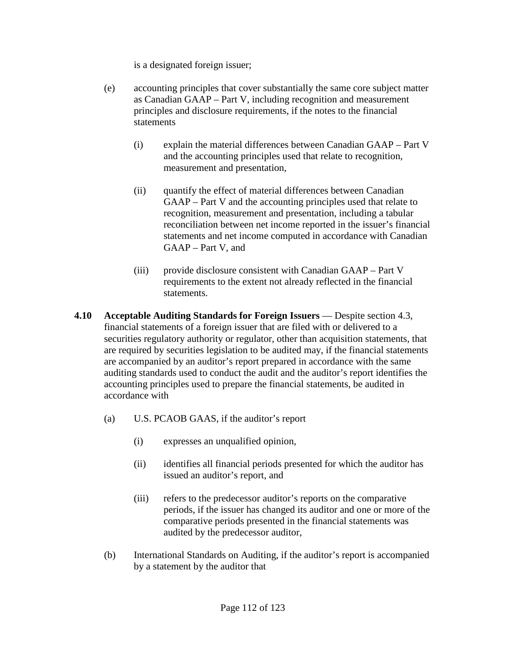is a designated foreign issuer;

- (e) accounting principles that cover substantially the same core subject matter as Canadian GAAP – Part V, including recognition and measurement principles and disclosure requirements, if the notes to the financial statements
	- (i) explain the material differences between Canadian GAAP Part V and the accounting principles used that relate to recognition, measurement and presentation,
	- (ii) quantify the effect of material differences between Canadian GAAP – Part V and the accounting principles used that relate to recognition, measurement and presentation, including a tabular reconciliation between net income reported in the issuer's financial statements and net income computed in accordance with Canadian GAAP – Part V, and
	- (iii) provide disclosure consistent with Canadian GAAP Part V requirements to the extent not already reflected in the financial statements.
- **4.10 Acceptable Auditing Standards for Foreign Issuers** Despite section 4.3, financial statements of a foreign issuer that are filed with or delivered to a securities regulatory authority or regulator, other than acquisition statements, that are required by securities legislation to be audited may, if the financial statements are accompanied by an auditor's report prepared in accordance with the same auditing standards used to conduct the audit and the auditor's report identifies the accounting principles used to prepare the financial statements, be audited in accordance with
	- (a) U.S. PCAOB GAAS, if the auditor's report
		- (i) expresses an unqualified opinion,
		- (ii) identifies all financial periods presented for which the auditor has issued an auditor's report, and
		- (iii) refers to the predecessor auditor's reports on the comparative periods, if the issuer has changed its auditor and one or more of the comparative periods presented in the financial statements was audited by the predecessor auditor,
	- (b) International Standards on Auditing, if the auditor's report is accompanied by a statement by the auditor that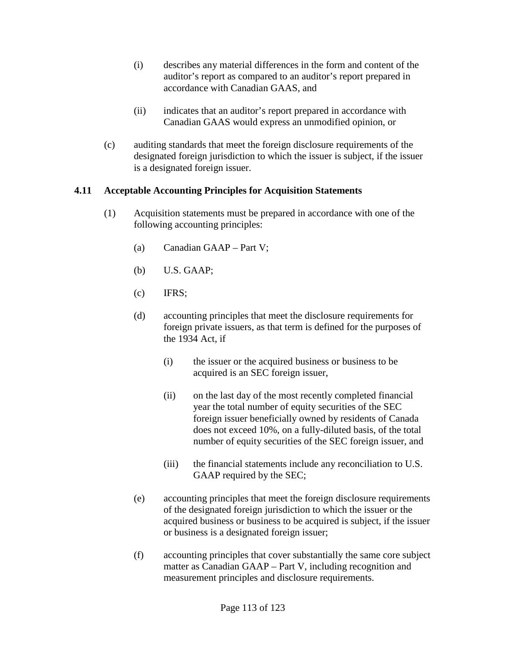- (i) describes any material differences in the form and content of the auditor's report as compared to an auditor's report prepared in accordance with Canadian GAAS, and
- (ii) indicates that an auditor's report prepared in accordance with Canadian GAAS would express an unmodified opinion, or
- (c) auditing standards that meet the foreign disclosure requirements of the designated foreign jurisdiction to which the issuer is subject, if the issuer is a designated foreign issuer.

## **4.11 Acceptable Accounting Principles for Acquisition Statements**

- (1) Acquisition statements must be prepared in accordance with one of the following accounting principles:
	- (a) Canadian GAAP Part V;
	- (b) U.S. GAAP;
	- (c) IFRS;
	- (d) accounting principles that meet the disclosure requirements for foreign private issuers, as that term is defined for the purposes of the 1934 Act, if
		- (i) the issuer or the acquired business or business to be acquired is an SEC foreign issuer,
		- (ii) on the last day of the most recently completed financial year the total number of equity securities of the SEC foreign issuer beneficially owned by residents of Canada does not exceed 10%, on a fully-diluted basis, of the total number of equity securities of the SEC foreign issuer, and
		- (iii) the financial statements include any reconciliation to U.S. GAAP required by the SEC;
	- (e) accounting principles that meet the foreign disclosure requirements of the designated foreign jurisdiction to which the issuer or the acquired business or business to be acquired is subject, if the issuer or business is a designated foreign issuer;
	- (f) accounting principles that cover substantially the same core subject matter as Canadian GAAP – Part V, including recognition and measurement principles and disclosure requirements.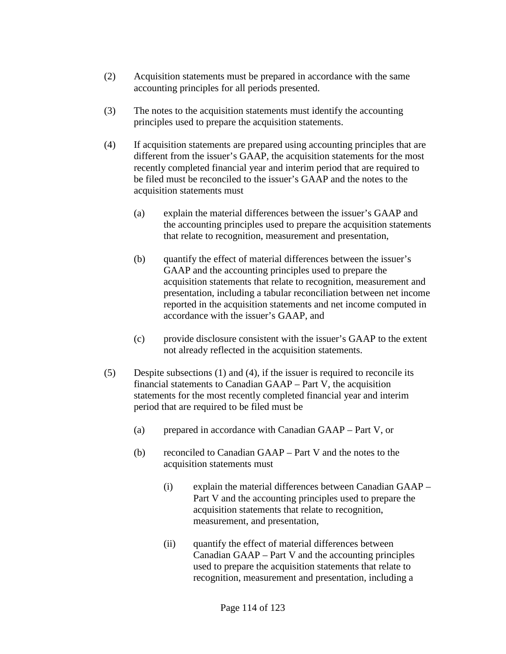- (2) Acquisition statements must be prepared in accordance with the same accounting principles for all periods presented.
- (3) The notes to the acquisition statements must identify the accounting principles used to prepare the acquisition statements.
- (4) If acquisition statements are prepared using accounting principles that are different from the issuer's GAAP, the acquisition statements for the most recently completed financial year and interim period that are required to be filed must be reconciled to the issuer's GAAP and the notes to the acquisition statements must
	- (a) explain the material differences between the issuer's GAAP and the accounting principles used to prepare the acquisition statements that relate to recognition, measurement and presentation,
	- (b) quantify the effect of material differences between the issuer's GAAP and the accounting principles used to prepare the acquisition statements that relate to recognition, measurement and presentation, including a tabular reconciliation between net income reported in the acquisition statements and net income computed in accordance with the issuer's GAAP, and
	- (c) provide disclosure consistent with the issuer's GAAP to the extent not already reflected in the acquisition statements.
- (5) Despite subsections (1) and (4), if the issuer is required to reconcile its financial statements to Canadian GAAP – Part V, the acquisition statements for the most recently completed financial year and interim period that are required to be filed must be
	- (a) prepared in accordance with Canadian GAAP Part V, or
	- (b) reconciled to Canadian GAAP Part V and the notes to the acquisition statements must
		- (i) explain the material differences between Canadian GAAP Part V and the accounting principles used to prepare the acquisition statements that relate to recognition, measurement, and presentation,
		- (ii) quantify the effect of material differences between Canadian GAAP – Part V and the accounting principles used to prepare the acquisition statements that relate to recognition, measurement and presentation, including a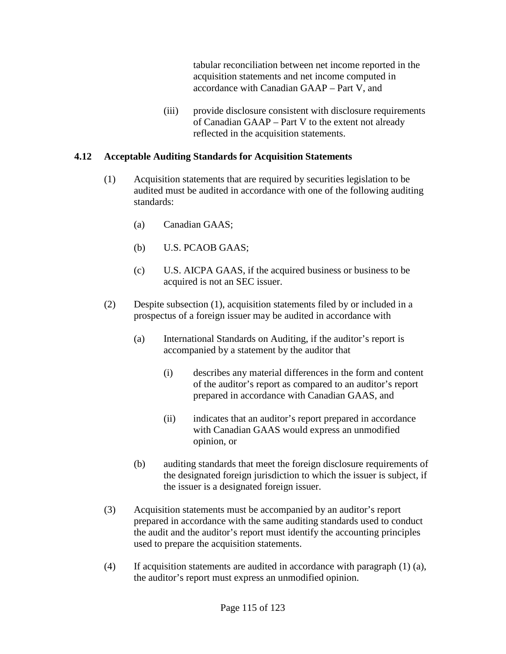tabular reconciliation between net income reported in the acquisition statements and net income computed in accordance with Canadian GAAP – Part V, and

(iii) provide disclosure consistent with disclosure requirements of Canadian GAAP – Part V to the extent not already reflected in the acquisition statements.

### **4.12 Acceptable Auditing Standards for Acquisition Statements**

- (1) Acquisition statements that are required by securities legislation to be audited must be audited in accordance with one of the following auditing standards:
	- (a) Canadian GAAS;
	- (b) U.S. PCAOB GAAS;
	- (c) U.S. AICPA GAAS, if the acquired business or business to be acquired is not an SEC issuer.
- (2) Despite subsection (1), acquisition statements filed by or included in a prospectus of a foreign issuer may be audited in accordance with
	- (a) International Standards on Auditing, if the auditor's report is accompanied by a statement by the auditor that
		- (i) describes any material differences in the form and content of the auditor's report as compared to an auditor's report prepared in accordance with Canadian GAAS, and
		- (ii) indicates that an auditor's report prepared in accordance with Canadian GAAS would express an unmodified opinion, or
	- (b) auditing standards that meet the foreign disclosure requirements of the designated foreign jurisdiction to which the issuer is subject, if the issuer is a designated foreign issuer.
- (3) Acquisition statements must be accompanied by an auditor's report prepared in accordance with the same auditing standards used to conduct the audit and the auditor's report must identify the accounting principles used to prepare the acquisition statements.
- $(4)$  If acquisition statements are audited in accordance with paragraph  $(1)$   $(a)$ , the auditor's report must express an unmodified opinion.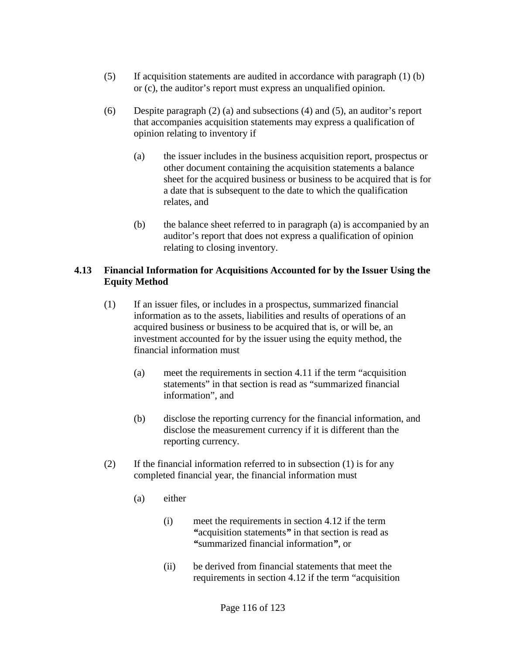- (5) If acquisition statements are audited in accordance with paragraph (1) (b) or (c), the auditor's report must express an unqualified opinion.
- (6) Despite paragraph (2) (a) and subsections (4) and (5), an auditor's report that accompanies acquisition statements may express a qualification of opinion relating to inventory if
	- (a) the issuer includes in the business acquisition report, prospectus or other document containing the acquisition statements a balance sheet for the acquired business or business to be acquired that is for a date that is subsequent to the date to which the qualification relates, and
	- (b) the balance sheet referred to in paragraph (a) is accompanied by an auditor's report that does not express a qualification of opinion relating to closing inventory.

### **4.13 Financial Information for Acquisitions Accounted for by the Issuer Using the Equity Method**

- (1) If an issuer files, or includes in a prospectus, summarized financial information as to the assets, liabilities and results of operations of an acquired business or business to be acquired that is, or will be, an investment accounted for by the issuer using the equity method, the financial information must
	- (a) meet the requirements in section 4.11 if the term "acquisition statements" in that section is read as "summarized financial information", and
	- (b) disclose the reporting currency for the financial information, and disclose the measurement currency if it is different than the reporting currency.
- (2) If the financial information referred to in subsection (1) is for any completed financial year, the financial information must
	- (a) either
		- (i) meet the requirements in section 4.12 if the term *"*acquisition statements*"* in that section is read as *"*summarized financial information*"*, or
		- (ii) be derived from financial statements that meet the requirements in section 4.12 if the term "acquisition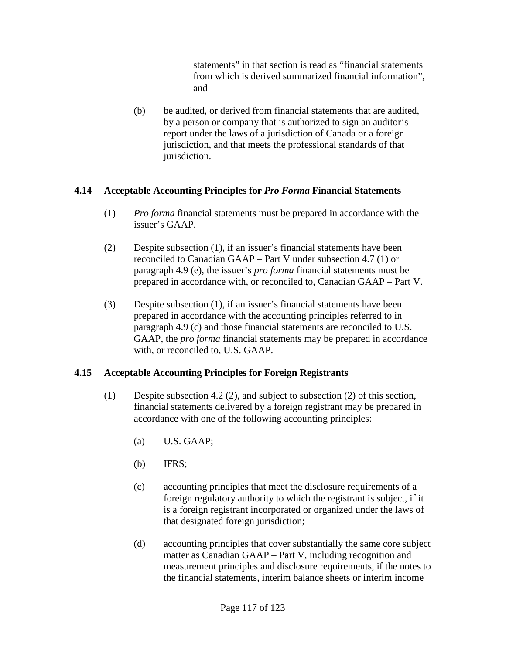statements" in that section is read as "financial statements from which is derived summarized financial information", and

(b) be audited, or derived from financial statements that are audited, by a person or company that is authorized to sign an auditor's report under the laws of a jurisdiction of Canada or a foreign jurisdiction, and that meets the professional standards of that jurisdiction.

### **4.14 Acceptable Accounting Principles for** *Pro Forma* **Financial Statements**

- (1) *Pro forma* financial statements must be prepared in accordance with the issuer's GAAP.
- (2) Despite subsection (1), if an issuer's financial statements have been reconciled to Canadian GAAP – Part V under subsection 4.7 (1) or paragraph 4.9 (e), the issuer's *pro forma* financial statements must be prepared in accordance with, or reconciled to, Canadian GAAP – Part V.
- (3) Despite subsection (1), if an issuer's financial statements have been prepared in accordance with the accounting principles referred to in paragraph 4.9 (c) and those financial statements are reconciled to U.S. GAAP, the *pro forma* financial statements may be prepared in accordance with, or reconciled to, U.S. GAAP.

## **4.15 Acceptable Accounting Principles for Foreign Registrants**

- (1) Despite subsection 4.2 (2), and subject to subsection (2) of this section, financial statements delivered by a foreign registrant may be prepared in accordance with one of the following accounting principles:
	- (a) U.S. GAAP;
	- (b) IFRS;
	- (c) accounting principles that meet the disclosure requirements of a foreign regulatory authority to which the registrant is subject, if it is a foreign registrant incorporated or organized under the laws of that designated foreign jurisdiction;
	- (d) accounting principles that cover substantially the same core subject matter as Canadian GAAP – Part V, including recognition and measurement principles and disclosure requirements, if the notes to the financial statements, interim balance sheets or interim income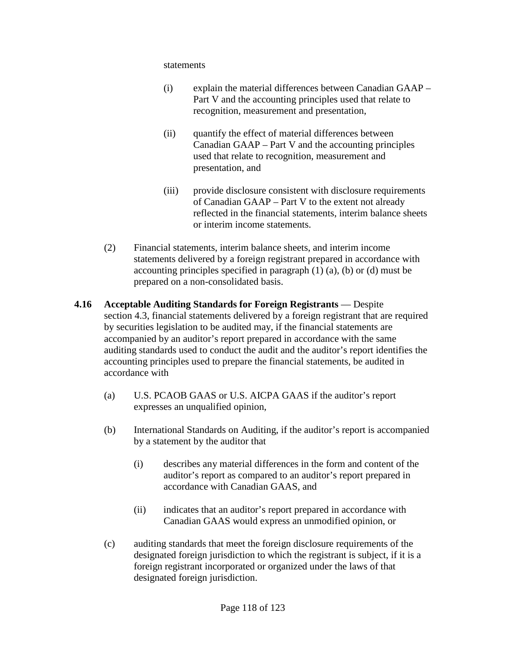statements

- (i) explain the material differences between Canadian GAAP Part V and the accounting principles used that relate to recognition, measurement and presentation,
- (ii) quantify the effect of material differences between Canadian GAAP – Part V and the accounting principles used that relate to recognition, measurement and presentation, and
- (iii) provide disclosure consistent with disclosure requirements of Canadian GAAP – Part V to the extent not already reflected in the financial statements, interim balance sheets or interim income statements.
- (2) Financial statements, interim balance sheets, and interim income statements delivered by a foreign registrant prepared in accordance with accounting principles specified in paragraph (1) (a), (b) or (d) must be prepared on a non-consolidated basis.
- **4.16 Acceptable Auditing Standards for Foreign Registrants** Despite section 4.3, financial statements delivered by a foreign registrant that are required by securities legislation to be audited may, if the financial statements are accompanied by an auditor's report prepared in accordance with the same auditing standards used to conduct the audit and the auditor's report identifies the accounting principles used to prepare the financial statements, be audited in accordance with
	- (a) U.S. PCAOB GAAS or U.S. AICPA GAAS if the auditor's report expresses an unqualified opinion,
	- (b) International Standards on Auditing, if the auditor's report is accompanied by a statement by the auditor that
		- (i) describes any material differences in the form and content of the auditor's report as compared to an auditor's report prepared in accordance with Canadian GAAS, and
		- (ii) indicates that an auditor's report prepared in accordance with Canadian GAAS would express an unmodified opinion, or
	- (c) auditing standards that meet the foreign disclosure requirements of the designated foreign jurisdiction to which the registrant is subject, if it is a foreign registrant incorporated or organized under the laws of that designated foreign jurisdiction.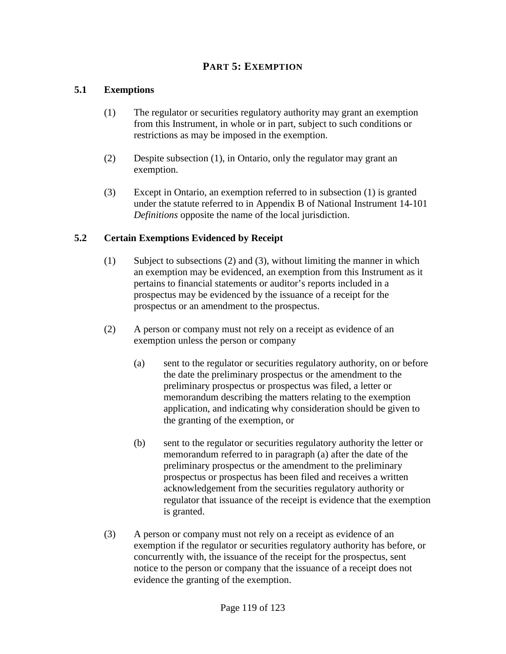## **PART 5: EXEMPTION**

#### **5.1 Exemptions**

- (1) The regulator or securities regulatory authority may grant an exemption from this Instrument, in whole or in part, subject to such conditions or restrictions as may be imposed in the exemption.
- (2) Despite subsection (1), in Ontario, only the regulator may grant an exemption.
- (3) Except in Ontario, an exemption referred to in subsection (1) is granted under the statute referred to in Appendix B of National Instrument 14-101 *Definitions* opposite the name of the local jurisdiction.

#### **5.2 Certain Exemptions Evidenced by Receipt**

- (1) Subject to subsections (2) and (3), without limiting the manner in which an exemption may be evidenced, an exemption from this Instrument as it pertains to financial statements or auditor's reports included in a prospectus may be evidenced by the issuance of a receipt for the prospectus or an amendment to the prospectus.
- (2) A person or company must not rely on a receipt as evidence of an exemption unless the person or company
	- (a) sent to the regulator or securities regulatory authority, on or before the date the preliminary prospectus or the amendment to the preliminary prospectus or prospectus was filed, a letter or memorandum describing the matters relating to the exemption application, and indicating why consideration should be given to the granting of the exemption, or
	- (b) sent to the regulator or securities regulatory authority the letter or memorandum referred to in paragraph (a) after the date of the preliminary prospectus or the amendment to the preliminary prospectus or prospectus has been filed and receives a written acknowledgement from the securities regulatory authority or regulator that issuance of the receipt is evidence that the exemption is granted.
- (3) A person or company must not rely on a receipt as evidence of an exemption if the regulator or securities regulatory authority has before, or concurrently with, the issuance of the receipt for the prospectus, sent notice to the person or company that the issuance of a receipt does not evidence the granting of the exemption.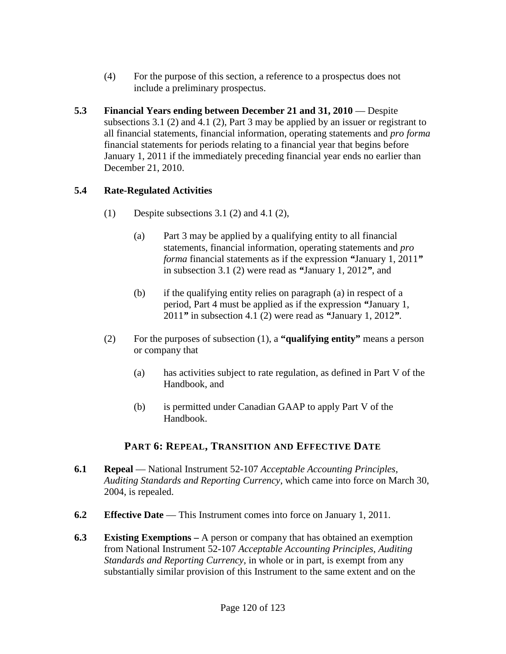- (4) For the purpose of this section, a reference to a prospectus does not include a preliminary prospectus.
- **5.3 Financial Years ending between December 21 and 31, 2010** Despite subsections 3.1 (2) and 4.1 (2), Part 3 may be applied by an issuer or registrant to all financial statements, financial information, operating statements and *pro forma* financial statements for periods relating to a financial year that begins before January 1, 2011 if the immediately preceding financial year ends no earlier than December 21, 2010.

# **5.4 Rate-Regulated Activities**

- (1) Despite subsections 3.1 (2) and 4.1 (2),
	- (a) Part 3 may be applied by a qualifying entity to all financial statements, financial information, operating statements and *pro forma* financial statements as if the expression *"*January 1, 2011*"* in subsection 3.1 (2) were read as *"*January 1, 2012*"*, and
	- (b) if the qualifying entity relies on paragraph (a) in respect of a period, Part 4 must be applied as if the expression *"*January 1, 2011*"* in subsection 4.1 (2) were read as *"*January 1, 2012*"*.
- (2) For the purposes of subsection (1), a **"qualifying entity"** means a person or company that
	- (a) has activities subject to rate regulation, as defined in Part V of the Handbook, and
	- (b) is permitted under Canadian GAAP to apply Part V of the Handbook.

## **PART 6: REPEAL, TRANSITION AND EFFECTIVE DATE**

- **6.1 Repeal** National Instrument 52-107 *Acceptable Accounting Principles, Auditing Standards and Reporting Currency*, which came into force on March 30, 2004, is repealed.
- **6.2 Effective Date** This Instrument comes into force on January 1, 2011.
- **6.3 Existing Exemptions –** A person or company that has obtained an exemption from National Instrument 52-107 *Acceptable Accounting Principles, Auditing Standards and Reporting Currency*, in whole or in part, is exempt from any substantially similar provision of this Instrument to the same extent and on the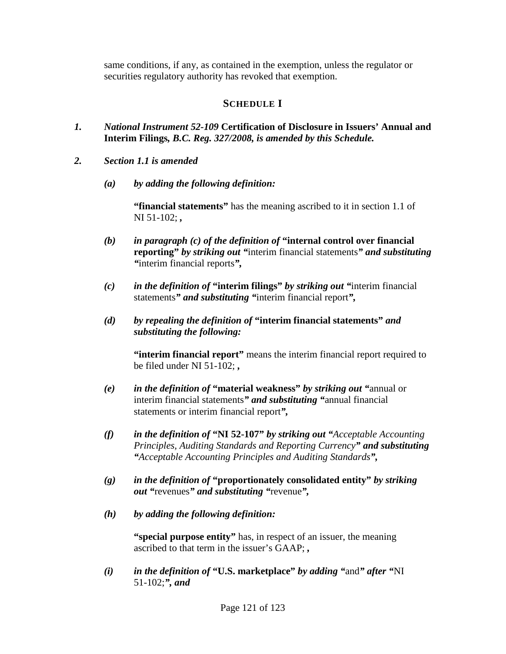same conditions, if any, as contained in the exemption, unless the regulator or securities regulatory authority has revoked that exemption.

# **SCHEDULE I**

- *1. National Instrument 52-109* **Certification of Disclosure in Issuers' Annual and Interim Filings***, B.C. Reg. 327/2008, is amended by this Schedule.*
- *2. Section 1.1 is amended*
	- *(a) by adding the following definition:*

**"financial statements"** has the meaning ascribed to it in section 1.1 of NI 51-102; *,*

- *(b) in paragraph (c) of the definition of* **"internal control over financial reporting"** *by striking out "*interim financial statements*" and substituting "*interim financial reports*",*
- *(c) in the definition of* **"interim filings"** *by striking out "*interim financial statements*" and substituting "*interim financial report*",*
- *(d) by repealing the definition of* **"interim financial statements"** *and substituting the following:*

**"interim financial report"** means the interim financial report required to be filed under NI 51-102; *,*

- *(e) in the definition of* **"material weakness"** *by striking out "*annual or interim financial statements*" and substituting "*annual financial statements or interim financial report*",*
- *(f) in the definition of* **"NI 52-107"** *by striking out "Acceptable Accounting Principles, Auditing Standards and Reporting Currency" and substituting "Acceptable Accounting Principles and Auditing Standards",*
- *(g) in the definition of* **"proportionately consolidated entity"** *by striking out "*revenues*" and substituting "*revenue*",*
- *(h) by adding the following definition:*

**"special purpose entity"** has, in respect of an issuer, the meaning ascribed to that term in the issuer's GAAP; *,*

*(i) in the definition of* **"U.S. marketplace"** *by adding "*and*" after "*NI 51-102;*", and*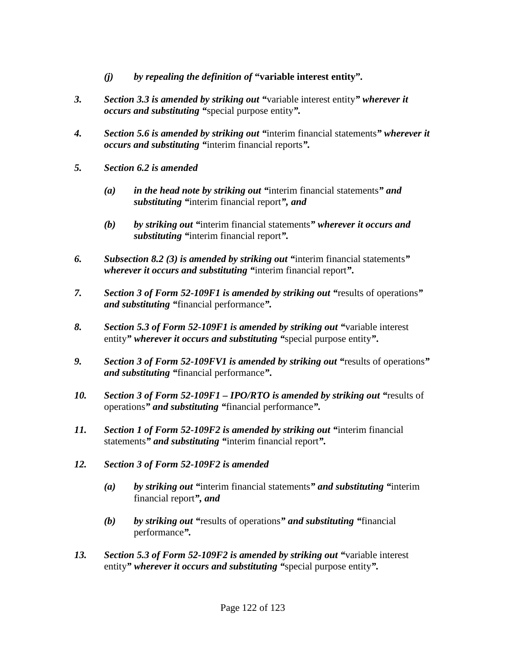- *(j) by repealing the definition of* **"variable interest entity"***.*
- *3. Section 3.3 is amended by striking out "*variable interest entity*" wherever it occurs and substituting "*special purpose entity*".*
- *4. Section 5.6 is amended by striking out "*interim financial statements*" wherever it occurs and substituting "*interim financial reports*".*
- *5. Section 6.2 is amended*
	- *(a) in the head note by striking out "*interim financial statements*" and substituting "*interim financial report*", and*
	- *(b) by striking out "*interim financial statements*" wherever it occurs and substituting "*interim financial report*".*
- *6. Subsection 8.2 (3) is amended by striking out "*interim financial statements*" wherever it occurs and substituting "*interim financial report*"***.**
- *7. Section 3 of Form 52-109F1 is amended by striking out "*results of operations*" and substituting "*financial performance*".*
- *8. Section 5.3 of Form 52-109F1 is amended by striking out "*variable interest entity*" wherever it occurs and substituting "*special purpose entity*"***.**
- *9. Section 3 of Form 52-109FV1 is amended by striking out "*results of operations*" and substituting "*financial performance*"***.**
- *10. Section 3 of Form 52-109F1 IPO/RTO is amended by striking out "*results of operations*" and substituting "*financial performance*".*
- *11. Section 1 of Form 52-109F2 is amended by striking out "*interim financial statements*" and substituting "*interim financial report*".*
- *12. Section 3 of Form 52-109F2 is amended*
	- *(a) by striking out "*interim financial statements*" and substituting "*interim financial report*", and*
	- *(b) by striking out "*results of operations*" and substituting "*financial performance*".*
- *13. Section 5.3 of Form 52-109F2 is amended by striking out "*variable interest entity*" wherever it occurs and substituting "*special purpose entity*".*